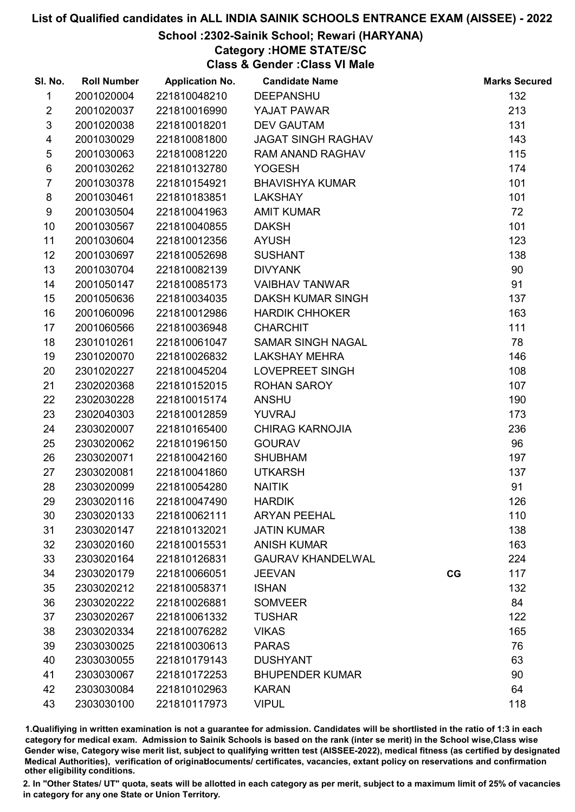# School :2302-Sainik School; Rewari (HARYANA)

# Category :HOME STATE/SC

Class & Gender :Class VI Male

| SI. No.        | <b>Roll Number</b> | <b>Application No.</b> | <b>Candidate Name</b>     |    | <b>Marks Secured</b> |
|----------------|--------------------|------------------------|---------------------------|----|----------------------|
| 1              | 2001020004         | 221810048210           | <b>DEEPANSHU</b>          |    | 132                  |
| $\overline{2}$ | 2001020037         | 221810016990           | YAJAT PAWAR               |    | 213                  |
| $\mathfrak{S}$ | 2001020038         | 221810018201           | <b>DEV GAUTAM</b>         |    | 131                  |
| 4              | 2001030029         | 221810081800           | <b>JAGAT SINGH RAGHAV</b> |    | 143                  |
| $\sqrt{5}$     | 2001030063         | 221810081220           | RAM ANAND RAGHAV          |    | 115                  |
| 6              | 2001030262         | 221810132780           | <b>YOGESH</b>             |    | 174                  |
| $\overline{7}$ | 2001030378         | 221810154921           | <b>BHAVISHYA KUMAR</b>    |    | 101                  |
| 8              | 2001030461         | 221810183851           | <b>LAKSHAY</b>            |    | 101                  |
| 9              | 2001030504         | 221810041963           | <b>AMIT KUMAR</b>         |    | 72                   |
| 10             | 2001030567         | 221810040855           | <b>DAKSH</b>              |    | 101                  |
| 11             | 2001030604         | 221810012356           | <b>AYUSH</b>              |    | 123                  |
| 12             | 2001030697         | 221810052698           | <b>SUSHANT</b>            |    | 138                  |
| 13             | 2001030704         | 221810082139           | <b>DIVYANK</b>            |    | 90                   |
| 14             | 2001050147         | 221810085173           | <b>VAIBHAV TANWAR</b>     |    | 91                   |
| 15             | 2001050636         | 221810034035           | <b>DAKSH KUMAR SINGH</b>  |    | 137                  |
| 16             | 2001060096         | 221810012986           | <b>HARDIK CHHOKER</b>     |    | 163                  |
| 17             | 2001060566         | 221810036948           | <b>CHARCHIT</b>           |    | 111                  |
| 18             | 2301010261         | 221810061047           | <b>SAMAR SINGH NAGAL</b>  |    | 78                   |
| 19             | 2301020070         | 221810026832           | <b>LAKSHAY MEHRA</b>      |    | 146                  |
| 20             | 2301020227         | 221810045204           | LOVEPREET SINGH           |    | 108                  |
| 21             | 2302020368         | 221810152015           | ROHAN SAROY               |    | 107                  |
| 22             | 2302030228         | 221810015174           | <b>ANSHU</b>              |    | 190                  |
| 23             | 2302040303         | 221810012859           | <b>YUVRAJ</b>             |    | 173                  |
| 24             | 2303020007         | 221810165400           | <b>CHIRAG KARNOJIA</b>    |    | 236                  |
| 25             | 2303020062         | 221810196150           | <b>GOURAV</b>             |    | 96                   |
| 26             | 2303020071         | 221810042160           | <b>SHUBHAM</b>            |    | 197                  |
| 27             | 2303020081         | 221810041860           | <b>UTKARSH</b>            |    | 137                  |
| 28             | 2303020099         | 221810054280           | <b>NAITIK</b>             |    | 91                   |
| 29             | 2303020116         | 221810047490           | <b>HARDIK</b>             |    | 126                  |
| 30             | 2303020133         | 221810062111           | <b>ARYAN PEEHAL</b>       |    | 110                  |
| 31             | 2303020147         | 221810132021           | <b>JATIN KUMAR</b>        |    | 138                  |
| 32             | 2303020160         | 221810015531           | <b>ANISH KUMAR</b>        |    | 163                  |
| 33             | 2303020164         | 221810126831           | <b>GAURAV KHANDELWAL</b>  |    | 224                  |
| 34             | 2303020179         | 221810066051           | <b>JEEVAN</b>             | CG | 117                  |
| 35             | 2303020212         | 221810058371           | <b>ISHAN</b>              |    | 132                  |
| 36             | 2303020222         | 221810026881           | <b>SOMVEER</b>            |    | 84                   |
| 37             | 2303020267         | 221810061332           | <b>TUSHAR</b>             |    | 122                  |
| 38             | 2303020334         | 221810076282           | <b>VIKAS</b>              |    | 165                  |
| 39             | 2303030025         | 221810030613           | <b>PARAS</b>              |    | 76                   |
| 40             | 2303030055         | 221810179143           | <b>DUSHYANT</b>           |    | 63                   |
| 41             | 2303030067         | 221810172253           | <b>BHUPENDER KUMAR</b>    |    | 90                   |
| 42             | 2303030084         | 221810102963           | <b>KARAN</b>              |    | 64                   |
| 43             | 2303030100         | 221810117973           | <b>VIPUL</b>              |    | 118                  |

1.Qualifiying in written examination is not a guarantee for admission. Candidates will be shortlisted in the ratio of 1:3 in each category for medical exam. Admission to Sainik Schools is based on the rank (inter se merit) in the School wise,Class wise Gender wise, Category wise merit list, subject to qualifying written test (AISSEE-2022), medical fitness (as certified by designated Medical Authorities), verification of originablocuments/ certificates, vacancies, extant policy on reservations and confirmation other eligibility conditions.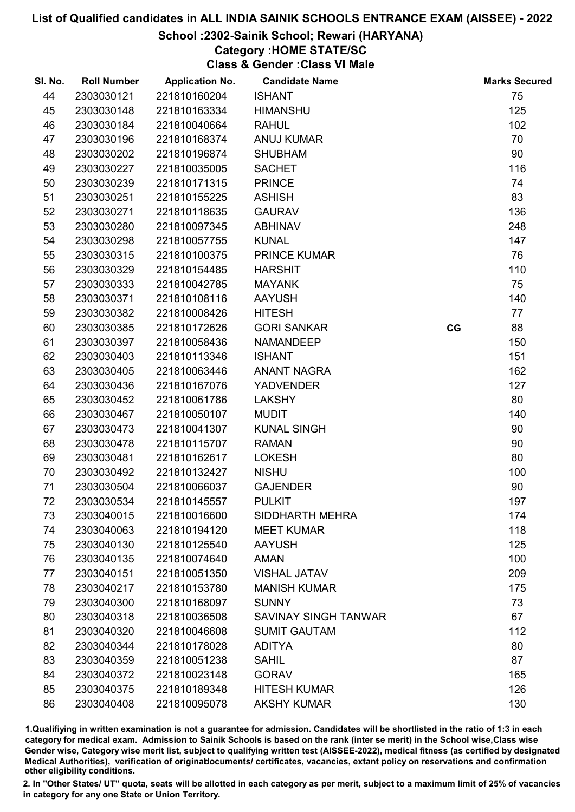# School :2302-Sainik School; Rewari (HARYANA)

# Category :HOME STATE/SC

Class & Gender :Class VI Male

| SI. No. | <b>Roll Number</b> | <b>Application No.</b> | <b>Candidate Name</b>       |    | <b>Marks Secured</b> |
|---------|--------------------|------------------------|-----------------------------|----|----------------------|
| 44      | 2303030121         | 221810160204           | <b>ISHANT</b>               |    | 75                   |
| 45      | 2303030148         | 221810163334           | <b>HIMANSHU</b>             |    | 125                  |
| 46      | 2303030184         | 221810040664           | <b>RAHUL</b>                |    | 102                  |
| 47      | 2303030196         | 221810168374           | <b>ANUJ KUMAR</b>           |    | 70                   |
| 48      | 2303030202         | 221810196874           | <b>SHUBHAM</b>              |    | 90                   |
| 49      | 2303030227         | 221810035005           | <b>SACHET</b>               |    | 116                  |
| 50      | 2303030239         | 221810171315           | <b>PRINCE</b>               |    | 74                   |
| 51      | 2303030251         | 221810155225           | <b>ASHISH</b>               |    | 83                   |
| 52      | 2303030271         | 221810118635           | <b>GAURAV</b>               |    | 136                  |
| 53      | 2303030280         | 221810097345           | <b>ABHINAV</b>              |    | 248                  |
| 54      | 2303030298         | 221810057755           | <b>KUNAL</b>                |    | 147                  |
| 55      | 2303030315         | 221810100375           | <b>PRINCE KUMAR</b>         |    | 76                   |
| 56      | 2303030329         | 221810154485           | <b>HARSHIT</b>              |    | 110                  |
| 57      | 2303030333         | 221810042785           | <b>MAYANK</b>               |    | 75                   |
| 58      | 2303030371         | 221810108116           | <b>AAYUSH</b>               |    | 140                  |
| 59      | 2303030382         | 221810008426           | <b>HITESH</b>               |    | 77                   |
| 60      | 2303030385         | 221810172626           | <b>GORI SANKAR</b>          | CG | 88                   |
| 61      | 2303030397         | 221810058436           | <b>NAMANDEEP</b>            |    | 150                  |
| 62      | 2303030403         | 221810113346           | <b>ISHANT</b>               |    | 151                  |
| 63      | 2303030405         | 221810063446           | <b>ANANT NAGRA</b>          |    | 162                  |
| 64      | 2303030436         | 221810167076           | <b>YADVENDER</b>            |    | 127                  |
| 65      | 2303030452         | 221810061786           | <b>LAKSHY</b>               |    | 80                   |
| 66      | 2303030467         | 221810050107           | <b>MUDIT</b>                |    | 140                  |
| 67      | 2303030473         | 221810041307           | <b>KUNAL SINGH</b>          |    | 90                   |
| 68      | 2303030478         | 221810115707           | <b>RAMAN</b>                |    | 90                   |
| 69      | 2303030481         | 221810162617           | <b>LOKESH</b>               |    | 80                   |
| 70      | 2303030492         | 221810132427           | <b>NISHU</b>                |    | 100                  |
| 71      | 2303030504         | 221810066037           | <b>GAJENDER</b>             |    | 90                   |
| 72      | 2303030534         | 221810145557           | <b>PULKIT</b>               |    | 197                  |
| 73      | 2303040015         | 221810016600           | SIDDHARTH MEHRA             |    | 174                  |
| 74      | 2303040063         | 221810194120           | <b>MEET KUMAR</b>           |    | 118                  |
| 75      | 2303040130         | 221810125540           | <b>AAYUSH</b>               |    | 125                  |
| 76      | 2303040135         | 221810074640           | <b>AMAN</b>                 |    | 100                  |
| 77      | 2303040151         | 221810051350           | <b>VISHAL JATAV</b>         |    | 209                  |
| 78      | 2303040217         | 221810153780           | <b>MANISH KUMAR</b>         |    | 175                  |
| 79      | 2303040300         | 221810168097           | <b>SUNNY</b>                |    | 73                   |
| 80      | 2303040318         | 221810036508           | <b>SAVINAY SINGH TANWAR</b> |    | 67                   |
| 81      | 2303040320         | 221810046608           | <b>SUMIT GAUTAM</b>         |    | 112                  |
| 82      | 2303040344         | 221810178028           | <b>ADITYA</b>               |    | 80                   |
| 83      | 2303040359         | 221810051238           | <b>SAHIL</b>                |    | 87                   |
| 84      | 2303040372         | 221810023148           | <b>GORAV</b>                |    | 165                  |
| 85      | 2303040375         | 221810189348           | <b>HITESH KUMAR</b>         |    | 126                  |
| 86      | 2303040408         | 221810095078           | <b>AKSHY KUMAR</b>          |    | 130                  |

1.Qualifiying in written examination is not a guarantee for admission. Candidates will be shortlisted in the ratio of 1:3 in each category for medical exam. Admission to Sainik Schools is based on the rank (inter se merit) in the School wise,Class wise Gender wise, Category wise merit list, subject to qualifying written test (AISSEE-2022), medical fitness (as certified by designated Medical Authorities), verification of originablocuments/ certificates, vacancies, extant policy on reservations and confirmation other eligibility conditions.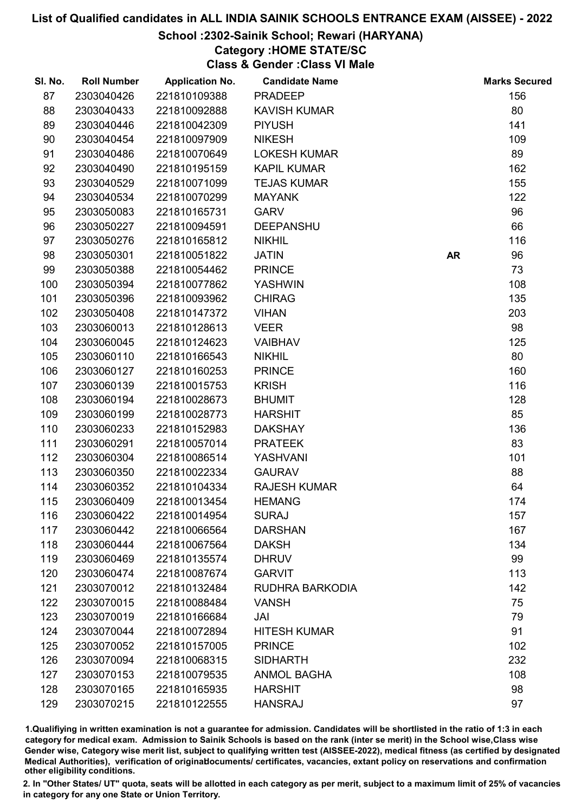# School :2302-Sainik School; Rewari (HARYANA)

# Category :HOME STATE/SC

Class & Gender :Class VI Male

| SI. No. | <b>Roll Number</b> | <b>Application No.</b> | <b>Candidate Name</b> |           | <b>Marks Secured</b> |
|---------|--------------------|------------------------|-----------------------|-----------|----------------------|
| 87      | 2303040426         | 221810109388           | <b>PRADEEP</b>        |           | 156                  |
| 88      | 2303040433         | 221810092888           | <b>KAVISH KUMAR</b>   |           | 80                   |
| 89      | 2303040446         | 221810042309           | <b>PIYUSH</b>         |           | 141                  |
| 90      | 2303040454         | 221810097909           | <b>NIKESH</b>         |           | 109                  |
| 91      | 2303040486         | 221810070649           | <b>LOKESH KUMAR</b>   |           | 89                   |
| 92      | 2303040490         | 221810195159           | <b>KAPIL KUMAR</b>    |           | 162                  |
| 93      | 2303040529         | 221810071099           | <b>TEJAS KUMAR</b>    |           | 155                  |
| 94      | 2303040534         | 221810070299           | <b>MAYANK</b>         |           | 122                  |
| 95      | 2303050083         | 221810165731           | <b>GARV</b>           |           | 96                   |
| 96      | 2303050227         | 221810094591           | <b>DEEPANSHU</b>      |           | 66                   |
| 97      | 2303050276         | 221810165812           | <b>NIKHIL</b>         |           | 116                  |
| 98      | 2303050301         | 221810051822           | <b>JATIN</b>          | <b>AR</b> | 96                   |
| 99      | 2303050388         | 221810054462           | <b>PRINCE</b>         |           | 73                   |
| 100     | 2303050394         | 221810077862           | <b>YASHWIN</b>        |           | 108                  |
| 101     | 2303050396         | 221810093962           | <b>CHIRAG</b>         |           | 135                  |
| 102     | 2303050408         | 221810147372           | <b>VIHAN</b>          |           | 203                  |
| 103     | 2303060013         | 221810128613           | <b>VEER</b>           |           | 98                   |
| 104     | 2303060045         | 221810124623           | <b>VAIBHAV</b>        |           | 125                  |
| 105     | 2303060110         | 221810166543           | <b>NIKHIL</b>         |           | 80                   |
| 106     | 2303060127         | 221810160253           | <b>PRINCE</b>         |           | 160                  |
| 107     | 2303060139         | 221810015753           | <b>KRISH</b>          |           | 116                  |
| 108     | 2303060194         | 221810028673           | <b>BHUMIT</b>         |           | 128                  |
| 109     | 2303060199         | 221810028773           | <b>HARSHIT</b>        |           | 85                   |
| 110     | 2303060233         | 221810152983           | <b>DAKSHAY</b>        |           | 136                  |
| 111     | 2303060291         | 221810057014           | <b>PRATEEK</b>        |           | 83                   |
| 112     | 2303060304         | 221810086514           | YASHVANI              |           | 101                  |
| 113     | 2303060350         | 221810022334           | <b>GAURAV</b>         |           | 88                   |
| 114     | 2303060352         | 221810104334           | <b>RAJESH KUMAR</b>   |           | 64                   |
| 115     | 2303060409         | 221810013454           | <b>HEMANG</b>         |           | 174                  |
| 116     | 2303060422         | 221810014954           | <b>SURAJ</b>          |           | 157                  |
| 117     | 2303060442         | 221810066564           | <b>DARSHAN</b>        |           | 167                  |
| 118     | 2303060444         | 221810067564           | <b>DAKSH</b>          |           | 134                  |
| 119     | 2303060469         | 221810135574           | <b>DHRUV</b>          |           | 99                   |
| 120     | 2303060474         | 221810087674           | <b>GARVIT</b>         |           | 113                  |
| 121     | 2303070012         | 221810132484           | RUDHRA BARKODIA       |           | 142                  |
| 122     | 2303070015         | 221810088484           | <b>VANSH</b>          |           | 75                   |
| 123     | 2303070019         | 221810166684           | JAI                   |           | 79                   |
| 124     | 2303070044         | 221810072894           | <b>HITESH KUMAR</b>   |           | 91                   |
| 125     | 2303070052         | 221810157005           | <b>PRINCE</b>         |           | 102                  |
| 126     | 2303070094         | 221810068315           | <b>SIDHARTH</b>       |           | 232                  |
| 127     | 2303070153         | 221810079535           | <b>ANMOL BAGHA</b>    |           | 108                  |
| 128     | 2303070165         | 221810165935           | <b>HARSHIT</b>        |           | 98                   |
| 129     | 2303070215         | 221810122555           | <b>HANSRAJ</b>        |           | 97                   |

1.Qualifiying in written examination is not a guarantee for admission. Candidates will be shortlisted in the ratio of 1:3 in each category for medical exam. Admission to Sainik Schools is based on the rank (inter se merit) in the School wise,Class wise Gender wise, Category wise merit list, subject to qualifying written test (AISSEE-2022), medical fitness (as certified by designated Medical Authorities), verification of originablocuments/ certificates, vacancies, extant policy on reservations and confirmation other eligibility conditions.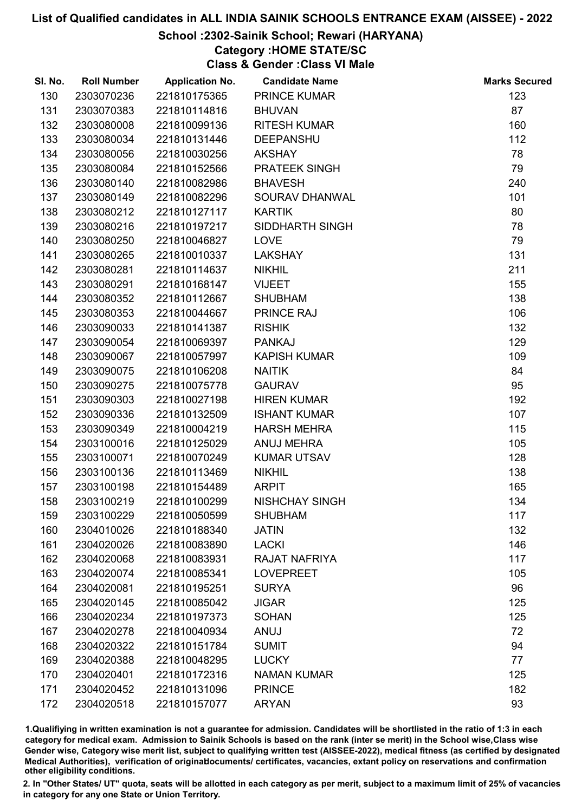# School :2302-Sainik School; Rewari (HARYANA)

# Category :HOME STATE/SC

Class & Gender :Class VI Male

| SI. No. | <b>Roll Number</b> | <b>Application No.</b> | <b>Candidate Name</b> | <b>Marks Secured</b> |
|---------|--------------------|------------------------|-----------------------|----------------------|
| 130     | 2303070236         | 221810175365           | <b>PRINCE KUMAR</b>   | 123                  |
| 131     | 2303070383         | 221810114816           | <b>BHUVAN</b>         | 87                   |
| 132     | 2303080008         | 221810099136           | <b>RITESH KUMAR</b>   | 160                  |
| 133     | 2303080034         | 221810131446           | <b>DEEPANSHU</b>      | 112                  |
| 134     | 2303080056         | 221810030256           | <b>AKSHAY</b>         | 78                   |
| 135     | 2303080084         | 221810152566           | PRATEEK SINGH         | 79                   |
| 136     | 2303080140         | 221810082986           | <b>BHAVESH</b>        | 240                  |
| 137     | 2303080149         | 221810082296           | SOURAV DHANWAL        | 101                  |
| 138     | 2303080212         | 221810127117           | <b>KARTIK</b>         | 80                   |
| 139     | 2303080216         | 221810197217           | SIDDHARTH SINGH       | 78                   |
| 140     | 2303080250         | 221810046827           | <b>LOVE</b>           | 79                   |
| 141     | 2303080265         | 221810010337           | <b>LAKSHAY</b>        | 131                  |
| 142     | 2303080281         | 221810114637           | <b>NIKHIL</b>         | 211                  |
| 143     | 2303080291         | 221810168147           | <b>VIJEET</b>         | 155                  |
| 144     | 2303080352         | 221810112667           | <b>SHUBHAM</b>        | 138                  |
| 145     | 2303080353         | 221810044667           | PRINCE RAJ            | 106                  |
| 146     | 2303090033         | 221810141387           | <b>RISHIK</b>         | 132                  |
| 147     | 2303090054         | 221810069397           | <b>PANKAJ</b>         | 129                  |
| 148     | 2303090067         | 221810057997           | <b>KAPISH KUMAR</b>   | 109                  |
| 149     | 2303090075         | 221810106208           | <b>NAITIK</b>         | 84                   |
| 150     | 2303090275         | 221810075778           | <b>GAURAV</b>         | 95                   |
| 151     | 2303090303         | 221810027198           | <b>HIREN KUMAR</b>    | 192                  |
| 152     | 2303090336         | 221810132509           | <b>ISHANT KUMAR</b>   | 107                  |
| 153     | 2303090349         | 221810004219           | <b>HARSH MEHRA</b>    | 115                  |
| 154     | 2303100016         | 221810125029           | <b>ANUJ MEHRA</b>     | 105                  |
| 155     | 2303100071         | 221810070249           | <b>KUMAR UTSAV</b>    | 128                  |
| 156     | 2303100136         | 221810113469           | <b>NIKHIL</b>         | 138                  |
| 157     | 2303100198         | 221810154489           | <b>ARPIT</b>          | 165                  |
| 158     | 2303100219         | 221810100299           | <b>NISHCHAY SINGH</b> | 134                  |
| 159     | 2303100229         | 221810050599           | <b>SHUBHAM</b>        | 117                  |
| 160     | 2304010026         | 221810188340           | <b>JATIN</b>          | 132                  |
| 161     | 2304020026         | 221810083890           | <b>LACKI</b>          | 146                  |
| 162     | 2304020068         | 221810083931           | <b>RAJAT NAFRIYA</b>  | 117                  |
| 163     | 2304020074         | 221810085341           | <b>LOVEPREET</b>      | 105                  |
| 164     | 2304020081         | 221810195251           | <b>SURYA</b>          | 96                   |
| 165     | 2304020145         | 221810085042           | <b>JIGAR</b>          | 125                  |
| 166     | 2304020234         | 221810197373           | <b>SOHAN</b>          | 125                  |
| 167     | 2304020278         | 221810040934           | ANUJ                  | 72                   |
| 168     | 2304020322         | 221810151784           | <b>SUMIT</b>          | 94                   |
| 169     | 2304020388         | 221810048295           | <b>LUCKY</b>          | 77                   |
| 170     | 2304020401         | 221810172316           | <b>NAMAN KUMAR</b>    | 125                  |
| 171     | 2304020452         | 221810131096           | <b>PRINCE</b>         | 182                  |
| 172     | 2304020518         | 221810157077           | <b>ARYAN</b>          | 93                   |

1.Qualifiying in written examination is not a guarantee for admission. Candidates will be shortlisted in the ratio of 1:3 in each category for medical exam. Admission to Sainik Schools is based on the rank (inter se merit) in the School wise,Class wise Gender wise, Category wise merit list, subject to qualifying written test (AISSEE-2022), medical fitness (as certified by designated Medical Authorities), verification of originablocuments/ certificates, vacancies, extant policy on reservations and confirmation other eligibility conditions.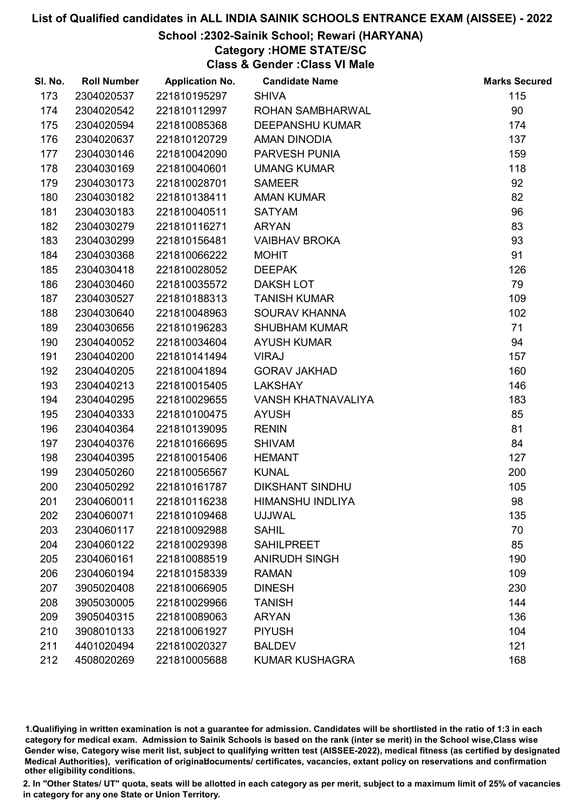# School :2302-Sainik School; Rewari (HARYANA)

Category :HOME STATE/SC

Class & Gender :Class VI Male

| SI. No. | <b>Roll Number</b> | <b>Application No.</b> | <b>Candidate Name</b>   | <b>Marks Secured</b> |
|---------|--------------------|------------------------|-------------------------|----------------------|
| 173     | 2304020537         | 221810195297           | <b>SHIVA</b>            | 115                  |
| 174     | 2304020542         | 221810112997           | ROHAN SAMBHARWAL        | 90                   |
| 175     | 2304020594         | 221810085368           | <b>DEEPANSHU KUMAR</b>  | 174                  |
| 176     | 2304020637         | 221810120729           | <b>AMAN DINODIA</b>     | 137                  |
| 177     | 2304030146         | 221810042090           | PARVESH PUNIA           | 159                  |
| 178     | 2304030169         | 221810040601           | <b>UMANG KUMAR</b>      | 118                  |
| 179     | 2304030173         | 221810028701           | <b>SAMEER</b>           | 92                   |
| 180     | 2304030182         | 221810138411           | <b>AMAN KUMAR</b>       | 82                   |
| 181     | 2304030183         | 221810040511           | <b>SATYAM</b>           | 96                   |
| 182     | 2304030279         | 221810116271           | <b>ARYAN</b>            | 83                   |
| 183     | 2304030299         | 221810156481           | <b>VAIBHAV BROKA</b>    | 93                   |
| 184     | 2304030368         | 221810066222           | <b>MOHIT</b>            | 91                   |
| 185     | 2304030418         | 221810028052           | <b>DEEPAK</b>           | 126                  |
| 186     | 2304030460         | 221810035572           | <b>DAKSH LOT</b>        | 79                   |
| 187     | 2304030527         | 221810188313           | <b>TANISH KUMAR</b>     | 109                  |
| 188     | 2304030640         | 221810048963           | <b>SOURAV KHANNA</b>    | 102                  |
| 189     | 2304030656         | 221810196283           | <b>SHUBHAM KUMAR</b>    | 71                   |
| 190     | 2304040052         | 221810034604           | <b>AYUSH KUMAR</b>      | 94                   |
| 191     | 2304040200         | 221810141494           | <b>VIRAJ</b>            | 157                  |
| 192     | 2304040205         | 221810041894           | <b>GORAV JAKHAD</b>     | 160                  |
| 193     | 2304040213         | 221810015405           | <b>LAKSHAY</b>          | 146                  |
| 194     | 2304040295         | 221810029655           | VANSH KHATNAVALIYA      | 183                  |
| 195     | 2304040333         | 221810100475           | <b>AYUSH</b>            | 85                   |
| 196     | 2304040364         | 221810139095           | <b>RENIN</b>            | 81                   |
| 197     | 2304040376         | 221810166695           | <b>SHIVAM</b>           | 84                   |
| 198     | 2304040395         | 221810015406           | <b>HEMANT</b>           | 127                  |
| 199     | 2304050260         | 221810056567           | <b>KUNAL</b>            | 200                  |
| 200     | 2304050292         | 221810161787           | <b>DIKSHANT SINDHU</b>  | 105                  |
| 201     | 2304060011         | 221810116238           | <b>HIMANSHU INDLIYA</b> | 98                   |
| 202     | 2304060071         | 221810109468           | <b>UJJWAL</b>           | 135                  |
| 203     | 2304060117         | 221810092988           | <b>SAHIL</b>            | 70                   |
| 204     | 2304060122         | 221810029398           | <b>SAHILPREET</b>       | 85                   |
| 205     | 2304060161         | 221810088519           | <b>ANIRUDH SINGH</b>    | 190                  |
| 206     | 2304060194         | 221810158339           | <b>RAMAN</b>            | 109                  |
| 207     | 3905020408         | 221810066905           | <b>DINESH</b>           | 230                  |
| 208     | 3905030005         | 221810029966           | <b>TANISH</b>           | 144                  |
| 209     | 3905040315         | 221810089063           | <b>ARYAN</b>            | 136                  |
| 210     | 3908010133         | 221810061927           | <b>PIYUSH</b>           | 104                  |
| 211     | 4401020494         | 221810020327           | <b>BALDEV</b>           | 121                  |
| 212     | 4508020269         | 221810005688           | <b>KUMAR KUSHAGRA</b>   | 168                  |

1.Qualifiying in written examination is not a guarantee for admission. Candidates will be shortlisted in the ratio of 1:3 in each category for medical exam. Admission to Sainik Schools is based on the rank (inter se merit) in the School wise,Class wise Gender wise, Category wise merit list, subject to qualifying written test (AISSEE-2022), medical fitness (as certified by designated Medical Authorities), verification of originablocuments/ certificates, vacancies, extant policy on reservations and confirmation other eligibility conditions.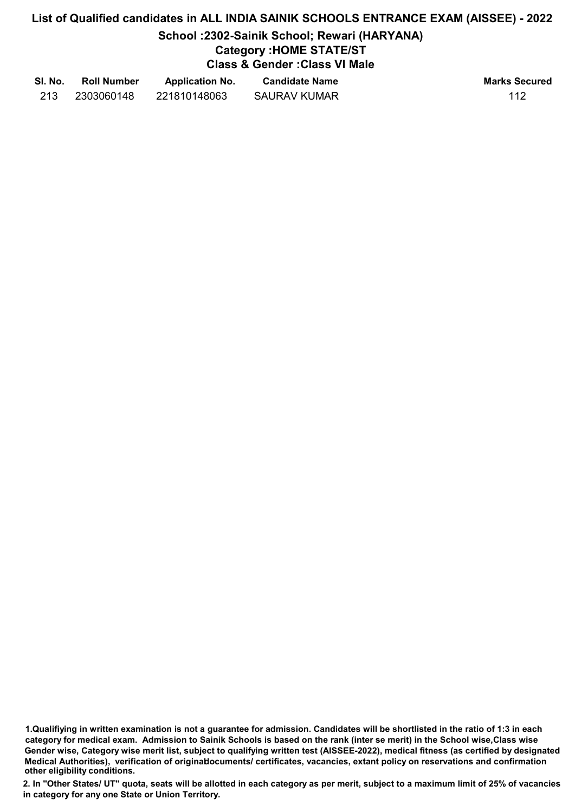#### School :2302-Sainik School; Rewari (HARYANA)

# Category :HOME STATE/ST

# Class & Gender :Class VI Male

| SI. No. | <b>Roll Number</b> | <b>Application No.</b> | <b>Candidate Name</b> | <b>Marks Secured</b> |
|---------|--------------------|------------------------|-----------------------|----------------------|
| 213     | 2303060148         | 221810148063           | <b>SAURAV KUMAR</b>   | 112                  |

1.Qualifiying in written examination is not a guarantee for admission. Candidates will be shortlisted in the ratio of 1:3 in each category for medical exam. Admission to Sainik Schools is based on the rank (inter se merit) in the School wise,Class wise Gender wise, Category wise merit list, subject to qualifying written test (AISSEE-2022), medical fitness (as certified by designated Medical Authorities), verification of originablocuments/ certificates, vacancies, extant policy on reservations and confirmation other eligibility conditions.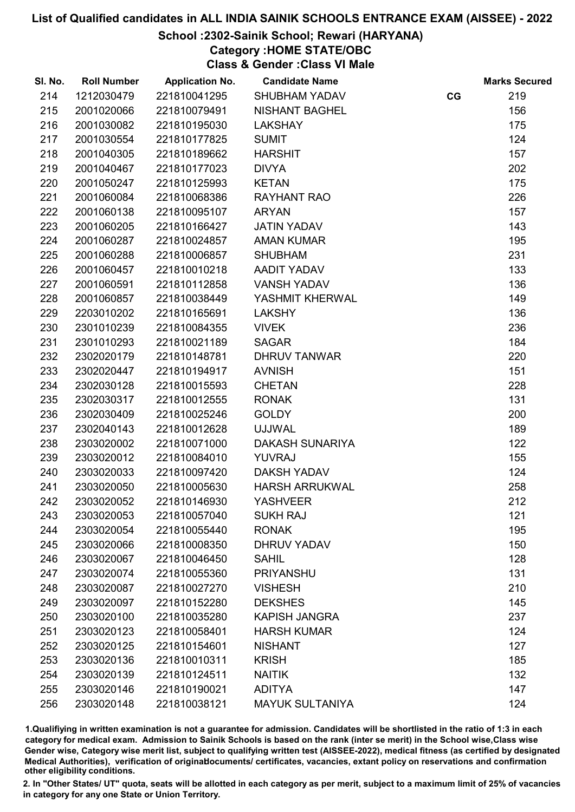# School :2302-Sainik School; Rewari (HARYANA)

Category :HOME STATE/OBC

Class & Gender :Class VI Male

| SI. No. | <b>Roll Number</b> | <b>Application No.</b> | <b>Candidate Name</b>  |    | <b>Marks Secured</b> |
|---------|--------------------|------------------------|------------------------|----|----------------------|
| 214     | 1212030479         | 221810041295           | <b>SHUBHAM YADAV</b>   | CG | 219                  |
| 215     | 2001020066         | 221810079491           | <b>NISHANT BAGHEL</b>  |    | 156                  |
| 216     | 2001030082         | 221810195030           | <b>LAKSHAY</b>         |    | 175                  |
| 217     | 2001030554         | 221810177825           | <b>SUMIT</b>           |    | 124                  |
| 218     | 2001040305         | 221810189662           | <b>HARSHIT</b>         |    | 157                  |
| 219     | 2001040467         | 221810177023           | <b>DIVYA</b>           |    | 202                  |
| 220     | 2001050247         | 221810125993           | <b>KETAN</b>           |    | 175                  |
| 221     | 2001060084         | 221810068386           | <b>RAYHANT RAO</b>     |    | 226                  |
| 222     | 2001060138         | 221810095107           | <b>ARYAN</b>           |    | 157                  |
| 223     | 2001060205         | 221810166427           | <b>JATIN YADAV</b>     |    | 143                  |
| 224     | 2001060287         | 221810024857           | <b>AMAN KUMAR</b>      |    | 195                  |
| 225     | 2001060288         | 221810006857           | <b>SHUBHAM</b>         |    | 231                  |
| 226     | 2001060457         | 221810010218           | AADIT YADAV            |    | 133                  |
| 227     | 2001060591         | 221810112858           | <b>VANSH YADAV</b>     |    | 136                  |
| 228     | 2001060857         | 221810038449           | YASHMIT KHERWAL        |    | 149                  |
| 229     | 2203010202         | 221810165691           | <b>LAKSHY</b>          |    | 136                  |
| 230     | 2301010239         | 221810084355           | <b>VIVEK</b>           |    | 236                  |
| 231     | 2301010293         | 221810021189           | <b>SAGAR</b>           |    | 184                  |
| 232     | 2302020179         | 221810148781           | <b>DHRUV TANWAR</b>    |    | 220                  |
| 233     | 2302020447         | 221810194917           | <b>AVNISH</b>          |    | 151                  |
| 234     | 2302030128         | 221810015593           | <b>CHETAN</b>          |    | 228                  |
| 235     | 2302030317         | 221810012555           | <b>RONAK</b>           |    | 131                  |
| 236     | 2302030409         | 221810025246           | <b>GOLDY</b>           |    | 200                  |
| 237     | 2302040143         | 221810012628           | <b>UJJWAL</b>          |    | 189                  |
| 238     | 2303020002         | 221810071000           | <b>DAKASH SUNARIYA</b> |    | 122                  |
| 239     | 2303020012         | 221810084010           | <b>YUVRAJ</b>          |    | 155                  |
| 240     | 2303020033         | 221810097420           | <b>DAKSH YADAV</b>     |    | 124                  |
| 241     | 2303020050         | 221810005630           | <b>HARSH ARRUKWAL</b>  |    | 258                  |
| 242     | 2303020052         | 221810146930           | <b>YASHVEER</b>        |    | 212                  |
| 243     | 2303020053         | 221810057040           | <b>SUKH RAJ</b>        |    | 121                  |
| 244     | 2303020054         | 221810055440           | <b>RONAK</b>           |    | 195                  |
| 245     | 2303020066         | 221810008350           | <b>DHRUV YADAV</b>     |    | 150                  |
| 246     | 2303020067         | 221810046450           | <b>SAHIL</b>           |    | 128                  |
| 247     | 2303020074         | 221810055360           | <b>PRIYANSHU</b>       |    | 131                  |
| 248     | 2303020087         | 221810027270           | <b>VISHESH</b>         |    | 210                  |
| 249     | 2303020097         | 221810152280           | <b>DEKSHES</b>         |    | 145                  |
| 250     | 2303020100         | 221810035280           | <b>KAPISH JANGRA</b>   |    | 237                  |
| 251     | 2303020123         | 221810058401           | <b>HARSH KUMAR</b>     |    | 124                  |
| 252     | 2303020125         | 221810154601           | <b>NISHANT</b>         |    | 127                  |
| 253     | 2303020136         | 221810010311           | <b>KRISH</b>           |    | 185                  |
| 254     | 2303020139         | 221810124511           | <b>NAITIK</b>          |    | 132                  |
| 255     | 2303020146         | 221810190021           | <b>ADITYA</b>          |    | 147                  |
| 256     | 2303020148         | 221810038121           | <b>MAYUK SULTANIYA</b> |    | 124                  |

1.Qualifiying in written examination is not a guarantee for admission. Candidates will be shortlisted in the ratio of 1:3 in each category for medical exam. Admission to Sainik Schools is based on the rank (inter se merit) in the School wise,Class wise Gender wise, Category wise merit list, subject to qualifying written test (AISSEE-2022), medical fitness (as certified by designated Medical Authorities), verification of originablocuments/ certificates, vacancies, extant policy on reservations and confirmation other eligibility conditions.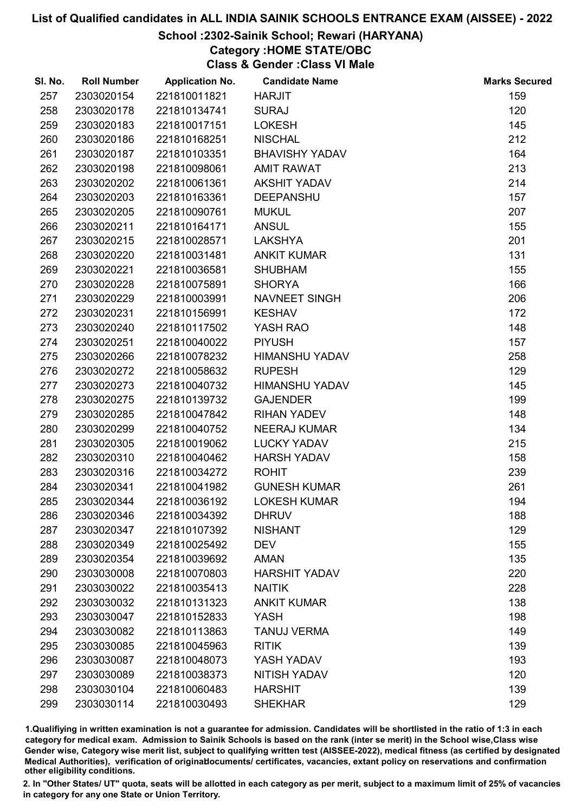#### School :2302-Sainik School; Rewari (HARYANA)

Category :HOME STATE/OBC

Class & Gender :Class VI Male

| SI. No. | <b>Roll Number</b> | <b>Application No.</b> | <b>Candidate Name</b> | <b>Marks Secured</b> |
|---------|--------------------|------------------------|-----------------------|----------------------|
| 257     | 2303020154         | 221810011821           | <b>HARJIT</b>         | 159                  |
| 258     | 2303020178         | 221810134741           | <b>SURAJ</b>          | 120                  |
| 259     | 2303020183         | 221810017151           | <b>LOKESH</b>         | 145                  |
| 260     | 2303020186         | 221810168251           | <b>NISCHAL</b>        | 212                  |
| 261     | 2303020187         | 221810103351           | <b>BHAVISHY YADAV</b> | 164                  |
| 262     | 2303020198         | 221810098061           | <b>AMIT RAWAT</b>     | 213                  |
| 263     | 2303020202         | 221810061361           | <b>AKSHIT YADAV</b>   | 214                  |
| 264     | 2303020203         | 221810163361           | <b>DEEPANSHU</b>      | 157                  |
| 265     | 2303020205         | 221810090761           | <b>MUKUL</b>          | 207                  |
| 266     | 2303020211         | 221810164171           | <b>ANSUL</b>          | 155                  |
| 267     | 2303020215         | 221810028571           | <b>LAKSHYA</b>        | 201                  |
| 268     | 2303020220         | 221810031481           | <b>ANKIT KUMAR</b>    | 131                  |
| 269     | 2303020221         | 221810036581           | <b>SHUBHAM</b>        | 155                  |
| 270     | 2303020228         | 221810075891           | <b>SHORYA</b>         | 166                  |
| 271     | 2303020229         | 221810003991           | NAVNEET SINGH         | 206                  |
| 272     | 2303020231         | 221810156991           | <b>KESHAV</b>         | 172                  |
| 273     | 2303020240         | 221810117502           | YASH RAO              | 148                  |
| 274     | 2303020251         | 221810040022           | <b>PIYUSH</b>         | 157                  |
| 275     | 2303020266         | 221810078232           | <b>HIMANSHU YADAV</b> | 258                  |
| 276     | 2303020272         | 221810058632           | <b>RUPESH</b>         | 129                  |
| 277     | 2303020273         | 221810040732           | <b>HIMANSHU YADAV</b> | 145                  |
| 278     | 2303020275         | 221810139732           | <b>GAJENDER</b>       | 199                  |
| 279     | 2303020285         | 221810047842           | <b>RIHAN YADEV</b>    | 148                  |
| 280     | 2303020299         | 221810040752           | <b>NEERAJ KUMAR</b>   | 134                  |
| 281     | 2303020305         | 221810019062           | <b>LUCKY YADAV</b>    | 215                  |
| 282     | 2303020310         | 221810040462           | <b>HARSH YADAV</b>    | 158                  |
| 283     | 2303020316         | 221810034272           | <b>ROHIT</b>          | 239                  |
| 284     | 2303020341         | 221810041982           | <b>GUNESH KUMAR</b>   | 261                  |
| 285     | 2303020344         | 221810036192           | <b>LOKESH KUMAR</b>   | 194                  |
| 286     | 2303020346         | 221810034392           | <b>DHRUV</b>          | 188                  |
| 287     | 2303020347         | 221810107392           | <b>NISHANT</b>        | 129                  |
| 288     | 2303020349         | 221810025492           | <b>DEV</b>            | 155                  |
| 289     | 2303020354         | 221810039692           | <b>AMAN</b>           | 135                  |
| 290     | 2303030008         | 221810070803           | <b>HARSHIT YADAV</b>  | 220                  |
| 291     | 2303030022         | 221810035413           | <b>NAITIK</b>         | 228                  |
| 292     | 2303030032         | 221810131323           | <b>ANKIT KUMAR</b>    | 138                  |
| 293     | 2303030047         | 221810152833           | <b>YASH</b>           | 198                  |
| 294     | 2303030082         | 221810113863           | <b>TANUJ VERMA</b>    | 149                  |
| 295     | 2303030085         | 221810045963           | <b>RITIK</b>          | 139                  |
| 296     | 2303030087         | 221810048073           | YASH YADAV            | 193                  |
| 297     | 2303030089         | 221810038373           | <b>NITISH YADAV</b>   | 120                  |
| 298     | 2303030104         | 221810060483           | <b>HARSHIT</b>        | 139                  |
| 299     | 2303030114         | 221810030493           | <b>SHEKHAR</b>        | 129                  |

1.Qualifiying in written examination is not a guarantee for admission. Candidates will be shortlisted in the ratio of 1:3 in each category for medical exam. Admission to Sainik Schools is based on the rank (inter se merit) in the School wise,Class wise Gender wise, Category wise merit list, subject to qualifying written test (AISSEE-2022), medical fitness (as certified by designated Medical Authorities), verification of originablocuments/ certificates, vacancies, extant policy on reservations and confirmation other eligibility conditions.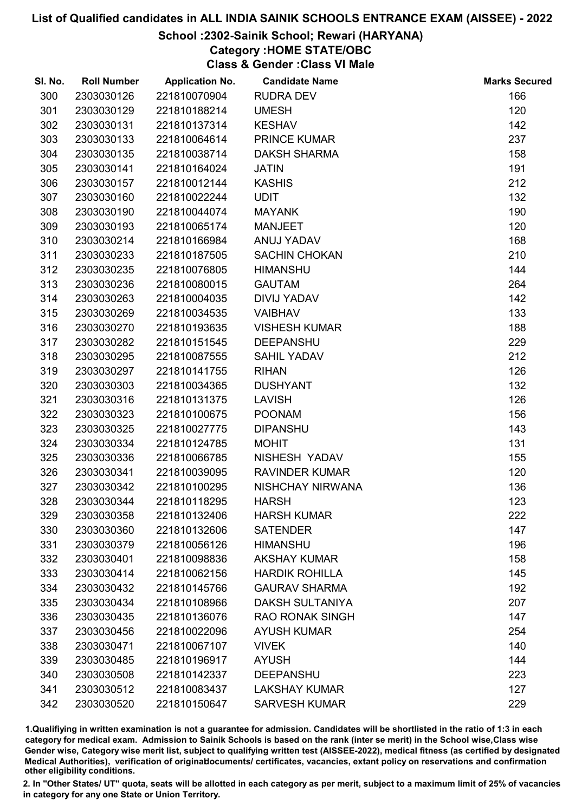# School :2302-Sainik School; Rewari (HARYANA)

# Category :HOME STATE/OBC

Class & Gender :Class VI Male

| SI. No. | <b>Roll Number</b> | <b>Application No.</b> | <b>Candidate Name</b>   | <b>Marks Secured</b> |
|---------|--------------------|------------------------|-------------------------|----------------------|
| 300     | 2303030126         | 221810070904           | <b>RUDRA DEV</b>        | 166                  |
| 301     | 2303030129         | 221810188214           | <b>UMESH</b>            | 120                  |
| 302     | 2303030131         | 221810137314           | <b>KESHAV</b>           | 142                  |
| 303     | 2303030133         | 221810064614           | <b>PRINCE KUMAR</b>     | 237                  |
| 304     | 2303030135         | 221810038714           | <b>DAKSH SHARMA</b>     | 158                  |
| 305     | 2303030141         | 221810164024           | <b>JATIN</b>            | 191                  |
| 306     | 2303030157         | 221810012144           | <b>KASHIS</b>           | 212                  |
| 307     | 2303030160         | 221810022244           | <b>UDIT</b>             | 132                  |
| 308     | 2303030190         | 221810044074           | <b>MAYANK</b>           | 190                  |
| 309     | 2303030193         | 221810065174           | <b>MANJEET</b>          | 120                  |
| 310     | 2303030214         | 221810166984           | ANUJ YADAV              | 168                  |
| 311     | 2303030233         | 221810187505           | <b>SACHIN CHOKAN</b>    | 210                  |
| 312     | 2303030235         | 221810076805           | <b>HIMANSHU</b>         | 144                  |
| 313     | 2303030236         | 221810080015           | <b>GAUTAM</b>           | 264                  |
| 314     | 2303030263         | 221810004035           | <b>DIVIJ YADAV</b>      | 142                  |
| 315     | 2303030269         | 221810034535           | <b>VAIBHAV</b>          | 133                  |
| 316     | 2303030270         | 221810193635           | <b>VISHESH KUMAR</b>    | 188                  |
| 317     | 2303030282         | 221810151545           | <b>DEEPANSHU</b>        | 229                  |
| 318     | 2303030295         | 221810087555           | <b>SAHIL YADAV</b>      | 212                  |
| 319     | 2303030297         | 221810141755           | <b>RIHAN</b>            | 126                  |
| 320     | 2303030303         | 221810034365           | <b>DUSHYANT</b>         | 132                  |
| 321     | 2303030316         | 221810131375           | <b>LAVISH</b>           | 126                  |
| 322     | 2303030323         | 221810100675           | <b>POONAM</b>           | 156                  |
| 323     | 2303030325         | 221810027775           | <b>DIPANSHU</b>         | 143                  |
| 324     | 2303030334         | 221810124785           | <b>MOHIT</b>            | 131                  |
| 325     | 2303030336         | 221810066785           | NISHESH YADAV           | 155                  |
| 326     | 2303030341         | 221810039095           | <b>RAVINDER KUMAR</b>   | 120                  |
| 327     | 2303030342         | 221810100295           | <b>NISHCHAY NIRWANA</b> | 136                  |
| 328     | 2303030344         | 221810118295           | <b>HARSH</b>            | 123                  |
| 329     | 2303030358         | 221810132406           | <b>HARSH KUMAR</b>      | 222                  |
| 330     | 2303030360         | 221810132606           | <b>SATENDER</b>         | 147                  |
| 331     | 2303030379         | 221810056126           | <b>HIMANSHU</b>         | 196                  |
| 332     | 2303030401         | 221810098836           | <b>AKSHAY KUMAR</b>     | 158                  |
| 333     | 2303030414         | 221810062156           | <b>HARDIK ROHILLA</b>   | 145                  |
| 334     | 2303030432         | 221810145766           | <b>GAURAV SHARMA</b>    | 192                  |
| 335     | 2303030434         | 221810108966           | <b>DAKSH SULTANIYA</b>  | 207                  |
| 336     | 2303030435         | 221810136076           | <b>RAO RONAK SINGH</b>  | 147                  |
| 337     | 2303030456         | 221810022096           | <b>AYUSH KUMAR</b>      | 254                  |
| 338     | 2303030471         | 221810067107           | <b>VIVEK</b>            | 140                  |
| 339     | 2303030485         | 221810196917           | <b>AYUSH</b>            | 144                  |
| 340     | 2303030508         | 221810142337           | <b>DEEPANSHU</b>        | 223                  |
| 341     | 2303030512         | 221810083437           | <b>LAKSHAY KUMAR</b>    | 127                  |
| 342     | 2303030520         | 221810150647           | <b>SARVESH KUMAR</b>    | 229                  |

1.Qualifiying in written examination is not a guarantee for admission. Candidates will be shortlisted in the ratio of 1:3 in each category for medical exam. Admission to Sainik Schools is based on the rank (inter se merit) in the School wise,Class wise Gender wise, Category wise merit list, subject to qualifying written test (AISSEE-2022), medical fitness (as certified by designated Medical Authorities), verification of originablocuments/ certificates, vacancies, extant policy on reservations and confirmation other eligibility conditions.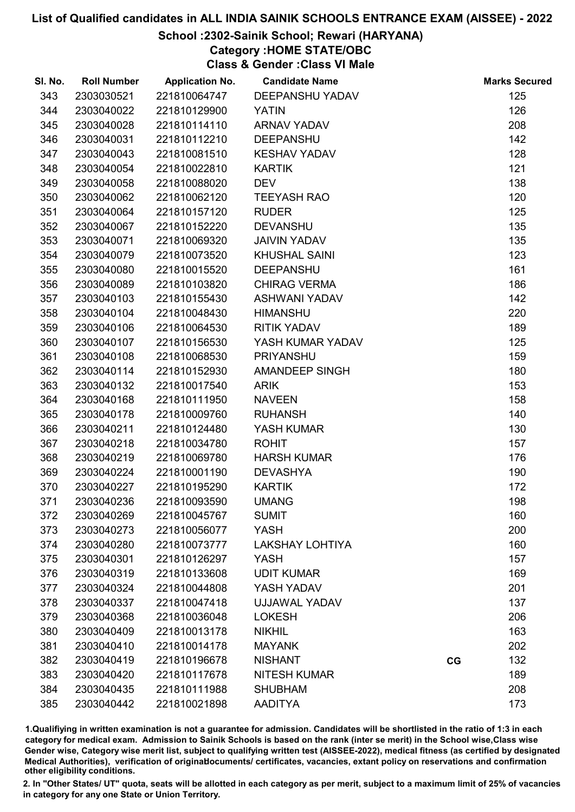# School :2302-Sainik School; Rewari (HARYANA)

# Category :HOME STATE/OBC

Class & Gender :Class VI Male

| SI. No. | <b>Roll Number</b> | <b>Application No.</b> | <b>Candidate Name</b>  |    | <b>Marks Secured</b> |
|---------|--------------------|------------------------|------------------------|----|----------------------|
| 343     | 2303030521         | 221810064747           | <b>DEEPANSHU YADAV</b> |    | 125                  |
| 344     | 2303040022         | 221810129900           | <b>YATIN</b>           |    | 126                  |
| 345     | 2303040028         | 221810114110           | <b>ARNAV YADAV</b>     |    | 208                  |
| 346     | 2303040031         | 221810112210           | <b>DEEPANSHU</b>       |    | 142                  |
| 347     | 2303040043         | 221810081510           | <b>KESHAV YADAV</b>    |    | 128                  |
| 348     | 2303040054         | 221810022810           | <b>KARTIK</b>          |    | 121                  |
| 349     | 2303040058         | 221810088020           | <b>DEV</b>             |    | 138                  |
| 350     | 2303040062         | 221810062120           | <b>TEEYASH RAO</b>     |    | 120                  |
| 351     | 2303040064         | 221810157120           | <b>RUDER</b>           |    | 125                  |
| 352     | 2303040067         | 221810152220           | <b>DEVANSHU</b>        |    | 135                  |
| 353     | 2303040071         | 221810069320           | <b>JAIVIN YADAV</b>    |    | 135                  |
| 354     | 2303040079         | 221810073520           | <b>KHUSHAL SAINI</b>   |    | 123                  |
| 355     | 2303040080         | 221810015520           | <b>DEEPANSHU</b>       |    | 161                  |
| 356     | 2303040089         | 221810103820           | <b>CHIRAG VERMA</b>    |    | 186                  |
| 357     | 2303040103         | 221810155430           | ASHWANI YADAV          |    | 142                  |
| 358     | 2303040104         | 221810048430           | <b>HIMANSHU</b>        |    | 220                  |
| 359     | 2303040106         | 221810064530           | <b>RITIK YADAV</b>     |    | 189                  |
| 360     | 2303040107         | 221810156530           | YASH KUMAR YADAV       |    | 125                  |
| 361     | 2303040108         | 221810068530           | <b>PRIYANSHU</b>       |    | 159                  |
| 362     | 2303040114         | 221810152930           | <b>AMANDEEP SINGH</b>  |    | 180                  |
| 363     | 2303040132         | 221810017540           | <b>ARIK</b>            |    | 153                  |
| 364     | 2303040168         | 221810111950           | <b>NAVEEN</b>          |    | 158                  |
| 365     | 2303040178         | 221810009760           | <b>RUHANSH</b>         |    | 140                  |
| 366     | 2303040211         | 221810124480           | YASH KUMAR             |    | 130                  |
| 367     | 2303040218         | 221810034780           | <b>ROHIT</b>           |    | 157                  |
| 368     | 2303040219         | 221810069780           | <b>HARSH KUMAR</b>     |    | 176                  |
| 369     | 2303040224         | 221810001190           | <b>DEVASHYA</b>        |    | 190                  |
| 370     | 2303040227         | 221810195290           | <b>KARTIK</b>          |    | 172                  |
| 371     | 2303040236         | 221810093590           | <b>UMANG</b>           |    | 198                  |
| 372     | 2303040269         | 221810045767           | <b>SUMIT</b>           |    | 160                  |
| 373     | 2303040273         | 221810056077           | <b>YASH</b>            |    | 200                  |
| 374     | 2303040280         | 221810073777           | <b>LAKSHAY LOHTIYA</b> |    | 160                  |
| 375     | 2303040301         | 221810126297           | <b>YASH</b>            |    | 157                  |
| 376     | 2303040319         | 221810133608           | <b>UDIT KUMAR</b>      |    | 169                  |
| 377     | 2303040324         | 221810044808           | YASH YADAV             |    | 201                  |
| 378     | 2303040337         | 221810047418           | UJJAWAL YADAV          |    | 137                  |
| 379     | 2303040368         | 221810036048           | <b>LOKESH</b>          |    | 206                  |
| 380     | 2303040409         | 221810013178           | <b>NIKHIL</b>          |    | 163                  |
| 381     | 2303040410         | 221810014178           | <b>MAYANK</b>          |    | 202                  |
| 382     | 2303040419         | 221810196678           | <b>NISHANT</b>         | CG | 132                  |
| 383     | 2303040420         | 221810117678           | <b>NITESH KUMAR</b>    |    | 189                  |
| 384     | 2303040435         | 221810111988           | <b>SHUBHAM</b>         |    | 208                  |
| 385     | 2303040442         | 221810021898           | <b>AADITYA</b>         |    | 173                  |

1.Qualifiying in written examination is not a guarantee for admission. Candidates will be shortlisted in the ratio of 1:3 in each category for medical exam. Admission to Sainik Schools is based on the rank (inter se merit) in the School wise,Class wise Gender wise, Category wise merit list, subject to qualifying written test (AISSEE-2022), medical fitness (as certified by designated Medical Authorities), verification of originablocuments/ certificates, vacancies, extant policy on reservations and confirmation other eligibility conditions.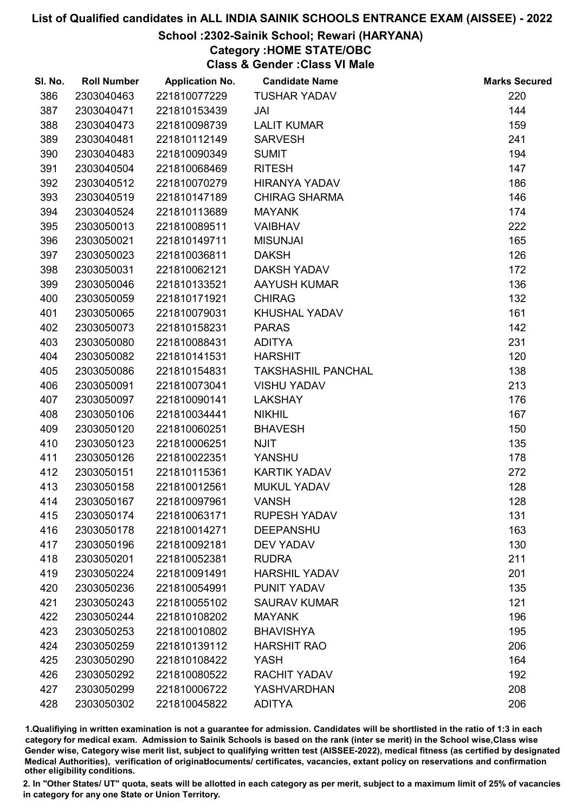# School :2302-Sainik School; Rewari (HARYANA)

# Category :HOME STATE/OBC

Class & Gender :Class VI Male

| SI. No. | <b>Roll Number</b> | <b>Application No.</b> | <b>Candidate Name</b>     | <b>Marks Secured</b> |
|---------|--------------------|------------------------|---------------------------|----------------------|
| 386     | 2303040463         | 221810077229           | <b>TUSHAR YADAV</b>       | 220                  |
| 387     | 2303040471         | 221810153439           | JAI                       | 144                  |
| 388     | 2303040473         | 221810098739           | <b>LALIT KUMAR</b>        | 159                  |
| 389     | 2303040481         | 221810112149           | <b>SARVESH</b>            | 241                  |
| 390     | 2303040483         | 221810090349           | <b>SUMIT</b>              | 194                  |
| 391     | 2303040504         | 221810068469           | <b>RITESH</b>             | 147                  |
| 392     | 2303040512         | 221810070279           | <b>HIRANYA YADAV</b>      | 186                  |
| 393     | 2303040519         | 221810147189           | <b>CHIRAG SHARMA</b>      | 146                  |
| 394     | 2303040524         | 221810113689           | <b>MAYANK</b>             | 174                  |
| 395     | 2303050013         | 221810089511           | <b>VAIBHAV</b>            | 222                  |
| 396     | 2303050021         | 221810149711           | <b>MISUNJAI</b>           | 165                  |
| 397     | 2303050023         | 221810036811           | <b>DAKSH</b>              | 126                  |
| 398     | 2303050031         | 221810062121           | DAKSH YADAV               | 172                  |
| 399     | 2303050046         | 221810133521           | <b>AAYUSH KUMAR</b>       | 136                  |
| 400     | 2303050059         | 221810171921           | <b>CHIRAG</b>             | 132                  |
| 401     | 2303050065         | 221810079031           | <b>KHUSHAL YADAV</b>      | 161                  |
| 402     | 2303050073         | 221810158231           | <b>PARAS</b>              | 142                  |
| 403     | 2303050080         | 221810088431           | <b>ADITYA</b>             | 231                  |
| 404     | 2303050082         | 221810141531           | <b>HARSHIT</b>            | 120                  |
| 405     | 2303050086         | 221810154831           | <b>TAKSHASHIL PANCHAL</b> | 138                  |
| 406     | 2303050091         | 221810073041           | <b>VISHU YADAV</b>        | 213                  |
| 407     | 2303050097         | 221810090141           | <b>LAKSHAY</b>            | 176                  |
| 408     | 2303050106         | 221810034441           | <b>NIKHIL</b>             | 167                  |
| 409     | 2303050120         | 221810060251           | <b>BHAVESH</b>            | 150                  |
| 410     | 2303050123         | 221810006251           | <b>NJIT</b>               | 135                  |
| 411     | 2303050126         | 221810022351           | YANSHU                    | 178                  |
| 412     | 2303050151         | 221810115361           | <b>KARTIK YADAV</b>       | 272                  |
| 413     | 2303050158         | 221810012561           | <b>MUKUL YADAV</b>        | 128                  |
| 414     | 2303050167         | 221810097961           | <b>VANSH</b>              | 128                  |
| 415     | 2303050174         | 221810063171           | <b>RUPESH YADAV</b>       | 131                  |
| 416     | 2303050178         | 221810014271           | <b>DEEPANSHU</b>          | 163                  |
| 417     | 2303050196         | 221810092181           | <b>DEV YADAV</b>          | 130                  |
| 418     | 2303050201         | 221810052381           | <b>RUDRA</b>              | 211                  |
| 419     | 2303050224         | 221810091491           | <b>HARSHIL YADAV</b>      | 201                  |
| 420     | 2303050236         | 221810054991           | PUNIT YADAV               | 135                  |
| 421     | 2303050243         | 221810055102           | <b>SAURAV KUMAR</b>       | 121                  |
| 422     | 2303050244         | 221810108202           | <b>MAYANK</b>             | 196                  |
| 423     | 2303050253         | 221810010802           | <b>BHAVISHYA</b>          | 195                  |
| 424     | 2303050259         | 221810139112           | <b>HARSHIT RAO</b>        | 206                  |
| 425     | 2303050290         | 221810108422           | <b>YASH</b>               | 164                  |
| 426     | 2303050292         | 221810080522           | <b>RACHIT YADAV</b>       | 192                  |
| 427     | 2303050299         | 221810006722           | <b>YASHVARDHAN</b>        | 208                  |
| 428     | 2303050302         | 221810045822           | <b>ADITYA</b>             | 206                  |

1.Qualifiying in written examination is not a guarantee for admission. Candidates will be shortlisted in the ratio of 1:3 in each category for medical exam. Admission to Sainik Schools is based on the rank (inter se merit) in the School wise,Class wise Gender wise, Category wise merit list, subject to qualifying written test (AISSEE-2022), medical fitness (as certified by designated Medical Authorities), verification of originablocuments/ certificates, vacancies, extant policy on reservations and confirmation other eligibility conditions.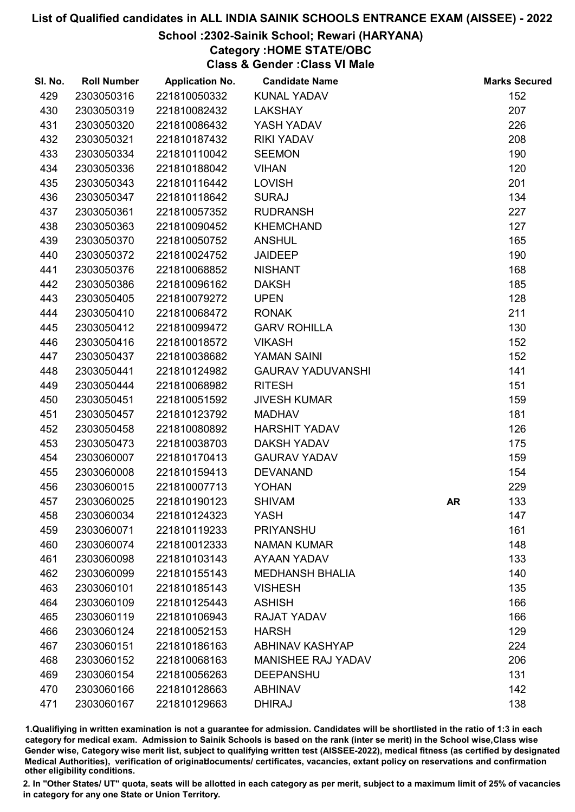# School :2302-Sainik School; Rewari (HARYANA)

Category :HOME STATE/OBC

Class & Gender :Class VI Male

| SI. No. | <b>Roll Number</b> | <b>Application No.</b> | <b>Candidate Name</b>     |           | <b>Marks Secured</b> |
|---------|--------------------|------------------------|---------------------------|-----------|----------------------|
| 429     | 2303050316         | 221810050332           | <b>KUNAL YADAV</b>        |           | 152                  |
| 430     | 2303050319         | 221810082432           | <b>LAKSHAY</b>            |           | 207                  |
| 431     | 2303050320         | 221810086432           | YASH YADAV                |           | 226                  |
| 432     | 2303050321         | 221810187432           | <b>RIKI YADAV</b>         |           | 208                  |
| 433     | 2303050334         | 221810110042           | <b>SEEMON</b>             |           | 190                  |
| 434     | 2303050336         | 221810188042           | <b>VIHAN</b>              |           | 120                  |
| 435     | 2303050343         | 221810116442           | <b>LOVISH</b>             |           | 201                  |
| 436     | 2303050347         | 221810118642           | <b>SURAJ</b>              |           | 134                  |
| 437     | 2303050361         | 221810057352           | <b>RUDRANSH</b>           |           | 227                  |
| 438     | 2303050363         | 221810090452           | <b>KHEMCHAND</b>          |           | 127                  |
| 439     | 2303050370         | 221810050752           | <b>ANSHUL</b>             |           | 165                  |
| 440     | 2303050372         | 221810024752           | <b>JAIDEEP</b>            |           | 190                  |
| 441     | 2303050376         | 221810068852           | <b>NISHANT</b>            |           | 168                  |
| 442     | 2303050386         | 221810096162           | <b>DAKSH</b>              |           | 185                  |
| 443     | 2303050405         | 221810079272           | <b>UPEN</b>               |           | 128                  |
| 444     | 2303050410         | 221810068472           | <b>RONAK</b>              |           | 211                  |
| 445     | 2303050412         | 221810099472           | <b>GARV ROHILLA</b>       |           | 130                  |
| 446     | 2303050416         | 221810018572           | <b>VIKASH</b>             |           | 152                  |
| 447     | 2303050437         | 221810038682           | <b>YAMAN SAINI</b>        |           | 152                  |
| 448     | 2303050441         | 221810124982           | <b>GAURAV YADUVANSHI</b>  |           | 141                  |
| 449     | 2303050444         | 221810068982           | <b>RITESH</b>             |           | 151                  |
| 450     | 2303050451         | 221810051592           | <b>JIVESH KUMAR</b>       |           | 159                  |
| 451     | 2303050457         | 221810123792           | <b>MADHAV</b>             |           | 181                  |
| 452     | 2303050458         | 221810080892           | <b>HARSHIT YADAV</b>      |           | 126                  |
| 453     | 2303050473         | 221810038703           | <b>DAKSH YADAV</b>        |           | 175                  |
| 454     | 2303060007         | 221810170413           | <b>GAURAV YADAV</b>       |           | 159                  |
| 455     | 2303060008         | 221810159413           | <b>DEVANAND</b>           |           | 154                  |
| 456     | 2303060015         | 221810007713           | <b>YOHAN</b>              |           | 229                  |
| 457     | 2303060025         | 221810190123           | <b>SHIVAM</b>             | <b>AR</b> | 133                  |
| 458     | 2303060034         | 221810124323           | <b>YASH</b>               |           | 147                  |
| 459     | 2303060071         | 221810119233           | <b>PRIYANSHU</b>          |           | 161                  |
| 460     | 2303060074         | 221810012333           | <b>NAMAN KUMAR</b>        |           | 148                  |
| 461     | 2303060098         | 221810103143           | AYAAN YADAV               |           | 133                  |
| 462     | 2303060099         | 221810155143           | <b>MEDHANSH BHALIA</b>    |           | 140                  |
| 463     | 2303060101         | 221810185143           | <b>VISHESH</b>            |           | 135                  |
| 464     | 2303060109         | 221810125443           | <b>ASHISH</b>             |           | 166                  |
| 465     | 2303060119         | 221810106943           | <b>RAJAT YADAV</b>        |           | 166                  |
| 466     | 2303060124         | 221810052153           | <b>HARSH</b>              |           | 129                  |
| 467     | 2303060151         | 221810186163           | <b>ABHINAV KASHYAP</b>    |           | 224                  |
| 468     | 2303060152         | 221810068163           | <b>MANISHEE RAJ YADAV</b> |           | 206                  |
| 469     | 2303060154         | 221810056263           | <b>DEEPANSHU</b>          |           | 131                  |
| 470     | 2303060166         | 221810128663           | <b>ABHINAV</b>            |           | 142                  |
| 471     | 2303060167         | 221810129663           | <b>DHIRAJ</b>             |           | 138                  |

1.Qualifiying in written examination is not a guarantee for admission. Candidates will be shortlisted in the ratio of 1:3 in each category for medical exam. Admission to Sainik Schools is based on the rank (inter se merit) in the School wise,Class wise Gender wise, Category wise merit list, subject to qualifying written test (AISSEE-2022), medical fitness (as certified by designated Medical Authorities), verification of originablocuments/ certificates, vacancies, extant policy on reservations and confirmation other eligibility conditions.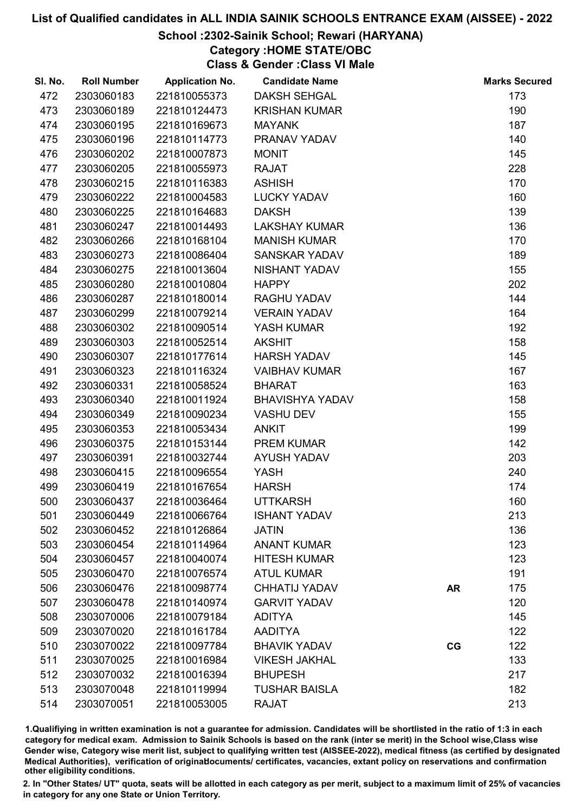# School :2302-Sainik School; Rewari (HARYANA)

Category :HOME STATE/OBC

Class & Gender :Class VI Male

| SI. No. | <b>Roll Number</b> | <b>Application No.</b> | <b>Candidate Name</b>  |           | <b>Marks Secured</b> |
|---------|--------------------|------------------------|------------------------|-----------|----------------------|
| 472     | 2303060183         | 221810055373           | <b>DAKSH SEHGAL</b>    |           | 173                  |
| 473     | 2303060189         | 221810124473           | <b>KRISHAN KUMAR</b>   |           | 190                  |
| 474     | 2303060195         | 221810169673           | <b>MAYANK</b>          |           | 187                  |
| 475     | 2303060196         | 221810114773           | PRANAV YADAV           |           | 140                  |
| 476     | 2303060202         | 221810007873           | <b>MONIT</b>           |           | 145                  |
| 477     | 2303060205         | 221810055973           | <b>RAJAT</b>           |           | 228                  |
| 478     | 2303060215         | 221810116383           | <b>ASHISH</b>          |           | 170                  |
| 479     | 2303060222         | 221810004583           | <b>LUCKY YADAV</b>     |           | 160                  |
| 480     | 2303060225         | 221810164683           | <b>DAKSH</b>           |           | 139                  |
| 481     | 2303060247         | 221810014493           | <b>LAKSHAY KUMAR</b>   |           | 136                  |
| 482     | 2303060266         | 221810168104           | <b>MANISH KUMAR</b>    |           | 170                  |
| 483     | 2303060273         | 221810086404           | <b>SANSKAR YADAV</b>   |           | 189                  |
| 484     | 2303060275         | 221810013604           | NISHANT YADAV          |           | 155                  |
| 485     | 2303060280         | 221810010804           | <b>HAPPY</b>           |           | 202                  |
| 486     | 2303060287         | 221810180014           | <b>RAGHU YADAV</b>     |           | 144                  |
| 487     | 2303060299         | 221810079214           | <b>VERAIN YADAV</b>    |           | 164                  |
| 488     | 2303060302         | 221810090514           | YASH KUMAR             |           | 192                  |
| 489     | 2303060303         | 221810052514           | <b>AKSHIT</b>          |           | 158                  |
| 490     | 2303060307         | 221810177614           | <b>HARSH YADAV</b>     |           | 145                  |
| 491     | 2303060323         | 221810116324           | <b>VAIBHAV KUMAR</b>   |           | 167                  |
| 492     | 2303060331         | 221810058524           | <b>BHARAT</b>          |           | 163                  |
| 493     | 2303060340         | 221810011924           | <b>BHAVISHYA YADAV</b> |           | 158                  |
| 494     | 2303060349         | 221810090234           | <b>VASHU DEV</b>       |           | 155                  |
| 495     | 2303060353         | 221810053434           | <b>ANKIT</b>           |           | 199                  |
| 496     | 2303060375         | 221810153144           | <b>PREM KUMAR</b>      |           | 142                  |
| 497     | 2303060391         | 221810032744           | <b>AYUSH YADAV</b>     |           | 203                  |
| 498     | 2303060415         | 221810096554           | <b>YASH</b>            |           | 240                  |
| 499     | 2303060419         | 221810167654           | <b>HARSH</b>           |           | 174                  |
| 500     | 2303060437         | 221810036464           | <b>UTTKARSH</b>        |           | 160                  |
| 501     | 2303060449         | 221810066764           | <b>ISHANT YADAV</b>    |           | 213                  |
| 502     | 2303060452         | 221810126864           | <b>JATIN</b>           |           | 136                  |
| 503     | 2303060454         | 221810114964           | <b>ANANT KUMAR</b>     |           | 123                  |
| 504     | 2303060457         | 221810040074           | <b>HITESH KUMAR</b>    |           | 123                  |
| 505     | 2303060470         | 221810076574           | <b>ATUL KUMAR</b>      |           | 191                  |
| 506     | 2303060476         | 221810098774           | <b>CHHATIJ YADAV</b>   | <b>AR</b> | 175                  |
| 507     | 2303060478         | 221810140974           | <b>GARVIT YADAV</b>    |           | 120                  |
| 508     | 2303070006         | 221810079184           | <b>ADITYA</b>          |           | 145                  |
| 509     | 2303070020         | 221810161784           | <b>AADITYA</b>         |           | 122                  |
| 510     | 2303070022         | 221810097784           | <b>BHAVIK YADAV</b>    | CG        | 122                  |
| 511     | 2303070025         | 221810016984           | <b>VIKESH JAKHAL</b>   |           | 133                  |
| 512     | 2303070032         | 221810016394           | <b>BHUPESH</b>         |           | 217                  |
| 513     | 2303070048         | 221810119994           | <b>TUSHAR BAISLA</b>   |           | 182                  |
| 514     | 2303070051         | 221810053005           | <b>RAJAT</b>           |           | 213                  |

1.Qualifiying in written examination is not a guarantee for admission. Candidates will be shortlisted in the ratio of 1:3 in each category for medical exam. Admission to Sainik Schools is based on the rank (inter se merit) in the School wise,Class wise Gender wise, Category wise merit list, subject to qualifying written test (AISSEE-2022), medical fitness (as certified by designated Medical Authorities), verification of originablocuments/ certificates, vacancies, extant policy on reservations and confirmation other eligibility conditions.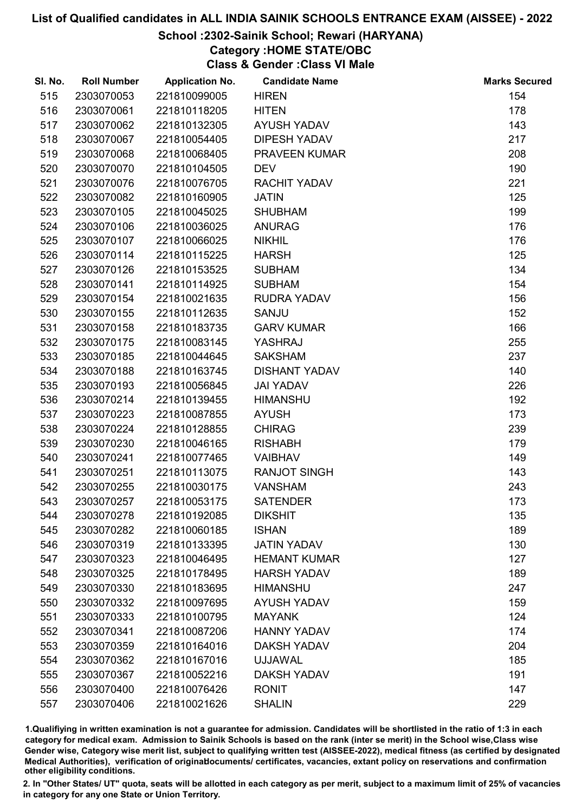#### School :2302-Sainik School; Rewari (HARYANA)

Category :HOME STATE/OBC

Class & Gender :Class VI Male

| SI. No. | <b>Roll Number</b> | <b>Application No.</b> | <b>Candidate Name</b> | <b>Marks Secured</b> |
|---------|--------------------|------------------------|-----------------------|----------------------|
| 515     | 2303070053         | 221810099005           | <b>HIREN</b>          | 154                  |
| 516     | 2303070061         | 221810118205           | <b>HITEN</b>          | 178                  |
| 517     | 2303070062         | 221810132305           | <b>AYUSH YADAV</b>    | 143                  |
| 518     | 2303070067         | 221810054405           | <b>DIPESH YADAV</b>   | 217                  |
| 519     | 2303070068         | 221810068405           | PRAVEEN KUMAR         | 208                  |
| 520     | 2303070070         | 221810104505           | <b>DEV</b>            | 190                  |
| 521     | 2303070076         | 221810076705           | <b>RACHIT YADAV</b>   | 221                  |
| 522     | 2303070082         | 221810160905           | <b>JATIN</b>          | 125                  |
| 523     | 2303070105         | 221810045025           | <b>SHUBHAM</b>        | 199                  |
| 524     | 2303070106         | 221810036025           | <b>ANURAG</b>         | 176                  |
| 525     | 2303070107         | 221810066025           | <b>NIKHIL</b>         | 176                  |
| 526     | 2303070114         | 221810115225           | <b>HARSH</b>          | 125                  |
| 527     | 2303070126         | 221810153525           | <b>SUBHAM</b>         | 134                  |
| 528     | 2303070141         | 221810114925           | <b>SUBHAM</b>         | 154                  |
| 529     | 2303070154         | 221810021635           | <b>RUDRA YADAV</b>    | 156                  |
| 530     | 2303070155         | 221810112635           | <b>SANJU</b>          | 152                  |
| 531     | 2303070158         | 221810183735           | <b>GARV KUMAR</b>     | 166                  |
| 532     | 2303070175         | 221810083145           | YASHRAJ               | 255                  |
| 533     | 2303070185         | 221810044645           | <b>SAKSHAM</b>        | 237                  |
| 534     | 2303070188         | 221810163745           | <b>DISHANT YADAV</b>  | 140                  |
| 535     | 2303070193         | 221810056845           | <b>JAI YADAV</b>      | 226                  |
| 536     | 2303070214         | 221810139455           | <b>HIMANSHU</b>       | 192                  |
| 537     | 2303070223         | 221810087855           | <b>AYUSH</b>          | 173                  |
| 538     | 2303070224         | 221810128855           | <b>CHIRAG</b>         | 239                  |
| 539     | 2303070230         | 221810046165           | <b>RISHABH</b>        | 179                  |
| 540     | 2303070241         | 221810077465           | <b>VAIBHAV</b>        | 149                  |
| 541     | 2303070251         | 221810113075           | <b>RANJOT SINGH</b>   | 143                  |
| 542     | 2303070255         | 221810030175           | <b>VANSHAM</b>        | 243                  |
| 543     | 2303070257         | 221810053175           | <b>SATENDER</b>       | 173                  |
| 544     | 2303070278         | 221810192085           | <b>DIKSHIT</b>        | 135                  |
| 545     | 2303070282         | 221810060185           | <b>ISHAN</b>          | 189                  |
| 546     | 2303070319         | 221810133395           | <b>JATIN YADAV</b>    | 130                  |
| 547     | 2303070323         | 221810046495           | <b>HEMANT KUMAR</b>   | 127                  |
| 548     | 2303070325         | 221810178495           | <b>HARSH YADAV</b>    | 189                  |
| 549     | 2303070330         | 221810183695           | <b>HIMANSHU</b>       | 247                  |
| 550     | 2303070332         | 221810097695           | <b>AYUSH YADAV</b>    | 159                  |
| 551     | 2303070333         | 221810100795           | <b>MAYANK</b>         | 124                  |
| 552     | 2303070341         | 221810087206           | <b>HANNY YADAV</b>    | 174                  |
| 553     | 2303070359         | 221810164016           | <b>DAKSH YADAV</b>    | 204                  |
| 554     | 2303070362         | 221810167016           | <b>UJJAWAL</b>        | 185                  |
| 555     | 2303070367         | 221810052216           | <b>DAKSH YADAV</b>    | 191                  |
| 556     | 2303070400         | 221810076426           | <b>RONIT</b>          | 147                  |
| 557     | 2303070406         | 221810021626           | <b>SHALIN</b>         | 229                  |

1.Qualifiying in written examination is not a guarantee for admission. Candidates will be shortlisted in the ratio of 1:3 in each category for medical exam. Admission to Sainik Schools is based on the rank (inter se merit) in the School wise,Class wise Gender wise, Category wise merit list, subject to qualifying written test (AISSEE-2022), medical fitness (as certified by designated Medical Authorities), verification of originablocuments/ certificates, vacancies, extant policy on reservations and confirmation other eligibility conditions.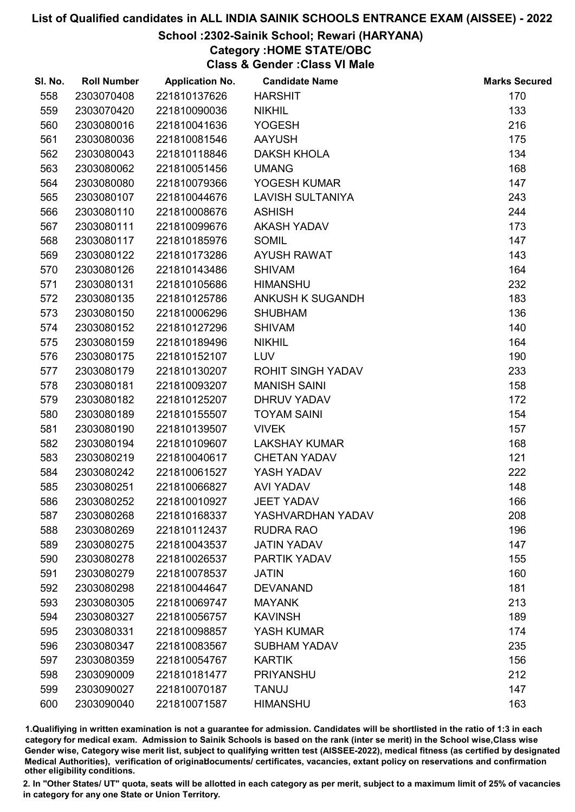#### School :2302-Sainik School; Rewari (HARYANA)

Category :HOME STATE/OBC

Class & Gender :Class VI Male

| SI. No. | <b>Roll Number</b> | <b>Application No.</b> | <b>Candidate Name</b>    | <b>Marks Secured</b> |
|---------|--------------------|------------------------|--------------------------|----------------------|
| 558     | 2303070408         | 221810137626           | <b>HARSHIT</b>           | 170                  |
| 559     | 2303070420         | 221810090036           | <b>NIKHIL</b>            | 133                  |
| 560     | 2303080016         | 221810041636           | <b>YOGESH</b>            | 216                  |
| 561     | 2303080036         | 221810081546           | <b>AAYUSH</b>            | 175                  |
| 562     | 2303080043         | 221810118846           | <b>DAKSH KHOLA</b>       | 134                  |
| 563     | 2303080062         | 221810051456           | <b>UMANG</b>             | 168                  |
| 564     | 2303080080         | 221810079366           | YOGESH KUMAR             | 147                  |
| 565     | 2303080107         | 221810044676           | <b>LAVISH SULTANIYA</b>  | 243                  |
| 566     | 2303080110         | 221810008676           | <b>ASHISH</b>            | 244                  |
| 567     | 2303080111         | 221810099676           | <b>AKASH YADAV</b>       | 173                  |
| 568     | 2303080117         | 221810185976           | <b>SOMIL</b>             | 147                  |
| 569     | 2303080122         | 221810173286           | <b>AYUSH RAWAT</b>       | 143                  |
| 570     | 2303080126         | 221810143486           | <b>SHIVAM</b>            | 164                  |
| 571     | 2303080131         | 221810105686           | <b>HIMANSHU</b>          | 232                  |
| 572     | 2303080135         | 221810125786           | <b>ANKUSH K SUGANDH</b>  | 183                  |
| 573     | 2303080150         | 221810006296           | <b>SHUBHAM</b>           | 136                  |
| 574     | 2303080152         | 221810127296           | <b>SHIVAM</b>            | 140                  |
| 575     | 2303080159         | 221810189496           | <b>NIKHIL</b>            | 164                  |
| 576     | 2303080175         | 221810152107           | <b>LUV</b>               | 190                  |
| 577     | 2303080179         | 221810130207           | <b>ROHIT SINGH YADAV</b> | 233                  |
| 578     | 2303080181         | 221810093207           | <b>MANISH SAINI</b>      | 158                  |
| 579     | 2303080182         | 221810125207           | <b>DHRUV YADAV</b>       | 172                  |
| 580     | 2303080189         | 221810155507           | <b>TOYAM SAINI</b>       | 154                  |
| 581     | 2303080190         | 221810139507           | <b>VIVEK</b>             | 157                  |
| 582     | 2303080194         | 221810109607           | <b>LAKSHAY KUMAR</b>     | 168                  |
| 583     | 2303080219         | 221810040617           | <b>CHETAN YADAV</b>      | 121                  |
| 584     | 2303080242         | 221810061527           | YASH YADAV               | 222                  |
| 585     | 2303080251         | 221810066827           | <b>AVI YADAV</b>         | 148                  |
| 586     | 2303080252         | 221810010927           | <b>JEET YADAV</b>        | 166                  |
| 587     | 2303080268         | 221810168337           | YASHVARDHAN YADAV        | 208                  |
| 588     | 2303080269         | 221810112437           | <b>RUDRA RAO</b>         | 196                  |
| 589     | 2303080275         | 221810043537           | <b>JATIN YADAV</b>       | 147                  |
| 590     | 2303080278         | 221810026537           | PARTIK YADAV             | 155                  |
| 591     | 2303080279         | 221810078537           | <b>JATIN</b>             | 160                  |
| 592     | 2303080298         | 221810044647           | <b>DEVANAND</b>          | 181                  |
| 593     | 2303080305         | 221810069747           | <b>MAYANK</b>            | 213                  |
| 594     | 2303080327         | 221810056757           | <b>KAVINSH</b>           | 189                  |
| 595     | 2303080331         | 221810098857           | YASH KUMAR               | 174                  |
| 596     | 2303080347         | 221810083567           | <b>SUBHAM YADAV</b>      | 235                  |
| 597     | 2303080359         | 221810054767           | <b>KARTIK</b>            | 156                  |
| 598     | 2303090009         | 221810181477           | <b>PRIYANSHU</b>         | 212                  |
| 599     | 2303090027         | 221810070187           | <b>TANUJ</b>             | 147                  |
| 600     | 2303090040         | 221810071587           | <b>HIMANSHU</b>          | 163                  |

1.Qualifiying in written examination is not a guarantee for admission. Candidates will be shortlisted in the ratio of 1:3 in each category for medical exam. Admission to Sainik Schools is based on the rank (inter se merit) in the School wise,Class wise Gender wise, Category wise merit list, subject to qualifying written test (AISSEE-2022), medical fitness (as certified by designated Medical Authorities), verification of originablocuments/ certificates, vacancies, extant policy on reservations and confirmation other eligibility conditions.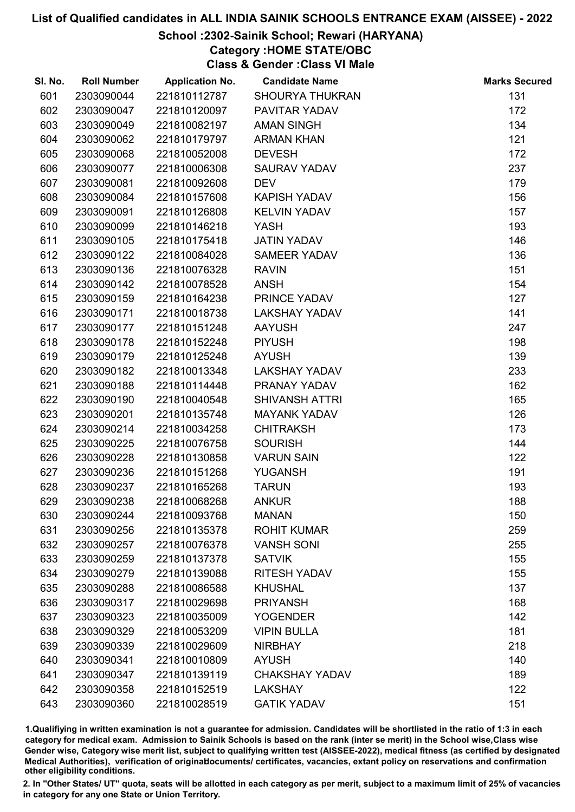# School :2302-Sainik School; Rewari (HARYANA)

Category :HOME STATE/OBC

Class & Gender :Class VI Male

| SI. No. | <b>Roll Number</b> | <b>Application No.</b> | <b>Candidate Name</b>  | <b>Marks Secured</b> |
|---------|--------------------|------------------------|------------------------|----------------------|
| 601     | 2303090044         | 221810112787           | <b>SHOURYA THUKRAN</b> | 131                  |
| 602     | 2303090047         | 221810120097           | PAVITAR YADAV          | 172                  |
| 603     | 2303090049         | 221810082197           | <b>AMAN SINGH</b>      | 134                  |
| 604     | 2303090062         | 221810179797           | <b>ARMAN KHAN</b>      | 121                  |
| 605     | 2303090068         | 221810052008           | <b>DEVESH</b>          | 172                  |
| 606     | 2303090077         | 221810006308           | <b>SAURAV YADAV</b>    | 237                  |
| 607     | 2303090081         | 221810092608           | <b>DEV</b>             | 179                  |
| 608     | 2303090084         | 221810157608           | <b>KAPISH YADAV</b>    | 156                  |
| 609     | 2303090091         | 221810126808           | <b>KELVIN YADAV</b>    | 157                  |
| 610     | 2303090099         | 221810146218           | <b>YASH</b>            | 193                  |
| 611     | 2303090105         | 221810175418           | <b>JATIN YADAV</b>     | 146                  |
| 612     | 2303090122         | 221810084028           | <b>SAMEER YADAV</b>    | 136                  |
| 613     | 2303090136         | 221810076328           | <b>RAVIN</b>           | 151                  |
| 614     | 2303090142         | 221810078528           | <b>ANSH</b>            | 154                  |
| 615     | 2303090159         | 221810164238           | PRINCE YADAV           | 127                  |
| 616     | 2303090171         | 221810018738           | <b>LAKSHAY YADAV</b>   | 141                  |
| 617     | 2303090177         | 221810151248           | <b>AAYUSH</b>          | 247                  |
| 618     | 2303090178         | 221810152248           | <b>PIYUSH</b>          | 198                  |
| 619     | 2303090179         | 221810125248           | <b>AYUSH</b>           | 139                  |
| 620     | 2303090182         | 221810013348           | <b>LAKSHAY YADAV</b>   | 233                  |
| 621     | 2303090188         | 221810114448           | PRANAY YADAV           | 162                  |
| 622     | 2303090190         | 221810040548           | <b>SHIVANSH ATTRI</b>  | 165                  |
| 623     | 2303090201         | 221810135748           | <b>MAYANK YADAV</b>    | 126                  |
| 624     | 2303090214         | 221810034258           | <b>CHITRAKSH</b>       | 173                  |
| 625     | 2303090225         | 221810076758           | <b>SOURISH</b>         | 144                  |
| 626     | 2303090228         | 221810130858           | <b>VARUN SAIN</b>      | 122                  |
| 627     | 2303090236         | 221810151268           | <b>YUGANSH</b>         | 191                  |
| 628     | 2303090237         | 221810165268           | <b>TARUN</b>           | 193                  |
| 629     | 2303090238         | 221810068268           | <b>ANKUR</b>           | 188                  |
| 630     | 2303090244         | 221810093768           | <b>MANAN</b>           | 150                  |
| 631     | 2303090256         | 221810135378           | <b>ROHIT KUMAR</b>     | 259                  |
| 632     | 2303090257         | 221810076378           | <b>VANSH SONI</b>      | 255                  |
| 633     | 2303090259         | 221810137378           | <b>SATVIK</b>          | 155                  |
| 634     | 2303090279         | 221810139088           | <b>RITESH YADAV</b>    | 155                  |
| 635     | 2303090288         | 221810086588           | <b>KHUSHAL</b>         | 137                  |
| 636     | 2303090317         | 221810029698           | <b>PRIYANSH</b>        | 168                  |
| 637     | 2303090323         | 221810035009           | <b>YOGENDER</b>        | 142                  |
| 638     | 2303090329         | 221810053209           | <b>VIPIN BULLA</b>     | 181                  |
| 639     | 2303090339         | 221810029609           | <b>NIRBHAY</b>         | 218                  |
| 640     | 2303090341         | 221810010809           | <b>AYUSH</b>           | 140                  |
| 641     | 2303090347         | 221810139119           | <b>CHAKSHAY YADAV</b>  | 189                  |
| 642     | 2303090358         | 221810152519           | <b>LAKSHAY</b>         | 122                  |
| 643     | 2303090360         | 221810028519           | <b>GATIK YADAV</b>     | 151                  |

1.Qualifiying in written examination is not a guarantee for admission. Candidates will be shortlisted in the ratio of 1:3 in each category for medical exam. Admission to Sainik Schools is based on the rank (inter se merit) in the School wise,Class wise Gender wise, Category wise merit list, subject to qualifying written test (AISSEE-2022), medical fitness (as certified by designated Medical Authorities), verification of originablocuments/ certificates, vacancies, extant policy on reservations and confirmation other eligibility conditions.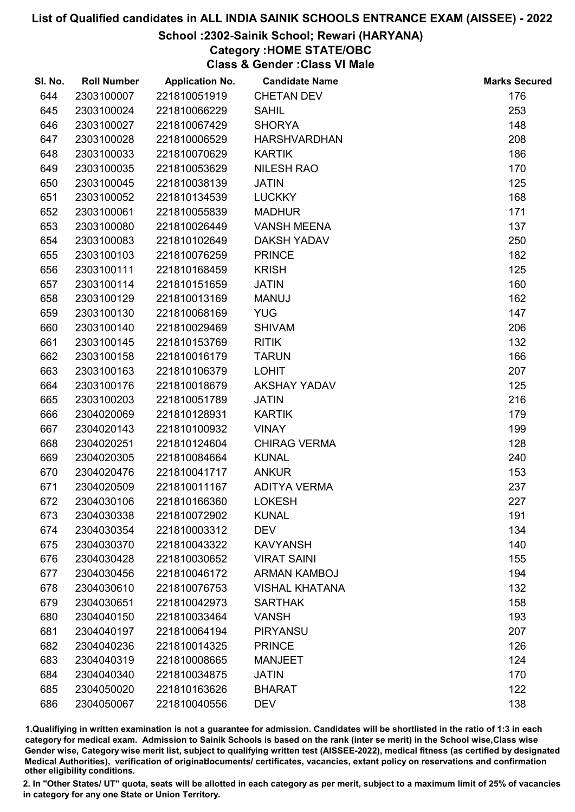# School :2302-Sainik School; Rewari (HARYANA)

# Category :HOME STATE/OBC

Class & Gender :Class VI Male

| SI. No. | <b>Roll Number</b> | <b>Application No.</b> | <b>Candidate Name</b> | <b>Marks Secured</b> |
|---------|--------------------|------------------------|-----------------------|----------------------|
| 644     | 2303100007         | 221810051919           | <b>CHETAN DEV</b>     | 176                  |
| 645     | 2303100024         | 221810066229           | <b>SAHIL</b>          | 253                  |
| 646     | 2303100027         | 221810067429           | <b>SHORYA</b>         | 148                  |
| 647     | 2303100028         | 221810006529           | <b>HARSHVARDHAN</b>   | 208                  |
| 648     | 2303100033         | 221810070629           | <b>KARTIK</b>         | 186                  |
| 649     | 2303100035         | 221810053629           | <b>NILESH RAO</b>     | 170                  |
| 650     | 2303100045         | 221810038139           | <b>JATIN</b>          | 125                  |
| 651     | 2303100052         | 221810134539           | <b>LUCKKY</b>         | 168                  |
| 652     | 2303100061         | 221810055839           | <b>MADHUR</b>         | 171                  |
| 653     | 2303100080         | 221810026449           | <b>VANSH MEENA</b>    | 137                  |
| 654     | 2303100083         | 221810102649           | <b>DAKSH YADAV</b>    | 250                  |
| 655     | 2303100103         | 221810076259           | <b>PRINCE</b>         | 182                  |
| 656     | 2303100111         | 221810168459           | <b>KRISH</b>          | 125                  |
| 657     | 2303100114         | 221810151659           | <b>JATIN</b>          | 160                  |
| 658     | 2303100129         | 221810013169           | <b>MANUJ</b>          | 162                  |
| 659     | 2303100130         | 221810068169           | <b>YUG</b>            | 147                  |
| 660     | 2303100140         | 221810029469           | <b>SHIVAM</b>         | 206                  |
| 661     | 2303100145         | 221810153769           | <b>RITIK</b>          | 132                  |
| 662     | 2303100158         | 221810016179           | <b>TARUN</b>          | 166                  |
| 663     | 2303100163         | 221810106379           | <b>LOHIT</b>          | 207                  |
| 664     | 2303100176         | 221810018679           | <b>AKSHAY YADAV</b>   | 125                  |
| 665     | 2303100203         | 221810051789           | <b>JATIN</b>          | 216                  |
| 666     | 2304020069         | 221810128931           | <b>KARTIK</b>         | 179                  |
| 667     | 2304020143         | 221810100932           | <b>VINAY</b>          | 199                  |
| 668     | 2304020251         | 221810124604           | <b>CHIRAG VERMA</b>   | 128                  |
| 669     | 2304020305         | 221810084664           | <b>KUNAL</b>          | 240                  |
| 670     | 2304020476         | 221810041717           | <b>ANKUR</b>          | 153                  |
| 671     | 2304020509         | 221810011167           | <b>ADITYA VERMA</b>   | 237                  |
| 672     | 2304030106         | 221810166360           | <b>LOKESH</b>         | 227                  |
| 673     | 2304030338         | 221810072902           | <b>KUNAL</b>          | 191                  |
| 674     | 2304030354         | 221810003312           | <b>DEV</b>            | 134                  |
| 675     | 2304030370         | 221810043322           | <b>KAVYANSH</b>       | 140                  |
| 676     | 2304030428         | 221810030652           | <b>VIRAT SAINI</b>    | 155                  |
| 677     | 2304030456         | 221810046172           | <b>ARMAN KAMBOJ</b>   | 194                  |
| 678     | 2304030610         | 221810076753           | <b>VISHAL KHATANA</b> | 132                  |
| 679     | 2304030651         | 221810042973           | <b>SARTHAK</b>        | 158                  |
| 680     | 2304040150         | 221810033464           | <b>VANSH</b>          | 193                  |
| 681     | 2304040197         | 221810064194           | <b>PIRYANSU</b>       | 207                  |
| 682     | 2304040236         | 221810014325           | <b>PRINCE</b>         | 126                  |
| 683     | 2304040319         | 221810008665           | <b>MANJEET</b>        | 124                  |
| 684     | 2304040340         | 221810034875           | <b>JATIN</b>          | 170                  |
| 685     | 2304050020         | 221810163626           | <b>BHARAT</b>         | 122                  |
| 686     | 2304050067         | 221810040556           | <b>DEV</b>            | 138                  |
|         |                    |                        |                       |                      |

1.Qualifiying in written examination is not a guarantee for admission. Candidates will be shortlisted in the ratio of 1:3 in each category for medical exam. Admission to Sainik Schools is based on the rank (inter se merit) in the School wise,Class wise Gender wise, Category wise merit list, subject to qualifying written test (AISSEE-2022), medical fitness (as certified by designated Medical Authorities), verification of originablocuments/ certificates, vacancies, extant policy on reservations and confirmation other eligibility conditions.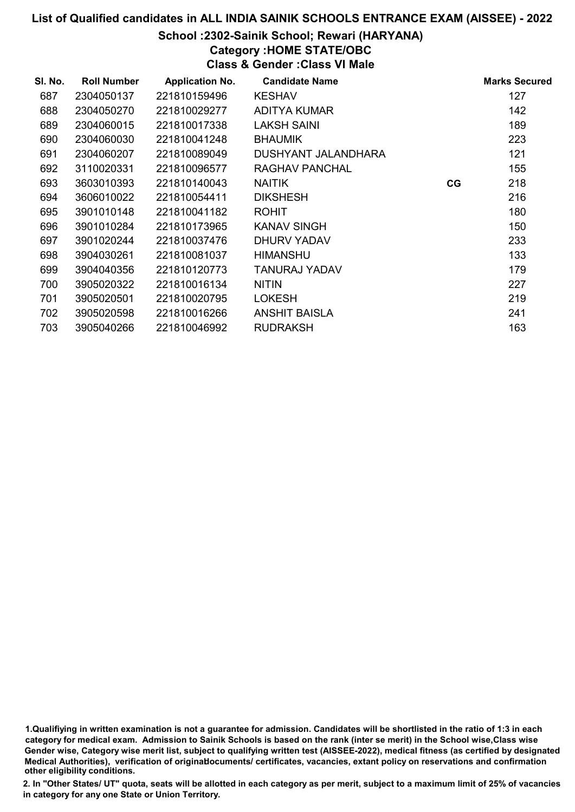#### School :2302-Sainik School; Rewari (HARYANA)

Category :HOME STATE/OBC

Class & Gender :Class VI Male

| SI. No. | <b>Roll Number</b> | <b>Application No.</b> | <b>Candidate Name</b> |    | <b>Marks Secured</b> |
|---------|--------------------|------------------------|-----------------------|----|----------------------|
| 687     | 2304050137         | 221810159496           | <b>KESHAV</b>         |    | 127                  |
| 688     | 2304050270         | 221810029277           | <b>ADITYA KUMAR</b>   |    | 142                  |
| 689     | 2304060015         | 221810017338           | <b>LAKSH SAINI</b>    |    | 189                  |
| 690     | 2304060030         | 221810041248           | <b>BHAUMIK</b>        |    | 223                  |
| 691     | 2304060207         | 221810089049           | DUSHYANT JALANDHARA   |    | 121                  |
| 692     | 3110020331         | 221810096577           | RAGHAV PANCHAL        |    | 155                  |
| 693     | 3603010393         | 221810140043           | <b>NAITIK</b>         | CG | 218                  |
| 694     | 3606010022         | 221810054411           | <b>DIKSHESH</b>       |    | 216                  |
| 695     | 3901010148         | 221810041182           | <b>ROHIT</b>          |    | 180                  |
| 696     | 3901010284         | 221810173965           | <b>KANAV SINGH</b>    |    | 150                  |
| 697     | 3901020244         | 221810037476           | DHURV YADAV           |    | 233                  |
| 698     | 3904030261         | 221810081037           | <b>HIMANSHU</b>       |    | 133                  |
| 699     | 3904040356         | 221810120773           | TANURAJ YADAV         |    | 179                  |
| 700     | 3905020322         | 221810016134           | <b>NITIN</b>          |    | 227                  |
| 701     | 3905020501         | 221810020795           | <b>LOKESH</b>         |    | 219                  |
| 702     | 3905020598         | 221810016266           | <b>ANSHIT BAISLA</b>  |    | 241                  |
| 703     | 3905040266         | 221810046992           | <b>RUDRAKSH</b>       |    | 163                  |

1.Qualifiying in written examination is not a guarantee for admission. Candidates will be shortlisted in the ratio of 1:3 in each category for medical exam. Admission to Sainik Schools is based on the rank (inter se merit) in the School wise,Class wise Gender wise, Category wise merit list, subject to qualifying written test (AISSEE-2022), medical fitness (as certified by designated Medical Authorities), verification of originablocuments/ certificates, vacancies, extant policy on reservations and confirmation other eligibility conditions.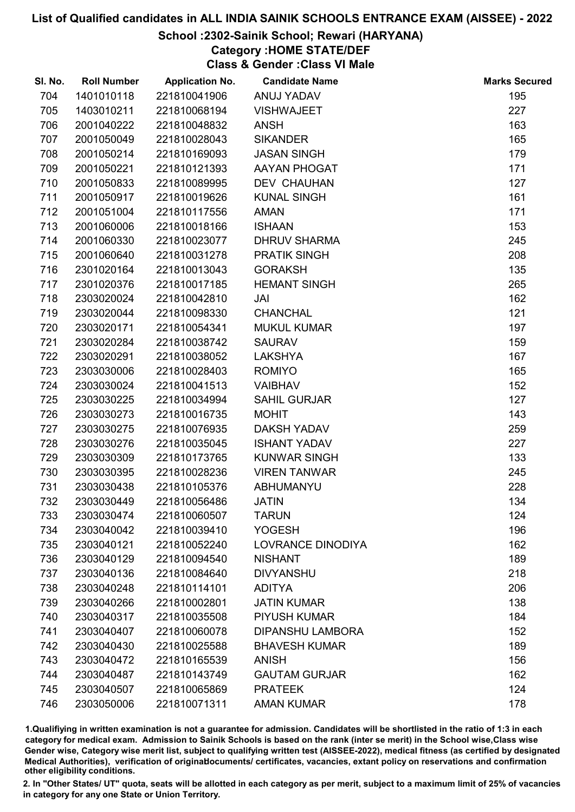# School :2302-Sainik School; Rewari (HARYANA)

Category :HOME STATE/DEF

Class & Gender :Class VI Male

| SI. No. | <b>Roll Number</b> | <b>Application No.</b> | <b>Candidate Name</b>   | <b>Marks Secured</b> |
|---------|--------------------|------------------------|-------------------------|----------------------|
| 704     | 1401010118         | 221810041906           | ANUJ YADAV              | 195                  |
| 705     | 1403010211         | 221810068194           | <b>VISHWAJEET</b>       | 227                  |
| 706     | 2001040222         | 221810048832           | <b>ANSH</b>             | 163                  |
| 707     | 2001050049         | 221810028043           | <b>SIKANDER</b>         | 165                  |
| 708     | 2001050214         | 221810169093           | <b>JASAN SINGH</b>      | 179                  |
| 709     | 2001050221         | 221810121393           | AAYAN PHOGAT            | 171                  |
| 710     | 2001050833         | 221810089995           | <b>DEV CHAUHAN</b>      | 127                  |
| 711     | 2001050917         | 221810019626           | <b>KUNAL SINGH</b>      | 161                  |
| 712     | 2001051004         | 221810117556           | <b>AMAN</b>             | 171                  |
| 713     | 2001060006         | 221810018166           | <b>ISHAAN</b>           | 153                  |
| 714     | 2001060330         | 221810023077           | <b>DHRUV SHARMA</b>     | 245                  |
| 715     | 2001060640         | 221810031278           | <b>PRATIK SINGH</b>     | 208                  |
| 716     | 2301020164         | 221810013043           | <b>GORAKSH</b>          | 135                  |
| 717     | 2301020376         | 221810017185           | <b>HEMANT SINGH</b>     | 265                  |
| 718     | 2303020024         | 221810042810           | JAI                     | 162                  |
| 719     | 2303020044         | 221810098330           | <b>CHANCHAL</b>         | 121                  |
| 720     | 2303020171         | 221810054341           | <b>MUKUL KUMAR</b>      | 197                  |
| 721     | 2303020284         | 221810038742           | <b>SAURAV</b>           | 159                  |
| 722     | 2303020291         | 221810038052           | <b>LAKSHYA</b>          | 167                  |
| 723     | 2303030006         | 221810028403           | <b>ROMIYO</b>           | 165                  |
| 724     | 2303030024         | 221810041513           | <b>VAIBHAV</b>          | 152                  |
| 725     | 2303030225         | 221810034994           | <b>SAHIL GURJAR</b>     | 127                  |
| 726     | 2303030273         | 221810016735           | <b>MOHIT</b>            | 143                  |
| 727     | 2303030275         | 221810076935           | <b>DAKSH YADAV</b>      | 259                  |
| 728     | 2303030276         | 221810035045           | <b>ISHANT YADAV</b>     | 227                  |
| 729     | 2303030309         | 221810173765           | <b>KUNWAR SINGH</b>     | 133                  |
| 730     | 2303030395         | 221810028236           | <b>VIREN TANWAR</b>     | 245                  |
| 731     | 2303030438         | 221810105376           | ABHUMANYU               | 228                  |
| 732     | 2303030449         | 221810056486           | <b>JATIN</b>            | 134                  |
| 733     | 2303030474         | 221810060507           | <b>TARUN</b>            | 124                  |
| 734     | 2303040042         | 221810039410           | <b>YOGESH</b>           | 196                  |
| 735     | 2303040121         | 221810052240           | LOVRANCE DINODIYA       | 162                  |
| 736     | 2303040129         | 221810094540           | <b>NISHANT</b>          | 189                  |
| 737     | 2303040136         | 221810084640           | <b>DIVYANSHU</b>        | 218                  |
| 738     | 2303040248         | 221810114101           | <b>ADITYA</b>           | 206                  |
| 739     | 2303040266         | 221810002801           | <b>JATIN KUMAR</b>      | 138                  |
| 740     | 2303040317         | 221810035508           | <b>PIYUSH KUMAR</b>     | 184                  |
| 741     | 2303040407         | 221810060078           | <b>DIPANSHU LAMBORA</b> | 152                  |
| 742     | 2303040430         | 221810025588           | <b>BHAVESH KUMAR</b>    | 189                  |
| 743     | 2303040472         | 221810165539           | <b>ANISH</b>            | 156                  |
| 744     | 2303040487         | 221810143749           | <b>GAUTAM GURJAR</b>    | 162                  |
| 745     | 2303040507         | 221810065869           | <b>PRATEEK</b>          | 124                  |
| 746     | 2303050006         | 221810071311           | <b>AMAN KUMAR</b>       | 178                  |

1.Qualifiying in written examination is not a guarantee for admission. Candidates will be shortlisted in the ratio of 1:3 in each category for medical exam. Admission to Sainik Schools is based on the rank (inter se merit) in the School wise,Class wise Gender wise, Category wise merit list, subject to qualifying written test (AISSEE-2022), medical fitness (as certified by designated Medical Authorities), verification of originablocuments/ certificates, vacancies, extant policy on reservations and confirmation other eligibility conditions.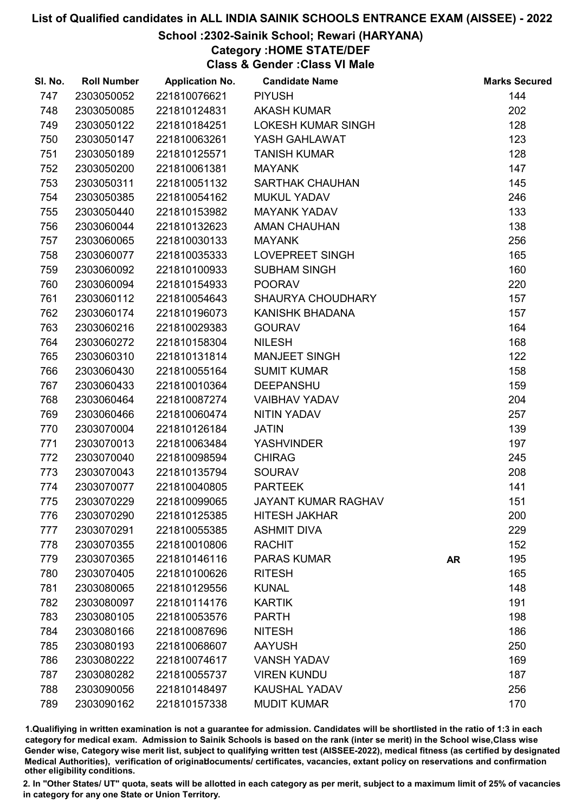# School :2302-Sainik School; Rewari (HARYANA)

Category :HOME STATE/DEF

Class & Gender :Class VI Male

| SI. No. | <b>Roll Number</b> | <b>Application No.</b> | <b>Candidate Name</b>      |           | <b>Marks Secured</b> |
|---------|--------------------|------------------------|----------------------------|-----------|----------------------|
| 747     | 2303050052         | 221810076621           | <b>PIYUSH</b>              |           | 144                  |
| 748     | 2303050085         | 221810124831           | <b>AKASH KUMAR</b>         |           | 202                  |
| 749     | 2303050122         | 221810184251           | <b>LOKESH KUMAR SINGH</b>  |           | 128                  |
| 750     | 2303050147         | 221810063261           | YASH GAHLAWAT              |           | 123                  |
| 751     | 2303050189         | 221810125571           | <b>TANISH KUMAR</b>        |           | 128                  |
| 752     | 2303050200         | 221810061381           | <b>MAYANK</b>              |           | 147                  |
| 753     | 2303050311         | 221810051132           | <b>SARTHAK CHAUHAN</b>     |           | 145                  |
| 754     | 2303050385         | 221810054162           | <b>MUKUL YADAV</b>         |           | 246                  |
| 755     | 2303050440         | 221810153982           | <b>MAYANK YADAV</b>        |           | 133                  |
| 756     | 2303060044         | 221810132623           | <b>AMAN CHAUHAN</b>        |           | 138                  |
| 757     | 2303060065         | 221810030133           | <b>MAYANK</b>              |           | 256                  |
| 758     | 2303060077         | 221810035333           | LOVEPREET SINGH            |           | 165                  |
| 759     | 2303060092         | 221810100933           | <b>SUBHAM SINGH</b>        |           | 160                  |
| 760     | 2303060094         | 221810154933           | <b>POORAV</b>              |           | 220                  |
| 761     | 2303060112         | 221810054643           | <b>SHAURYA CHOUDHARY</b>   |           | 157                  |
| 762     | 2303060174         | 221810196073           | KANISHK BHADANA            |           | 157                  |
| 763     | 2303060216         | 221810029383           | <b>GOURAV</b>              |           | 164                  |
| 764     | 2303060272         | 221810158304           | <b>NILESH</b>              |           | 168                  |
| 765     | 2303060310         | 221810131814           | <b>MANJEET SINGH</b>       |           | 122                  |
| 766     | 2303060430         | 221810055164           | <b>SUMIT KUMAR</b>         |           | 158                  |
| 767     | 2303060433         | 221810010364           | <b>DEEPANSHU</b>           |           | 159                  |
| 768     | 2303060464         | 221810087274           | <b>VAIBHAV YADAV</b>       |           | 204                  |
| 769     | 2303060466         | 221810060474           | NITIN YADAV                |           | 257                  |
| 770     | 2303070004         | 221810126184           | <b>JATIN</b>               |           | 139                  |
| 771     | 2303070013         | 221810063484           | <b>YASHVINDER</b>          |           | 197                  |
| 772     | 2303070040         | 221810098594           | <b>CHIRAG</b>              |           | 245                  |
| 773     | 2303070043         | 221810135794           | <b>SOURAV</b>              |           | 208                  |
| 774     | 2303070077         | 221810040805           | <b>PARTEEK</b>             |           | 141                  |
| 775     | 2303070229         | 221810099065           | <b>JAYANT KUMAR RAGHAV</b> |           | 151                  |
| 776     | 2303070290         | 221810125385           | <b>HITESH JAKHAR</b>       |           | 200                  |
| 777     | 2303070291         | 221810055385           | <b>ASHMIT DIVA</b>         |           | 229                  |
| 778     | 2303070355         | 221810010806           | <b>RACHIT</b>              |           | 152                  |
| 779     | 2303070365         | 221810146116           | <b>PARAS KUMAR</b>         | <b>AR</b> | 195                  |
| 780     | 2303070405         | 221810100626           | <b>RITESH</b>              |           | 165                  |
| 781     | 2303080065         | 221810129556           | <b>KUNAL</b>               |           | 148                  |
| 782     | 2303080097         | 221810114176           | <b>KARTIK</b>              |           | 191                  |
| 783     | 2303080105         | 221810053576           | <b>PARTH</b>               |           | 198                  |
| 784     | 2303080166         | 221810087696           | <b>NITESH</b>              |           | 186                  |
| 785     | 2303080193         | 221810068607           | <b>AAYUSH</b>              |           | 250                  |
| 786     | 2303080222         | 221810074617           | <b>VANSH YADAV</b>         |           | 169                  |
| 787     | 2303080282         | 221810055737           | <b>VIREN KUNDU</b>         |           | 187                  |
| 788     | 2303090056         | 221810148497           | <b>KAUSHAL YADAV</b>       |           | 256                  |
| 789     | 2303090162         | 221810157338           | <b>MUDIT KUMAR</b>         |           | 170                  |

1.Qualifiying in written examination is not a guarantee for admission. Candidates will be shortlisted in the ratio of 1:3 in each category for medical exam. Admission to Sainik Schools is based on the rank (inter se merit) in the School wise,Class wise Gender wise, Category wise merit list, subject to qualifying written test (AISSEE-2022), medical fitness (as certified by designated Medical Authorities), verification of originablocuments/ certificates, vacancies, extant policy on reservations and confirmation other eligibility conditions.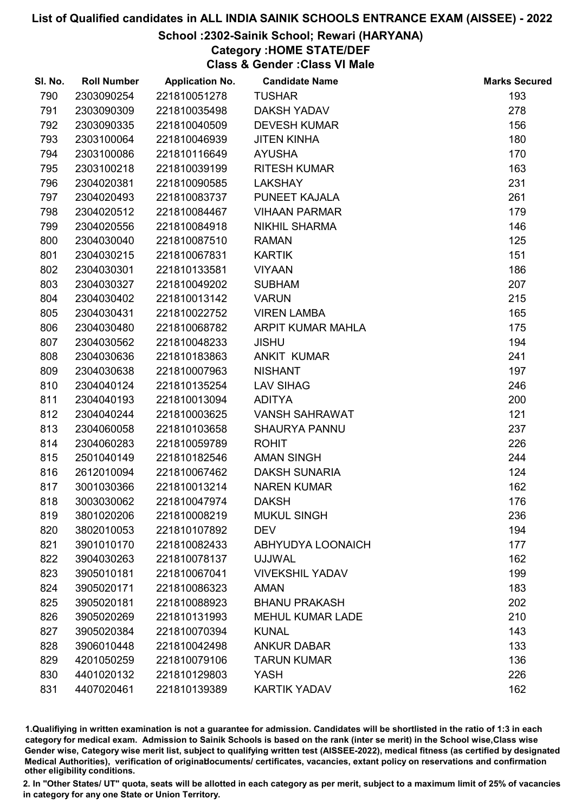# School :2302-Sainik School; Rewari (HARYANA)

# Category :HOME STATE/DEF

Class & Gender :Class VI Male

| SI. No. | <b>Roll Number</b> | <b>Application No.</b> | <b>Candidate Name</b>    | <b>Marks Secured</b> |
|---------|--------------------|------------------------|--------------------------|----------------------|
| 790     | 2303090254         | 221810051278           | <b>TUSHAR</b>            | 193                  |
| 791     | 2303090309         | 221810035498           | <b>DAKSH YADAV</b>       | 278                  |
| 792     | 2303090335         | 221810040509           | <b>DEVESH KUMAR</b>      | 156                  |
| 793     | 2303100064         | 221810046939           | <b>JITEN KINHA</b>       | 180                  |
| 794     | 2303100086         | 221810116649           | <b>AYUSHA</b>            | 170                  |
| 795     | 2303100218         | 221810039199           | <b>RITESH KUMAR</b>      | 163                  |
| 796     | 2304020381         | 221810090585           | <b>LAKSHAY</b>           | 231                  |
| 797     | 2304020493         | 221810083737           | PUNEET KAJALA            | 261                  |
| 798     | 2304020512         | 221810084467           | <b>VIHAAN PARMAR</b>     | 179                  |
| 799     | 2304020556         | 221810084918           | <b>NIKHIL SHARMA</b>     | 146                  |
| 800     | 2304030040         | 221810087510           | <b>RAMAN</b>             | 125                  |
| 801     | 2304030215         | 221810067831           | <b>KARTIK</b>            | 151                  |
| 802     | 2304030301         | 221810133581           | <b>VIYAAN</b>            | 186                  |
| 803     | 2304030327         | 221810049202           | <b>SUBHAM</b>            | 207                  |
| 804     | 2304030402         | 221810013142           | <b>VARUN</b>             | 215                  |
| 805     | 2304030431         | 221810022752           | <b>VIREN LAMBA</b>       | 165                  |
| 806     | 2304030480         | 221810068782           | ARPIT KUMAR MAHLA        | 175                  |
| 807     | 2304030562         | 221810048233           | <b>JISHU</b>             | 194                  |
| 808     | 2304030636         | 221810183863           | <b>ANKIT KUMAR</b>       | 241                  |
| 809     | 2304030638         | 221810007963           | <b>NISHANT</b>           | 197                  |
| 810     | 2304040124         | 221810135254           | <b>LAV SIHAG</b>         | 246                  |
| 811     | 2304040193         | 221810013094           | <b>ADITYA</b>            | 200                  |
| 812     | 2304040244         | 221810003625           | <b>VANSH SAHRAWAT</b>    | 121                  |
| 813     | 2304060058         | 221810103658           | <b>SHAURYA PANNU</b>     | 237                  |
| 814     | 2304060283         | 221810059789           | <b>ROHIT</b>             | 226                  |
| 815     | 2501040149         | 221810182546           | <b>AMAN SINGH</b>        | 244                  |
| 816     | 2612010094         | 221810067462           | <b>DAKSH SUNARIA</b>     | 124                  |
| 817     | 3001030366         | 221810013214           | <b>NAREN KUMAR</b>       | 162                  |
| 818     | 3003030062         | 221810047974           | <b>DAKSH</b>             | 176                  |
| 819     | 3801020206         | 221810008219           | <b>MUKUL SINGH</b>       | 236                  |
| 820     | 3802010053         | 221810107892           | <b>DEV</b>               | 194                  |
| 821     | 3901010170         | 221810082433           | <b>ABHYUDYA LOONAICH</b> | 177                  |
| 822     | 3904030263         | 221810078137           | <b>UJJWAL</b>            | 162                  |
| 823     | 3905010181         | 221810067041           | <b>VIVEKSHIL YADAV</b>   | 199                  |
| 824     | 3905020171         | 221810086323           | <b>AMAN</b>              | 183                  |
| 825     | 3905020181         | 221810088923           | <b>BHANU PRAKASH</b>     | 202                  |
| 826     | 3905020269         | 221810131993           | <b>MEHUL KUMAR LADE</b>  | 210                  |
| 827     | 3905020384         | 221810070394           | <b>KUNAL</b>             | 143                  |
| 828     | 3906010448         | 221810042498           | <b>ANKUR DABAR</b>       | 133                  |
| 829     | 4201050259         | 221810079106           | <b>TARUN KUMAR</b>       | 136                  |
| 830     | 4401020132         | 221810129803           | <b>YASH</b>              | 226                  |
| 831     | 4407020461         | 221810139389           | <b>KARTIK YADAV</b>      | 162                  |

1.Qualifiying in written examination is not a guarantee for admission. Candidates will be shortlisted in the ratio of 1:3 in each category for medical exam. Admission to Sainik Schools is based on the rank (inter se merit) in the School wise,Class wise Gender wise, Category wise merit list, subject to qualifying written test (AISSEE-2022), medical fitness (as certified by designated Medical Authorities), verification of originablocuments/ certificates, vacancies, extant policy on reservations and confirmation other eligibility conditions.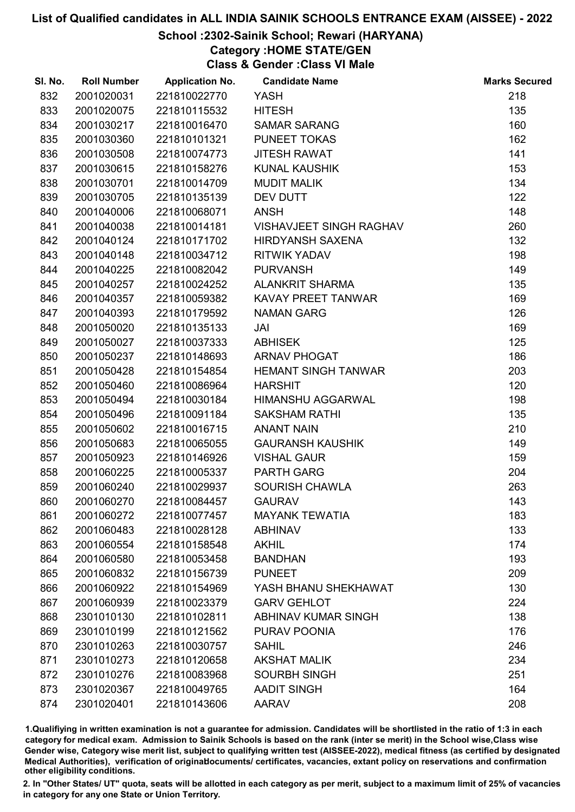#### School :2302-Sainik School; Rewari (HARYANA)

Category :HOME STATE/GEN

Class & Gender :Class VI Male

| SI. No. | <b>Roll Number</b> | <b>Application No.</b> | <b>Candidate Name</b>          | <b>Marks Secured</b> |
|---------|--------------------|------------------------|--------------------------------|----------------------|
| 832     | 2001020031         | 221810022770           | <b>YASH</b>                    | 218                  |
| 833     | 2001020075         | 221810115532           | <b>HITESH</b>                  | 135                  |
| 834     | 2001030217         | 221810016470           | <b>SAMAR SARANG</b>            | 160                  |
| 835     | 2001030360         | 221810101321           | <b>PUNEET TOKAS</b>            | 162                  |
| 836     | 2001030508         | 221810074773           | <b>JITESH RAWAT</b>            | 141                  |
| 837     | 2001030615         | 221810158276           | <b>KUNAL KAUSHIK</b>           | 153                  |
| 838     | 2001030701         | 221810014709           | <b>MUDIT MALIK</b>             | 134                  |
| 839     | 2001030705         | 221810135139           | <b>DEV DUTT</b>                | 122                  |
| 840     | 2001040006         | 221810068071           | <b>ANSH</b>                    | 148                  |
| 841     | 2001040038         | 221810014181           | <b>VISHAVJEET SINGH RAGHAV</b> | 260                  |
| 842     | 2001040124         | 221810171702           | <b>HIRDYANSH SAXENA</b>        | 132                  |
| 843     | 2001040148         | 221810034712           | <b>RITWIK YADAV</b>            | 198                  |
| 844     | 2001040225         | 221810082042           | <b>PURVANSH</b>                | 149                  |
| 845     | 2001040257         | 221810024252           | <b>ALANKRIT SHARMA</b>         | 135                  |
| 846     | 2001040357         | 221810059382           | KAVAY PREET TANWAR             | 169                  |
| 847     | 2001040393         | 221810179592           | <b>NAMAN GARG</b>              | 126                  |
| 848     | 2001050020         | 221810135133           | JAI                            | 169                  |
| 849     | 2001050027         | 221810037333           | <b>ABHISEK</b>                 | 125                  |
| 850     | 2001050237         | 221810148693           | <b>ARNAV PHOGAT</b>            | 186                  |
| 851     | 2001050428         | 221810154854           | <b>HEMANT SINGH TANWAR</b>     | 203                  |
| 852     | 2001050460         | 221810086964           | <b>HARSHIT</b>                 | 120                  |
| 853     | 2001050494         | 221810030184           | <b>HIMANSHU AGGARWAL</b>       | 198                  |
| 854     | 2001050496         | 221810091184           | <b>SAKSHAM RATHI</b>           | 135                  |
| 855     | 2001050602         | 221810016715           | <b>ANANT NAIN</b>              | 210                  |
| 856     | 2001050683         | 221810065055           | <b>GAURANSH KAUSHIK</b>        | 149                  |
| 857     | 2001050923         | 221810146926           | <b>VISHAL GAUR</b>             | 159                  |
| 858     | 2001060225         | 221810005337           | <b>PARTH GARG</b>              | 204                  |
| 859     | 2001060240         | 221810029937           | <b>SOURISH CHAWLA</b>          | 263                  |
| 860     | 2001060270         | 221810084457           | <b>GAURAV</b>                  | 143                  |
| 861     | 2001060272         | 221810077457           | <b>MAYANK TEWATIA</b>          | 183                  |
| 862     | 2001060483         | 221810028128           | <b>ABHINAV</b>                 | 133                  |
| 863     | 2001060554         | 221810158548           | <b>AKHIL</b>                   | 174                  |
| 864     | 2001060580         | 221810053458           | <b>BANDHAN</b>                 | 193                  |
| 865     | 2001060832         | 221810156739           | <b>PUNEET</b>                  | 209                  |
| 866     | 2001060922         | 221810154969           | YASH BHANU SHEKHAWAT           | 130                  |
| 867     | 2001060939         | 221810023379           | <b>GARV GEHLOT</b>             | 224                  |
| 868     | 2301010130         | 221810102811           | ABHINAV KUMAR SINGH            | 138                  |
| 869     | 2301010199         | 221810121562           | PURAV POONIA                   | 176                  |
| 870     | 2301010263         | 221810030757           | <b>SAHIL</b>                   | 246                  |
| 871     | 2301010273         | 221810120658           | <b>AKSHAT MALIK</b>            | 234                  |
| 872     | 2301010276         | 221810083968           | <b>SOURBH SINGH</b>            | 251                  |
| 873     | 2301020367         | 221810049765           | <b>AADIT SINGH</b>             | 164                  |
| 874     | 2301020401         | 221810143606           | <b>AARAV</b>                   | 208                  |

1.Qualifiying in written examination is not a guarantee for admission. Candidates will be shortlisted in the ratio of 1:3 in each category for medical exam. Admission to Sainik Schools is based on the rank (inter se merit) in the School wise,Class wise Gender wise, Category wise merit list, subject to qualifying written test (AISSEE-2022), medical fitness (as certified by designated Medical Authorities), verification of originablocuments/ certificates, vacancies, extant policy on reservations and confirmation other eligibility conditions.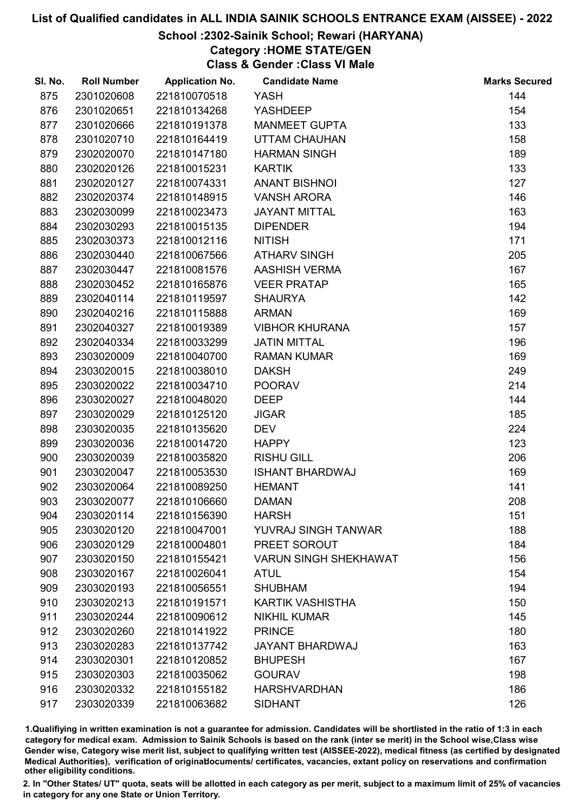#### School :2302-Sainik School; Rewari (HARYANA)

Category :HOME STATE/GEN

Class & Gender :Class VI Male

| SI. No. | <b>Roll Number</b> | <b>Application No.</b> | <b>Candidate Name</b>        | <b>Marks Secured</b> |
|---------|--------------------|------------------------|------------------------------|----------------------|
| 875     | 2301020608         | 221810070518           | <b>YASH</b>                  | 144                  |
| 876     | 2301020651         | 221810134268           | <b>YASHDEEP</b>              | 154                  |
| 877     | 2301020666         | 221810191378           | <b>MANMEET GUPTA</b>         | 133                  |
| 878     | 2301020710         | 221810164419           | <b>UTTAM CHAUHAN</b>         | 158                  |
| 879     | 2302020070         | 221810147180           | <b>HARMAN SINGH</b>          | 189                  |
| 880     | 2302020126         | 221810015231           | <b>KARTIK</b>                | 133                  |
| 881     | 2302020127         | 221810074331           | <b>ANANT BISHNOI</b>         | 127                  |
| 882     | 2302020374         | 221810148915           | <b>VANSH ARORA</b>           | 146                  |
| 883     | 2302030099         | 221810023473           | <b>JAYANT MITTAL</b>         | 163                  |
| 884     | 2302030293         | 221810015135           | <b>DIPENDER</b>              | 194                  |
| 885     | 2302030373         | 221810012116           | <b>NITISH</b>                | 171                  |
| 886     | 2302030440         | 221810067566           | <b>ATHARV SINGH</b>          | 205                  |
| 887     | 2302030447         | 221810081576           | <b>AASHISH VERMA</b>         | 167                  |
| 888     | 2302030452         | 221810165876           | <b>VEER PRATAP</b>           | 165                  |
| 889     | 2302040114         | 221810119597           | <b>SHAURYA</b>               | 142                  |
| 890     | 2302040216         | 221810115888           | <b>ARMAN</b>                 | 169                  |
| 891     | 2302040327         | 221810019389           | <b>VIBHOR KHURANA</b>        | 157                  |
| 892     | 2302040334         | 221810033299           | <b>JATIN MITTAL</b>          | 196                  |
| 893     | 2303020009         | 221810040700           | <b>RAMAN KUMAR</b>           | 169                  |
| 894     | 2303020015         | 221810038010           | <b>DAKSH</b>                 | 249                  |
| 895     | 2303020022         | 221810034710           | <b>POORAV</b>                | 214                  |
| 896     | 2303020027         | 221810048020           | <b>DEEP</b>                  | 144                  |
| 897     | 2303020029         | 221810125120           | <b>JIGAR</b>                 | 185                  |
| 898     | 2303020035         | 221810135620           | <b>DEV</b>                   | 224                  |
| 899     | 2303020036         | 221810014720           | <b>HAPPY</b>                 | 123                  |
| 900     | 2303020039         | 221810035820           | <b>RISHU GILL</b>            | 206                  |
| 901     | 2303020047         | 221810053530           | <b>ISHANT BHARDWAJ</b>       | 169                  |
| 902     | 2303020064         | 221810089250           | <b>HEMANT</b>                | 141                  |
| 903     | 2303020077         | 221810106660           | <b>DAMAN</b>                 | 208                  |
| 904     | 2303020114         | 221810156390           | <b>HARSH</b>                 | 151                  |
| 905     | 2303020120         | 221810047001           | YUVRAJ SINGH TANWAR          | 188                  |
| 906     | 2303020129         | 221810004801           | PREET SOROUT                 | 184                  |
| 907     | 2303020150         | 221810155421           | <b>VARUN SINGH SHEKHAWAT</b> | 156                  |
| 908     | 2303020167         | 221810026041           | <b>ATUL</b>                  | 154                  |
| 909     | 2303020193         | 221810056551           | <b>SHUBHAM</b>               | 194                  |
| 910     | 2303020213         | 221810191571           | <b>KARTIK VASHISTHA</b>      | 150                  |
| 911     | 2303020244         | 221810090612           | <b>NIKHIL KUMAR</b>          | 145                  |
| 912     | 2303020260         | 221810141922           | <b>PRINCE</b>                | 180                  |
| 913     | 2303020283         | 221810137742           | <b>JAYANT BHARDWAJ</b>       | 163                  |
| 914     | 2303020301         | 221810120852           | <b>BHUPESH</b>               | 167                  |
| 915     | 2303020303         | 221810035062           | <b>GOURAV</b>                | 198                  |
| 916     | 2303020332         | 221810155182           | <b>HARSHVARDHAN</b>          | 186                  |
| 917     | 2303020339         | 221810063682           | <b>SIDHANT</b>               | 126                  |

1.Qualifiying in written examination is not a guarantee for admission. Candidates will be shortlisted in the ratio of 1:3 in each category for medical exam. Admission to Sainik Schools is based on the rank (inter se merit) in the School wise,Class wise Gender wise, Category wise merit list, subject to qualifying written test (AISSEE-2022), medical fitness (as certified by designated Medical Authorities), verification of originablocuments/ certificates, vacancies, extant policy on reservations and confirmation other eligibility conditions.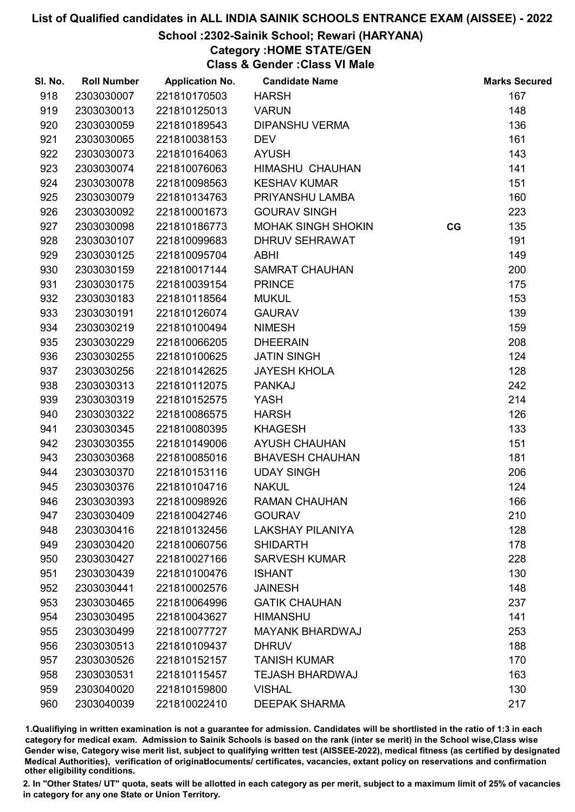# School :2302-Sainik School; Rewari (HARYANA)

Category :HOME STATE/GEN

Class & Gender :Class VI Male

| SI. No. | <b>Roll Number</b> | <b>Application No.</b> | <b>Candidate Name</b>     |    | <b>Marks Secured</b> |
|---------|--------------------|------------------------|---------------------------|----|----------------------|
| 918     | 2303030007         | 221810170503           | <b>HARSH</b>              |    | 167                  |
| 919     | 2303030013         | 221810125013           | <b>VARUN</b>              |    | 148                  |
| 920     | 2303030059         | 221810189543           | <b>DIPANSHU VERMA</b>     |    | 136                  |
| 921     | 2303030065         | 221810038153           | <b>DEV</b>                |    | 161                  |
| 922     | 2303030073         | 221810164063           | <b>AYUSH</b>              |    | 143                  |
| 923     | 2303030074         | 221810076063           | HIMASHU CHAUHAN           |    | 141                  |
| 924     | 2303030078         | 221810098563           | <b>KESHAV KUMAR</b>       |    | 151                  |
| 925     | 2303030079         | 221810134763           | PRIYANSHU LAMBA           |    | 160                  |
| 926     | 2303030092         | 221810001673           | <b>GOURAV SINGH</b>       |    | 223                  |
| 927     | 2303030098         | 221810186773           | <b>MOHAK SINGH SHOKIN</b> | CG | 135                  |
| 928     | 2303030107         | 221810099683           | <b>DHRUV SEHRAWAT</b>     |    | 191                  |
| 929     | 2303030125         | 221810095704           | <b>ABHI</b>               |    | 149                  |
| 930     | 2303030159         | 221810017144           | <b>SAMRAT CHAUHAN</b>     |    | 200                  |
| 931     | 2303030175         | 221810039154           | <b>PRINCE</b>             |    | 175                  |
| 932     | 2303030183         | 221810118564           | <b>MUKUL</b>              |    | 153                  |
| 933     | 2303030191         | 221810126074           | <b>GAURAV</b>             |    | 139                  |
| 934     | 2303030219         | 221810100494           | <b>NIMESH</b>             |    | 159                  |
| 935     | 2303030229         | 221810066205           | <b>DHEERAIN</b>           |    | 208                  |
| 936     | 2303030255         | 221810100625           | <b>JATIN SINGH</b>        |    | 124                  |
| 937     | 2303030256         | 221810142625           | <b>JAYESH KHOLA</b>       |    | 128                  |
| 938     | 2303030313         | 221810112075           | <b>PANKAJ</b>             |    | 242                  |
| 939     | 2303030319         | 221810152575           | YASH                      |    | 214                  |
| 940     | 2303030322         | 221810086575           | <b>HARSH</b>              |    | 126                  |
| 941     | 2303030345         | 221810080395           | <b>KHAGESH</b>            |    | 133                  |
| 942     | 2303030355         | 221810149006           | <b>AYUSH CHAUHAN</b>      |    | 151                  |
| 943     | 2303030368         | 221810085016           | <b>BHAVESH CHAUHAN</b>    |    | 181                  |
| 944     | 2303030370         | 221810153116           | <b>UDAY SINGH</b>         |    | 206                  |
| 945     | 2303030376         | 221810104716           | <b>NAKUL</b>              |    | 124                  |
| 946     | 2303030393         | 221810098926           | <b>RAMAN CHAUHAN</b>      |    | 166                  |
| 947     | 2303030409         | 221810042746           | <b>GOURAV</b>             |    | 210                  |
| 948     | 2303030416         | 221810132456           | <b>LAKSHAY PILANIYA</b>   |    | 128                  |
| 949     | 2303030420         | 221810060756           | <b>SHIDARTH</b>           |    | 178                  |
| 950     | 2303030427         | 221810027166           | <b>SARVESH KUMAR</b>      |    | 228                  |
| 951     | 2303030439         | 221810100476           | <b>ISHANT</b>             |    | 130                  |
| 952     | 2303030441         | 221810002576           | <b>JAINESH</b>            |    | 148                  |
| 953     | 2303030465         | 221810064996           | <b>GATIK CHAUHAN</b>      |    | 237                  |
| 954     | 2303030495         | 221810043627           | <b>HIMANSHU</b>           |    | 141                  |
| 955     | 2303030499         | 221810077727           | <b>MAYANK BHARDWAJ</b>    |    | 253                  |
| 956     | 2303030513         | 221810109437           | <b>DHRUV</b>              |    | 188                  |
| 957     | 2303030526         | 221810152157           | <b>TANISH KUMAR</b>       |    | 170                  |
| 958     | 2303030531         | 221810115457           | <b>TEJASH BHARDWAJ</b>    |    | 163                  |
| 959     | 2303040020         | 221810159800           | <b>VISHAL</b>             |    | 130                  |
| 960     | 2303040039         | 221810022410           | <b>DEEPAK SHARMA</b>      |    | 217                  |
|         |                    |                        |                           |    |                      |

1.Qualifiying in written examination is not a guarantee for admission. Candidates will be shortlisted in the ratio of 1:3 in each category for medical exam. Admission to Sainik Schools is based on the rank (inter se merit) in the School wise,Class wise Gender wise, Category wise merit list, subject to qualifying written test (AISSEE-2022), medical fitness (as certified by designated Medical Authorities), verification of originablocuments/ certificates, vacancies, extant policy on reservations and confirmation other eligibility conditions.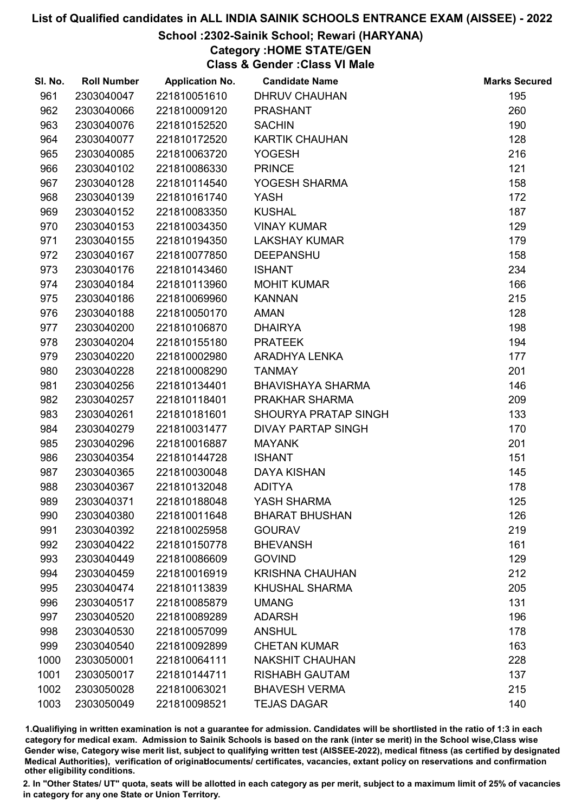# School :2302-Sainik School; Rewari (HARYANA)

Category :HOME STATE/GEN

Class & Gender :Class VI Male

| SI. No. | <b>Roll Number</b> | <b>Application No.</b> | <b>Candidate Name</b>     | <b>Marks Secured</b> |
|---------|--------------------|------------------------|---------------------------|----------------------|
| 961     | 2303040047         | 221810051610           | <b>DHRUV CHAUHAN</b>      | 195                  |
| 962     | 2303040066         | 221810009120           | <b>PRASHANT</b>           | 260                  |
| 963     | 2303040076         | 221810152520           | <b>SACHIN</b>             | 190                  |
| 964     | 2303040077         | 221810172520           | <b>KARTIK CHAUHAN</b>     | 128                  |
| 965     | 2303040085         | 221810063720           | <b>YOGESH</b>             | 216                  |
| 966     | 2303040102         | 221810086330           | <b>PRINCE</b>             | 121                  |
| 967     | 2303040128         | 221810114540           | YOGESH SHARMA             | 158                  |
| 968     | 2303040139         | 221810161740           | <b>YASH</b>               | 172                  |
| 969     | 2303040152         | 221810083350           | <b>KUSHAL</b>             | 187                  |
| 970     | 2303040153         | 221810034350           | <b>VINAY KUMAR</b>        | 129                  |
| 971     | 2303040155         | 221810194350           | <b>LAKSHAY KUMAR</b>      | 179                  |
| 972     | 2303040167         | 221810077850           | <b>DEEPANSHU</b>          | 158                  |
| 973     | 2303040176         | 221810143460           | <b>ISHANT</b>             | 234                  |
| 974     | 2303040184         | 221810113960           | <b>MOHIT KUMAR</b>        | 166                  |
| 975     | 2303040186         | 221810069960           | <b>KANNAN</b>             | 215                  |
| 976     | 2303040188         | 221810050170           | <b>AMAN</b>               | 128                  |
| 977     | 2303040200         | 221810106870           | <b>DHAIRYA</b>            | 198                  |
| 978     | 2303040204         | 221810155180           | <b>PRATEEK</b>            | 194                  |
| 979     | 2303040220         | 221810002980           | ARADHYA LENKA             | 177                  |
| 980     | 2303040228         | 221810008290           | <b>TANMAY</b>             | 201                  |
| 981     | 2303040256         | 221810134401           | <b>BHAVISHAYA SHARMA</b>  | 146                  |
| 982     | 2303040257         | 221810118401           | PRAKHAR SHARMA            | 209                  |
| 983     | 2303040261         | 221810181601           | SHOURYA PRATAP SINGH      | 133                  |
| 984     | 2303040279         | 221810031477           | <b>DIVAY PARTAP SINGH</b> | 170                  |
| 985     | 2303040296         | 221810016887           | <b>MAYANK</b>             | 201                  |
| 986     | 2303040354         | 221810144728           | <b>ISHANT</b>             | 151                  |
| 987     | 2303040365         | 221810030048           | <b>DAYA KISHAN</b>        | 145                  |
| 988     | 2303040367         | 221810132048           | <b>ADITYA</b>             | 178                  |
| 989     | 2303040371         | 221810188048           | YASH SHARMA               | 125                  |
| 990     | 2303040380         | 221810011648           | <b>BHARAT BHUSHAN</b>     | 126                  |
| 991     | 2303040392         | 221810025958           | <b>GOURAV</b>             | 219                  |
| 992     | 2303040422         | 221810150778           | <b>BHEVANSH</b>           | 161                  |
| 993     | 2303040449         | 221810086609           | <b>GOVIND</b>             | 129                  |
| 994     | 2303040459         | 221810016919           | <b>KRISHNA CHAUHAN</b>    | 212                  |
| 995     | 2303040474         | 221810113839           | <b>KHUSHAL SHARMA</b>     | 205                  |
| 996     | 2303040517         | 221810085879           | <b>UMANG</b>              | 131                  |
| 997     | 2303040520         | 221810089289           | <b>ADARSH</b>             | 196                  |
| 998     | 2303040530         | 221810057099           | <b>ANSHUL</b>             | 178                  |
| 999     | 2303040540         | 221810092899           | <b>CHETAN KUMAR</b>       | 163                  |
| 1000    | 2303050001         | 221810064111           | <b>NAKSHIT CHAUHAN</b>    | 228                  |
| 1001    | 2303050017         | 221810144711           | <b>RISHABH GAUTAM</b>     | 137                  |
| 1002    | 2303050028         | 221810063021           | <b>BHAVESH VERMA</b>      | 215                  |
| 1003    | 2303050049         | 221810098521           | <b>TEJAS DAGAR</b>        | 140                  |

1.Qualifiying in written examination is not a guarantee for admission. Candidates will be shortlisted in the ratio of 1:3 in each category for medical exam. Admission to Sainik Schools is based on the rank (inter se merit) in the School wise,Class wise Gender wise, Category wise merit list, subject to qualifying written test (AISSEE-2022), medical fitness (as certified by designated Medical Authorities), verification of originablocuments/ certificates, vacancies, extant policy on reservations and confirmation other eligibility conditions.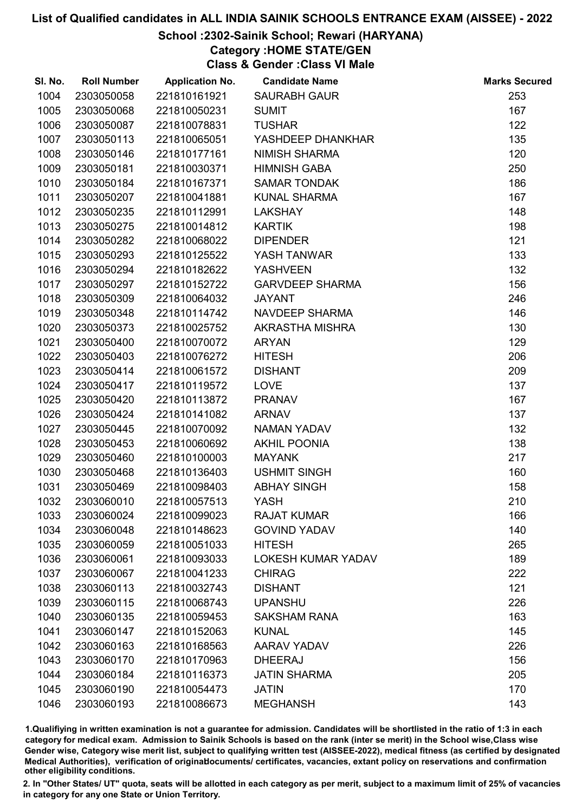# School :2302-Sainik School; Rewari (HARYANA)

Category :HOME STATE/GEN

Class & Gender :Class VI Male

| SI. No. | <b>Roll Number</b> | <b>Application No.</b> | <b>Candidate Name</b>     | <b>Marks Secured</b> |
|---------|--------------------|------------------------|---------------------------|----------------------|
| 1004    | 2303050058         | 221810161921           | <b>SAURABH GAUR</b>       | 253                  |
| 1005    | 2303050068         | 221810050231           | <b>SUMIT</b>              | 167                  |
| 1006    | 2303050087         | 221810078831           | <b>TUSHAR</b>             | 122                  |
| 1007    | 2303050113         | 221810065051           | YASHDEEP DHANKHAR         | 135                  |
| 1008    | 2303050146         | 221810177161           | <b>NIMISH SHARMA</b>      | 120                  |
| 1009    | 2303050181         | 221810030371           | <b>HIMNISH GABA</b>       | 250                  |
| 1010    | 2303050184         | 221810167371           | <b>SAMAR TONDAK</b>       | 186                  |
| 1011    | 2303050207         | 221810041881           | <b>KUNAL SHARMA</b>       | 167                  |
| 1012    | 2303050235         | 221810112991           | <b>LAKSHAY</b>            | 148                  |
| 1013    | 2303050275         | 221810014812           | <b>KARTIK</b>             | 198                  |
| 1014    | 2303050282         | 221810068022           | <b>DIPENDER</b>           | 121                  |
| 1015    | 2303050293         | 221810125522           | YASH TANWAR               | 133                  |
| 1016    | 2303050294         | 221810182622           | <b>YASHVEEN</b>           | 132                  |
| 1017    | 2303050297         | 221810152722           | <b>GARVDEEP SHARMA</b>    | 156                  |
| 1018    | 2303050309         | 221810064032           | <b>JAYANT</b>             | 246                  |
| 1019    | 2303050348         | 221810114742           | NAVDEEP SHARMA            | 146                  |
| 1020    | 2303050373         | 221810025752           | AKRASTHA MISHRA           | 130                  |
| 1021    | 2303050400         | 221810070072           | <b>ARYAN</b>              | 129                  |
| 1022    | 2303050403         | 221810076272           | <b>HITESH</b>             | 206                  |
| 1023    | 2303050414         | 221810061572           | <b>DISHANT</b>            | 209                  |
| 1024    | 2303050417         | 221810119572           | <b>LOVE</b>               | 137                  |
| 1025    | 2303050420         | 221810113872           | <b>PRANAV</b>             | 167                  |
| 1026    | 2303050424         | 221810141082           | <b>ARNAV</b>              | 137                  |
| 1027    | 2303050445         | 221810070092           | <b>NAMAN YADAV</b>        | 132                  |
| 1028    | 2303050453         | 221810060692           | <b>AKHIL POONIA</b>       | 138                  |
| 1029    | 2303050460         | 221810100003           | <b>MAYANK</b>             | 217                  |
| 1030    | 2303050468         | 221810136403           | <b>USHMIT SINGH</b>       | 160                  |
| 1031    | 2303050469         | 221810098403           | <b>ABHAY SINGH</b>        | 158                  |
| 1032    | 2303060010         | 221810057513           | <b>YASH</b>               | 210                  |
| 1033    | 2303060024         | 221810099023           | <b>RAJAT KUMAR</b>        | 166                  |
| 1034    | 2303060048         | 221810148623           | <b>GOVIND YADAV</b>       | 140                  |
| 1035    | 2303060059         | 221810051033           | <b>HITESH</b>             | 265                  |
| 1036    | 2303060061         | 221810093033           | <b>LOKESH KUMAR YADAV</b> | 189                  |
| 1037    | 2303060067         | 221810041233           | <b>CHIRAG</b>             | 222                  |
| 1038    | 2303060113         | 221810032743           | <b>DISHANT</b>            | 121                  |
| 1039    | 2303060115         | 221810068743           | <b>UPANSHU</b>            | 226                  |
| 1040    | 2303060135         | 221810059453           | <b>SAKSHAM RANA</b>       | 163                  |
| 1041    | 2303060147         | 221810152063           | <b>KUNAL</b>              | 145                  |
| 1042    | 2303060163         | 221810168563           | <b>AARAV YADAV</b>        | 226                  |
| 1043    | 2303060170         | 221810170963           | <b>DHEERAJ</b>            | 156                  |
| 1044    | 2303060184         | 221810116373           | <b>JATIN SHARMA</b>       | 205                  |
| 1045    | 2303060190         | 221810054473           | <b>JATIN</b>              | 170                  |
| 1046    | 2303060193         | 221810086673           | <b>MEGHANSH</b>           | 143                  |

1.Qualifiying in written examination is not a guarantee for admission. Candidates will be shortlisted in the ratio of 1:3 in each category for medical exam. Admission to Sainik Schools is based on the rank (inter se merit) in the School wise,Class wise Gender wise, Category wise merit list, subject to qualifying written test (AISSEE-2022), medical fitness (as certified by designated Medical Authorities), verification of originablocuments/ certificates, vacancies, extant policy on reservations and confirmation other eligibility conditions.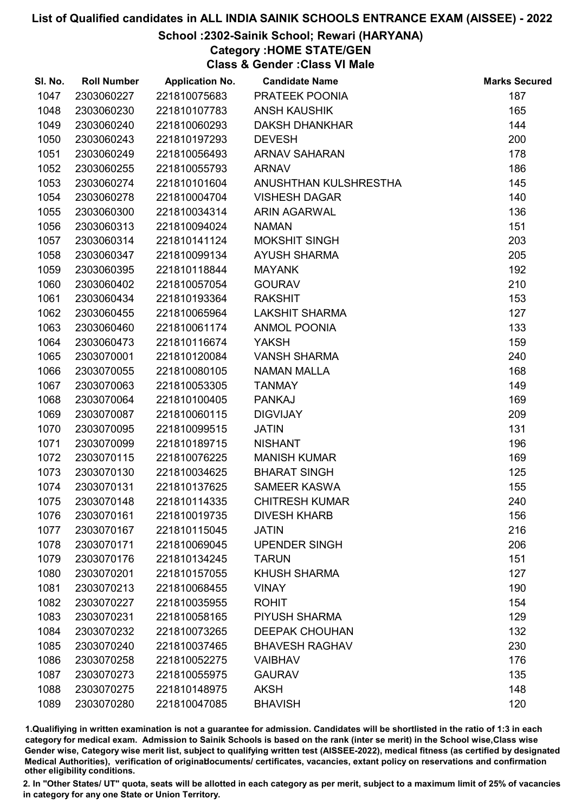# School :2302-Sainik School; Rewari (HARYANA)

Category :HOME STATE/GEN

Class & Gender :Class VI Male

| SI. No. | <b>Roll Number</b> | <b>Application No.</b> | <b>Candidate Name</b> | <b>Marks Secured</b> |
|---------|--------------------|------------------------|-----------------------|----------------------|
| 1047    | 2303060227         | 221810075683           | PRATEEK POONIA        | 187                  |
| 1048    | 2303060230         | 221810107783           | <b>ANSH KAUSHIK</b>   | 165                  |
| 1049    | 2303060240         | 221810060293           | <b>DAKSH DHANKHAR</b> | 144                  |
| 1050    | 2303060243         | 221810197293           | <b>DEVESH</b>         | 200                  |
| 1051    | 2303060249         | 221810056493           | <b>ARNAV SAHARAN</b>  | 178                  |
| 1052    | 2303060255         | 221810055793           | <b>ARNAV</b>          | 186                  |
| 1053    | 2303060274         | 221810101604           | ANUSHTHAN KULSHRESTHA | 145                  |
| 1054    | 2303060278         | 221810004704           | <b>VISHESH DAGAR</b>  | 140                  |
| 1055    | 2303060300         | 221810034314           | <b>ARIN AGARWAL</b>   | 136                  |
| 1056    | 2303060313         | 221810094024           | <b>NAMAN</b>          | 151                  |
| 1057    | 2303060314         | 221810141124           | <b>MOKSHIT SINGH</b>  | 203                  |
| 1058    | 2303060347         | 221810099134           | <b>AYUSH SHARMA</b>   | 205                  |
| 1059    | 2303060395         | 221810118844           | <b>MAYANK</b>         | 192                  |
| 1060    | 2303060402         | 221810057054           | <b>GOURAV</b>         | 210                  |
| 1061    | 2303060434         | 221810193364           | <b>RAKSHIT</b>        | 153                  |
| 1062    | 2303060455         | 221810065964           | <b>LAKSHIT SHARMA</b> | 127                  |
| 1063    | 2303060460         | 221810061174           | <b>ANMOL POONIA</b>   | 133                  |
| 1064    | 2303060473         | 221810116674           | <b>YAKSH</b>          | 159                  |
| 1065    | 2303070001         | 221810120084           | <b>VANSH SHARMA</b>   | 240                  |
| 1066    | 2303070055         | 221810080105           | <b>NAMAN MALLA</b>    | 168                  |
| 1067    | 2303070063         | 221810053305           | <b>TANMAY</b>         | 149                  |
| 1068    | 2303070064         | 221810100405           | <b>PANKAJ</b>         | 169                  |
| 1069    | 2303070087         | 221810060115           | <b>DIGVIJAY</b>       | 209                  |
| 1070    | 2303070095         | 221810099515           | <b>JATIN</b>          | 131                  |
| 1071    | 2303070099         | 221810189715           | <b>NISHANT</b>        | 196                  |
| 1072    | 2303070115         | 221810076225           | <b>MANISH KUMAR</b>   | 169                  |
| 1073    | 2303070130         | 221810034625           | <b>BHARAT SINGH</b>   | 125                  |
| 1074    | 2303070131         | 221810137625           | <b>SAMEER KASWA</b>   | 155                  |
| 1075    | 2303070148         | 221810114335           | <b>CHITRESH KUMAR</b> | 240                  |
| 1076    | 2303070161         | 221810019735           | <b>DIVESH KHARB</b>   | 156                  |
| 1077    | 2303070167         | 221810115045           | <b>JATIN</b>          | 216                  |
| 1078    | 2303070171         | 221810069045           | <b>UPENDER SINGH</b>  | 206                  |
| 1079    | 2303070176         | 221810134245           | <b>TARUN</b>          | 151                  |
| 1080    | 2303070201         | 221810157055           | <b>KHUSH SHARMA</b>   | 127                  |
| 1081    | 2303070213         | 221810068455           | <b>VINAY</b>          | 190                  |
| 1082    | 2303070227         | 221810035955           | <b>ROHIT</b>          | 154                  |
| 1083    | 2303070231         | 221810058165           | PIYUSH SHARMA         | 129                  |
| 1084    | 2303070232         | 221810073265           | <b>DEEPAK CHOUHAN</b> | 132                  |
| 1085    | 2303070240         | 221810037465           | <b>BHAVESH RAGHAV</b> | 230                  |
| 1086    | 2303070258         | 221810052275           | <b>VAIBHAV</b>        | 176                  |
| 1087    | 2303070273         | 221810055975           | <b>GAURAV</b>         | 135                  |
| 1088    | 2303070275         | 221810148975           | <b>AKSH</b>           | 148                  |
| 1089    | 2303070280         | 221810047085           | <b>BHAVISH</b>        | 120                  |

1.Qualifiying in written examination is not a guarantee for admission. Candidates will be shortlisted in the ratio of 1:3 in each category for medical exam. Admission to Sainik Schools is based on the rank (inter se merit) in the School wise,Class wise Gender wise, Category wise merit list, subject to qualifying written test (AISSEE-2022), medical fitness (as certified by designated Medical Authorities), verification of originablocuments/ certificates, vacancies, extant policy on reservations and confirmation other eligibility conditions.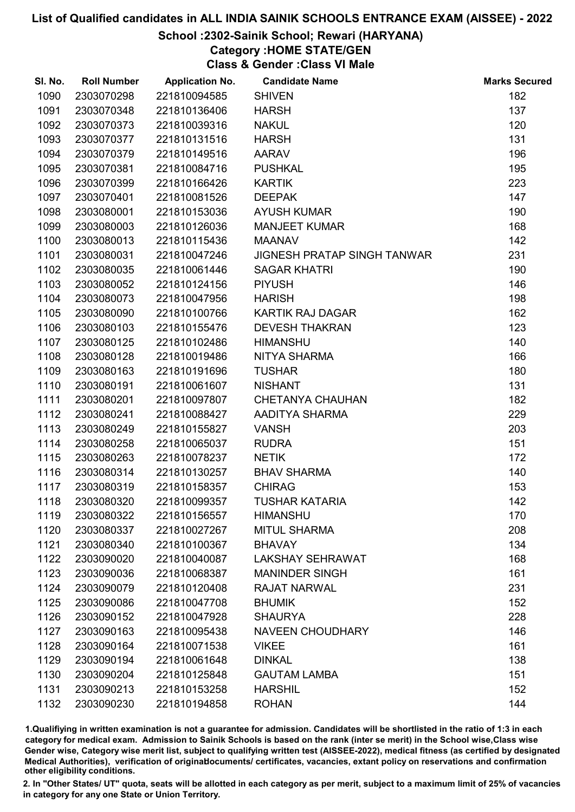School :2302-Sainik School; Rewari (HARYANA)

Category :HOME STATE/GEN

Class & Gender :Class VI Male

| SI. No. | <b>Roll Number</b> | <b>Application No.</b> | <b>Candidate Name</b>              | <b>Marks Secured</b> |
|---------|--------------------|------------------------|------------------------------------|----------------------|
| 1090    | 2303070298         | 221810094585           | <b>SHIVEN</b>                      | 182                  |
| 1091    | 2303070348         | 221810136406           | <b>HARSH</b>                       | 137                  |
| 1092    | 2303070373         | 221810039316           | <b>NAKUL</b>                       | 120                  |
| 1093    | 2303070377         | 221810131516           | <b>HARSH</b>                       | 131                  |
| 1094    | 2303070379         | 221810149516           | <b>AARAV</b>                       | 196                  |
| 1095    | 2303070381         | 221810084716           | <b>PUSHKAL</b>                     | 195                  |
| 1096    | 2303070399         | 221810166426           | <b>KARTIK</b>                      | 223                  |
| 1097    | 2303070401         | 221810081526           | <b>DEEPAK</b>                      | 147                  |
| 1098    | 2303080001         | 221810153036           | <b>AYUSH KUMAR</b>                 | 190                  |
| 1099    | 2303080003         | 221810126036           | <b>MANJEET KUMAR</b>               | 168                  |
| 1100    | 2303080013         | 221810115436           | <b>MAANAV</b>                      | 142                  |
| 1101    | 2303080031         | 221810047246           | <b>JIGNESH PRATAP SINGH TANWAR</b> | 231                  |
| 1102    | 2303080035         | 221810061446           | <b>SAGAR KHATRI</b>                | 190                  |
| 1103    | 2303080052         | 221810124156           | <b>PIYUSH</b>                      | 146                  |
| 1104    | 2303080073         | 221810047956           | <b>HARISH</b>                      | 198                  |
| 1105    | 2303080090         | 221810100766           | <b>KARTIK RAJ DAGAR</b>            | 162                  |
| 1106    | 2303080103         | 221810155476           | <b>DEVESH THAKRAN</b>              | 123                  |
| 1107    | 2303080125         | 221810102486           | <b>HIMANSHU</b>                    | 140                  |
| 1108    | 2303080128         | 221810019486           | NITYA SHARMA                       | 166                  |
| 1109    | 2303080163         | 221810191696           | <b>TUSHAR</b>                      | 180                  |
| 1110    | 2303080191         | 221810061607           | <b>NISHANT</b>                     | 131                  |
| 1111    | 2303080201         | 221810097807           | <b>CHETANYA CHAUHAN</b>            | 182                  |
| 1112    | 2303080241         | 221810088427           | AADITYA SHARMA                     | 229                  |
| 1113    | 2303080249         | 221810155827           | <b>VANSH</b>                       | 203                  |
| 1114    | 2303080258         | 221810065037           | <b>RUDRA</b>                       | 151                  |
| 1115    | 2303080263         | 221810078237           | <b>NETIK</b>                       | 172                  |
| 1116    | 2303080314         | 221810130257           | <b>BHAV SHARMA</b>                 | 140                  |
| 1117    | 2303080319         | 221810158357           | <b>CHIRAG</b>                      | 153                  |
| 1118    | 2303080320         | 221810099357           | <b>TUSHAR KATARIA</b>              | 142                  |
| 1119    | 2303080322         | 221810156557           | <b>HIMANSHU</b>                    | 170                  |
| 1120    | 2303080337         | 221810027267           | <b>MITUL SHARMA</b>                | 208                  |
| 1121    | 2303080340         | 221810100367           | <b>BHAVAY</b>                      | 134                  |
| 1122    | 2303090020         | 221810040087           | <b>LAKSHAY SEHRAWAT</b>            | 168                  |
| 1123    | 2303090036         | 221810068387           | <b>MANINDER SINGH</b>              | 161                  |
| 1124    | 2303090079         | 221810120408           | <b>RAJAT NARWAL</b>                | 231                  |
| 1125    | 2303090086         | 221810047708           | <b>BHUMIK</b>                      | 152                  |
| 1126    | 2303090152         | 221810047928           | <b>SHAURYA</b>                     | 228                  |
| 1127    | 2303090163         | 221810095438           | <b>NAVEEN CHOUDHARY</b>            | 146                  |
| 1128    | 2303090164         | 221810071538           | <b>VIKEE</b>                       | 161                  |
| 1129    | 2303090194         | 221810061648           | <b>DINKAL</b>                      | 138                  |
| 1130    | 2303090204         | 221810125848           | <b>GAUTAM LAMBA</b>                | 151                  |
| 1131    | 2303090213         | 221810153258           | <b>HARSHIL</b>                     | 152                  |
| 1132    | 2303090230         | 221810194858           | <b>ROHAN</b>                       | 144                  |

1.Qualifiying in written examination is not a guarantee for admission. Candidates will be shortlisted in the ratio of 1:3 in each category for medical exam. Admission to Sainik Schools is based on the rank (inter se merit) in the School wise,Class wise Gender wise, Category wise merit list, subject to qualifying written test (AISSEE-2022), medical fitness (as certified by designated Medical Authorities), verification of originablocuments/ certificates, vacancies, extant policy on reservations and confirmation other eligibility conditions.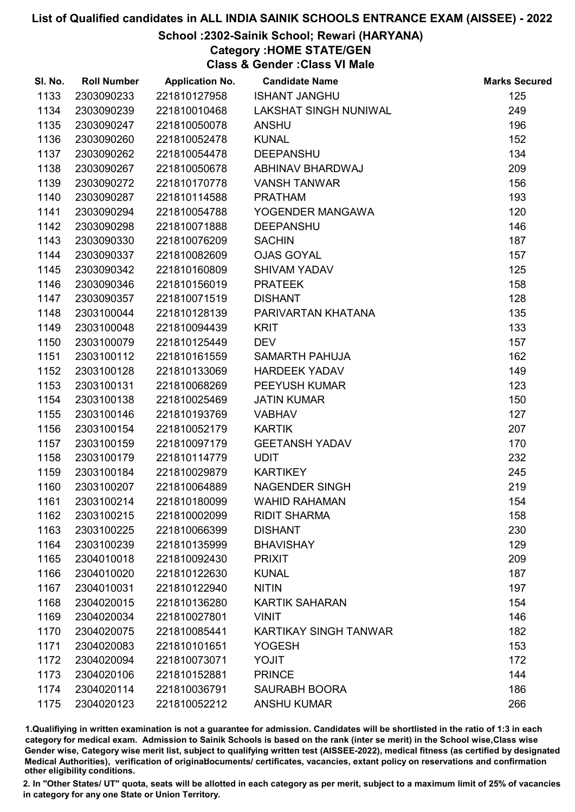# School :2302-Sainik School; Rewari (HARYANA)

Category :HOME STATE/GEN

Class & Gender :Class VI Male

| SI. No. | <b>Roll Number</b> | <b>Application No.</b> | <b>Candidate Name</b>        | <b>Marks Secured</b> |
|---------|--------------------|------------------------|------------------------------|----------------------|
| 1133    | 2303090233         | 221810127958           | <b>ISHANT JANGHU</b>         | 125                  |
| 1134    | 2303090239         | 221810010468           | <b>LAKSHAT SINGH NUNIWAL</b> | 249                  |
| 1135    | 2303090247         | 221810050078           | <b>ANSHU</b>                 | 196                  |
| 1136    | 2303090260         | 221810052478           | <b>KUNAL</b>                 | 152                  |
| 1137    | 2303090262         | 221810054478           | <b>DEEPANSHU</b>             | 134                  |
| 1138    | 2303090267         | 221810050678           | ABHINAV BHARDWAJ             | 209                  |
| 1139    | 2303090272         | 221810170778           | <b>VANSH TANWAR</b>          | 156                  |
| 1140    | 2303090287         | 221810114588           | <b>PRATHAM</b>               | 193                  |
| 1141    | 2303090294         | 221810054788           | YOGENDER MANGAWA             | 120                  |
| 1142    | 2303090298         | 221810071888           | <b>DEEPANSHU</b>             | 146                  |
| 1143    | 2303090330         | 221810076209           | <b>SACHIN</b>                | 187                  |
| 1144    | 2303090337         | 221810082609           | <b>OJAS GOYAL</b>            | 157                  |
| 1145    | 2303090342         | 221810160809           | <b>SHIVAM YADAV</b>          | 125                  |
| 1146    | 2303090346         | 221810156019           | <b>PRATEEK</b>               | 158                  |
| 1147    | 2303090357         | 221810071519           | <b>DISHANT</b>               | 128                  |
| 1148    | 2303100044         | 221810128139           | PARIVARTAN KHATANA           | 135                  |
| 1149    | 2303100048         | 221810094439           | <b>KRIT</b>                  | 133                  |
| 1150    | 2303100079         | 221810125449           | <b>DEV</b>                   | 157                  |
| 1151    | 2303100112         | 221810161559           | SAMARTH PAHUJA               | 162                  |
| 1152    | 2303100128         | 221810133069           | <b>HARDEEK YADAV</b>         | 149                  |
| 1153    | 2303100131         | 221810068269           | PEEYUSH KUMAR                | 123                  |
| 1154    | 2303100138         | 221810025469           | <b>JATIN KUMAR</b>           | 150                  |
| 1155    | 2303100146         | 221810193769           | <b>VABHAV</b>                | 127                  |
| 1156    | 2303100154         | 221810052179           | <b>KARTIK</b>                | 207                  |
| 1157    | 2303100159         | 221810097179           | <b>GEETANSH YADAV</b>        | 170                  |
| 1158    | 2303100179         | 221810114779           | <b>UDIT</b>                  | 232                  |
| 1159    | 2303100184         | 221810029879           | <b>KARTIKEY</b>              | 245                  |
| 1160    | 2303100207         | 221810064889           | <b>NAGENDER SINGH</b>        | 219                  |
| 1161    | 2303100214         | 221810180099           | <b>WAHID RAHAMAN</b>         | 154                  |
| 1162    | 2303100215         | 221810002099           | <b>RIDIT SHARMA</b>          | 158                  |
| 1163    | 2303100225         | 221810066399           | <b>DISHANT</b>               | 230                  |
| 1164    | 2303100239         | 221810135999           | <b>BHAVISHAY</b>             | 129                  |
| 1165    | 2304010018         | 221810092430           | <b>PRIXIT</b>                | 209                  |
| 1166    | 2304010020         | 221810122630           | <b>KUNAL</b>                 | 187                  |
| 1167    | 2304010031         | 221810122940           | <b>NITIN</b>                 | 197                  |
| 1168    | 2304020015         | 221810136280           | <b>KARTIK SAHARAN</b>        | 154                  |
| 1169    | 2304020034         | 221810027801           | <b>VINIT</b>                 | 146                  |
| 1170    | 2304020075         | 221810085441           | <b>KARTIKAY SINGH TANWAR</b> | 182                  |
| 1171    | 2304020083         | 221810101651           | <b>YOGESH</b>                | 153                  |
| 1172    | 2304020094         | 221810073071           | <b>YOJIT</b>                 | 172                  |
| 1173    | 2304020106         | 221810152881           | <b>PRINCE</b>                | 144                  |
| 1174    | 2304020114         | 221810036791           | <b>SAURABH BOORA</b>         | 186                  |
| 1175    | 2304020123         | 221810052212           | <b>ANSHU KUMAR</b>           | 266                  |

1.Qualifiying in written examination is not a guarantee for admission. Candidates will be shortlisted in the ratio of 1:3 in each category for medical exam. Admission to Sainik Schools is based on the rank (inter se merit) in the School wise,Class wise Gender wise, Category wise merit list, subject to qualifying written test (AISSEE-2022), medical fitness (as certified by designated Medical Authorities), verification of originablocuments/ certificates, vacancies, extant policy on reservations and confirmation other eligibility conditions.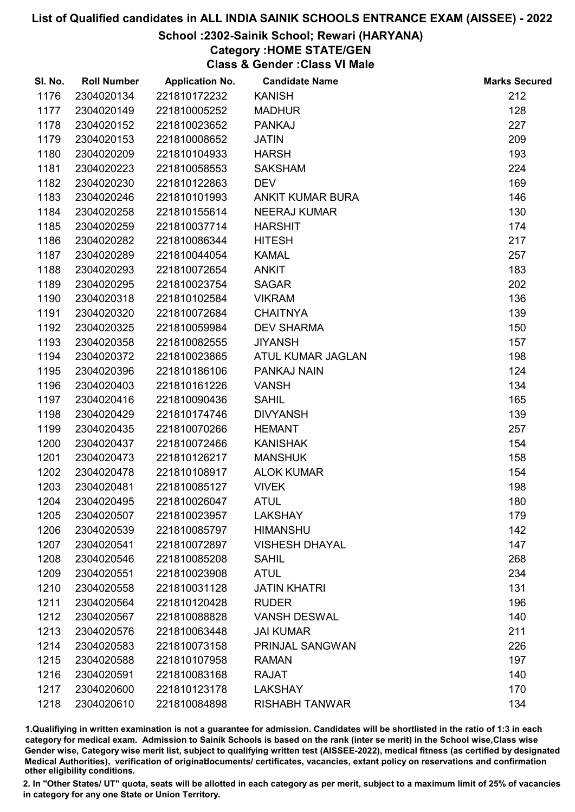# School :2302-Sainik School; Rewari (HARYANA)

Category :HOME STATE/GEN

Class & Gender :Class VI Male

| SI. No. | <b>Roll Number</b> | <b>Application No.</b> | <b>Candidate Name</b>   | <b>Marks Secured</b> |
|---------|--------------------|------------------------|-------------------------|----------------------|
| 1176    | 2304020134         | 221810172232           | <b>KANISH</b>           | 212                  |
| 1177    | 2304020149         | 221810005252           | <b>MADHUR</b>           | 128                  |
| 1178    | 2304020152         | 221810023652           | <b>PANKAJ</b>           | 227                  |
| 1179    | 2304020153         | 221810008652           | <b>JATIN</b>            | 209                  |
| 1180    | 2304020209         | 221810104933           | <b>HARSH</b>            | 193                  |
| 1181    | 2304020223         | 221810058553           | <b>SAKSHAM</b>          | 224                  |
| 1182    | 2304020230         | 221810122863           | <b>DEV</b>              | 169                  |
| 1183    | 2304020246         | 221810101993           | <b>ANKIT KUMAR BURA</b> | 146                  |
| 1184    | 2304020258         | 221810155614           | <b>NEERAJ KUMAR</b>     | 130                  |
| 1185    | 2304020259         | 221810037714           | <b>HARSHIT</b>          | 174                  |
| 1186    | 2304020282         | 221810086344           | <b>HITESH</b>           | 217                  |
| 1187    | 2304020289         | 221810044054           | <b>KAMAL</b>            | 257                  |
| 1188    | 2304020293         | 221810072654           | <b>ANKIT</b>            | 183                  |
| 1189    | 2304020295         | 221810023754           | <b>SAGAR</b>            | 202                  |
| 1190    | 2304020318         | 221810102584           | <b>VIKRAM</b>           | 136                  |
| 1191    | 2304020320         | 221810072684           | <b>CHAITNYA</b>         | 139                  |
| 1192    | 2304020325         | 221810059984           | <b>DEV SHARMA</b>       | 150                  |
| 1193    | 2304020358         | 221810082555           | <b>JIYANSH</b>          | 157                  |
| 1194    | 2304020372         | 221810023865           | ATUL KUMAR JAGLAN       | 198                  |
| 1195    | 2304020396         | 221810186106           | PANKAJ NAIN             | 124                  |
| 1196    | 2304020403         | 221810161226           | <b>VANSH</b>            | 134                  |
| 1197    | 2304020416         | 221810090436           | <b>SAHIL</b>            | 165                  |
| 1198    | 2304020429         | 221810174746           | <b>DIVYANSH</b>         | 139                  |
| 1199    | 2304020435         | 221810070266           | <b>HEMANT</b>           | 257                  |
| 1200    | 2304020437         | 221810072466           | <b>KANISHAK</b>         | 154                  |
| 1201    | 2304020473         | 221810126217           | <b>MANSHUK</b>          | 158                  |
| 1202    | 2304020478         | 221810108917           | <b>ALOK KUMAR</b>       | 154                  |
| 1203    | 2304020481         | 221810085127           | <b>VIVEK</b>            | 198                  |
| 1204    | 2304020495         | 221810026047           | <b>ATUL</b>             | 180                  |
| 1205    | 2304020507         | 221810023957           | <b>LAKSHAY</b>          | 179                  |
| 1206    | 2304020539         | 221810085797           | <b>HIMANSHU</b>         | 142                  |
| 1207    | 2304020541         | 221810072897           | <b>VISHESH DHAYAL</b>   | 147                  |
| 1208    | 2304020546         | 221810085208           | <b>SAHIL</b>            | 268                  |
| 1209    | 2304020551         | 221810023908           | <b>ATUL</b>             | 234                  |
| 1210    | 2304020558         | 221810031128           | <b>JATIN KHATRI</b>     | 131                  |
| 1211    | 2304020564         | 221810120428           | <b>RUDER</b>            | 196                  |
| 1212    | 2304020567         | 221810088828           | <b>VANSH DESWAL</b>     | 140                  |
| 1213    | 2304020576         | 221810063448           | <b>JAI KUMAR</b>        | 211                  |
| 1214    | 2304020583         | 221810073158           | PRINJAL SANGWAN         | 226                  |
| 1215    | 2304020588         | 221810107958           | <b>RAMAN</b>            | 197                  |
| 1216    | 2304020591         | 221810083168           | <b>RAJAT</b>            | 140                  |
| 1217    | 2304020600         | 221810123178           | <b>LAKSHAY</b>          | 170                  |
| 1218    | 2304020610         | 221810084898           | <b>RISHABH TANWAR</b>   | 134                  |

1.Qualifiying in written examination is not a guarantee for admission. Candidates will be shortlisted in the ratio of 1:3 in each category for medical exam. Admission to Sainik Schools is based on the rank (inter se merit) in the School wise,Class wise Gender wise, Category wise merit list, subject to qualifying written test (AISSEE-2022), medical fitness (as certified by designated Medical Authorities), verification of originablocuments/ certificates, vacancies, extant policy on reservations and confirmation other eligibility conditions.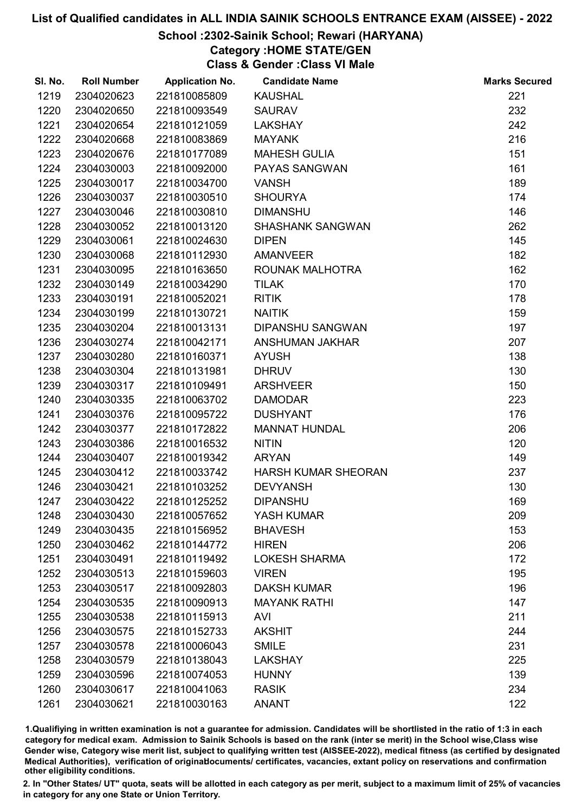#### School :2302-Sainik School; Rewari (HARYANA)

Category :HOME STATE/GEN

Class & Gender :Class VI Male

| SI. No. | <b>Roll Number</b> | <b>Application No.</b> | <b>Candidate Name</b>      | <b>Marks Secured</b> |
|---------|--------------------|------------------------|----------------------------|----------------------|
| 1219    | 2304020623         | 221810085809           | <b>KAUSHAL</b>             | 221                  |
| 1220    | 2304020650         | 221810093549           | <b>SAURAV</b>              | 232                  |
| 1221    | 2304020654         | 221810121059           | <b>LAKSHAY</b>             | 242                  |
| 1222    | 2304020668         | 221810083869           | <b>MAYANK</b>              | 216                  |
| 1223    | 2304020676         | 221810177089           | <b>MAHESH GULIA</b>        | 151                  |
| 1224    | 2304030003         | 221810092000           | PAYAS SANGWAN              | 161                  |
| 1225    | 2304030017         | 221810034700           | <b>VANSH</b>               | 189                  |
| 1226    | 2304030037         | 221810030510           | <b>SHOURYA</b>             | 174                  |
| 1227    | 2304030046         | 221810030810           | <b>DIMANSHU</b>            | 146                  |
| 1228    | 2304030052         | 221810013120           | <b>SHASHANK SANGWAN</b>    | 262                  |
| 1229    | 2304030061         | 221810024630           | <b>DIPEN</b>               | 145                  |
| 1230    | 2304030068         | 221810112930           | <b>AMANVEER</b>            | 182                  |
| 1231    | 2304030095         | 221810163650           | ROUNAK MALHOTRA            | 162                  |
| 1232    | 2304030149         | 221810034290           | <b>TILAK</b>               | 170                  |
| 1233    | 2304030191         | 221810052021           | <b>RITIK</b>               | 178                  |
| 1234    | 2304030199         | 221810130721           | <b>NAITIK</b>              | 159                  |
| 1235    | 2304030204         | 221810013131           | <b>DIPANSHU SANGWAN</b>    | 197                  |
| 1236    | 2304030274         | 221810042171           | ANSHUMAN JAKHAR            | 207                  |
| 1237    | 2304030280         | 221810160371           | <b>AYUSH</b>               | 138                  |
| 1238    | 2304030304         | 221810131981           | <b>DHRUV</b>               | 130                  |
| 1239    | 2304030317         | 221810109491           | <b>ARSHVEER</b>            | 150                  |
| 1240    | 2304030335         | 221810063702           | <b>DAMODAR</b>             | 223                  |
| 1241    | 2304030376         | 221810095722           | <b>DUSHYANT</b>            | 176                  |
| 1242    | 2304030377         | 221810172822           | <b>MANNAT HUNDAL</b>       | 206                  |
| 1243    | 2304030386         | 221810016532           | <b>NITIN</b>               | 120                  |
| 1244    | 2304030407         | 221810019342           | <b>ARYAN</b>               | 149                  |
| 1245    | 2304030412         | 221810033742           | <b>HARSH KUMAR SHEORAN</b> | 237                  |
| 1246    | 2304030421         | 221810103252           | <b>DEVYANSH</b>            | 130                  |
| 1247    | 2304030422         | 221810125252           | <b>DIPANSHU</b>            | 169                  |
| 1248    | 2304030430         | 221810057652           | YASH KUMAR                 | 209                  |
| 1249    | 2304030435         | 221810156952           | <b>BHAVESH</b>             | 153                  |
| 1250    | 2304030462         | 221810144772           | <b>HIREN</b>               | 206                  |
| 1251    | 2304030491         | 221810119492           | <b>LOKESH SHARMA</b>       | 172                  |
| 1252    | 2304030513         | 221810159603           | <b>VIREN</b>               | 195                  |
| 1253    | 2304030517         | 221810092803           | <b>DAKSH KUMAR</b>         | 196                  |
| 1254    | 2304030535         | 221810090913           | <b>MAYANK RATHI</b>        | 147                  |
| 1255    | 2304030538         | 221810115913           | <b>AVI</b>                 | 211                  |
| 1256    | 2304030575         | 221810152733           | <b>AKSHIT</b>              | 244                  |
| 1257    | 2304030578         | 221810006043           | <b>SMILE</b>               | 231                  |
| 1258    | 2304030579         | 221810138043           | <b>LAKSHAY</b>             | 225                  |
| 1259    | 2304030596         | 221810074053           | <b>HUNNY</b>               | 139                  |
| 1260    | 2304030617         | 221810041063           | <b>RASIK</b>               | 234                  |
| 1261    | 2304030621         | 221810030163           | <b>ANANT</b>               | 122                  |

1.Qualifiying in written examination is not a guarantee for admission. Candidates will be shortlisted in the ratio of 1:3 in each category for medical exam. Admission to Sainik Schools is based on the rank (inter se merit) in the School wise,Class wise Gender wise, Category wise merit list, subject to qualifying written test (AISSEE-2022), medical fitness (as certified by designated Medical Authorities), verification of originablocuments/ certificates, vacancies, extant policy on reservations and confirmation other eligibility conditions.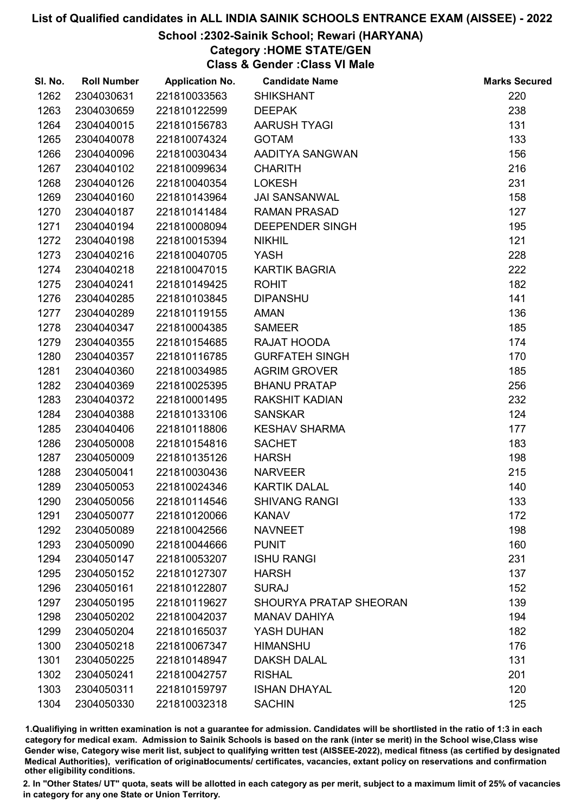# School :2302-Sainik School; Rewari (HARYANA)

Category :HOME STATE/GEN

Class & Gender :Class VI Male

| SI. No. | <b>Roll Number</b> | <b>Application No.</b> | <b>Candidate Name</b>         | <b>Marks Secured</b> |
|---------|--------------------|------------------------|-------------------------------|----------------------|
| 1262    | 2304030631         | 221810033563           | <b>SHIKSHANT</b>              | 220                  |
| 1263    | 2304030659         | 221810122599           | <b>DEEPAK</b>                 | 238                  |
| 1264    | 2304040015         | 221810156783           | AARUSH TYAGI                  | 131                  |
| 1265    | 2304040078         | 221810074324           | <b>GOTAM</b>                  | 133                  |
| 1266    | 2304040096         | 221810030434           | AADITYA SANGWAN               | 156                  |
| 1267    | 2304040102         | 221810099634           | <b>CHARITH</b>                | 216                  |
| 1268    | 2304040126         | 221810040354           | <b>LOKESH</b>                 | 231                  |
| 1269    | 2304040160         | 221810143964           | <b>JAI SANSANWAL</b>          | 158                  |
| 1270    | 2304040187         | 221810141484           | <b>RAMAN PRASAD</b>           | 127                  |
| 1271    | 2304040194         | 221810008094           | <b>DEEPENDER SINGH</b>        | 195                  |
| 1272    | 2304040198         | 221810015394           | <b>NIKHIL</b>                 | 121                  |
| 1273    | 2304040216         | 221810040705           | <b>YASH</b>                   | 228                  |
| 1274    | 2304040218         | 221810047015           | <b>KARTIK BAGRIA</b>          | 222                  |
| 1275    | 2304040241         | 221810149425           | <b>ROHIT</b>                  | 182                  |
| 1276    | 2304040285         | 221810103845           | <b>DIPANSHU</b>               | 141                  |
| 1277    | 2304040289         | 221810119155           | <b>AMAN</b>                   | 136                  |
| 1278    | 2304040347         | 221810004385           | <b>SAMEER</b>                 | 185                  |
| 1279    | 2304040355         | 221810154685           | RAJAT HOODA                   | 174                  |
| 1280    | 2304040357         | 221810116785           | <b>GURFATEH SINGH</b>         | 170                  |
| 1281    | 2304040360         | 221810034985           | <b>AGRIM GROVER</b>           | 185                  |
| 1282    | 2304040369         | 221810025395           | <b>BHANU PRATAP</b>           | 256                  |
| 1283    | 2304040372         | 221810001495           | <b>RAKSHIT KADIAN</b>         | 232                  |
| 1284    | 2304040388         | 221810133106           | <b>SANSKAR</b>                | 124                  |
| 1285    | 2304040406         | 221810118806           | <b>KESHAV SHARMA</b>          | 177                  |
| 1286    | 2304050008         | 221810154816           | <b>SACHET</b>                 | 183                  |
| 1287    | 2304050009         | 221810135126           | <b>HARSH</b>                  | 198                  |
| 1288    | 2304050041         | 221810030436           | <b>NARVEER</b>                | 215                  |
| 1289    | 2304050053         | 221810024346           | <b>KARTIK DALAL</b>           | 140                  |
| 1290    | 2304050056         | 221810114546           | <b>SHIVANG RANGI</b>          | 133                  |
| 1291    | 2304050077         | 221810120066           | <b>KANAV</b>                  | 172                  |
| 1292    | 2304050089         | 221810042566           | <b>NAVNEET</b>                | 198                  |
| 1293    | 2304050090         | 221810044666           | <b>PUNIT</b>                  | 160                  |
| 1294    | 2304050147         | 221810053207           | <b>ISHU RANGI</b>             | 231                  |
| 1295    | 2304050152         | 221810127307           | <b>HARSH</b>                  | 137                  |
| 1296    | 2304050161         | 221810122807           | <b>SURAJ</b>                  | 152                  |
| 1297    | 2304050195         | 221810119627           | <b>SHOURYA PRATAP SHEORAN</b> | 139                  |
| 1298    | 2304050202         | 221810042037           | <b>MANAV DAHIYA</b>           | 194                  |
| 1299    | 2304050204         | 221810165037           | YASH DUHAN                    | 182                  |
| 1300    | 2304050218         | 221810067347           | <b>HIMANSHU</b>               | 176                  |
| 1301    | 2304050225         | 221810148947           | <b>DAKSH DALAL</b>            | 131                  |
| 1302    | 2304050241         | 221810042757           | <b>RISHAL</b>                 | 201                  |
| 1303    | 2304050311         | 221810159797           | <b>ISHAN DHAYAL</b>           | 120                  |
| 1304    | 2304050330         | 221810032318           | <b>SACHIN</b>                 | 125                  |

1.Qualifiying in written examination is not a guarantee for admission. Candidates will be shortlisted in the ratio of 1:3 in each category for medical exam. Admission to Sainik Schools is based on the rank (inter se merit) in the School wise,Class wise Gender wise, Category wise merit list, subject to qualifying written test (AISSEE-2022), medical fitness (as certified by designated Medical Authorities), verification of originablocuments/ certificates, vacancies, extant policy on reservations and confirmation other eligibility conditions.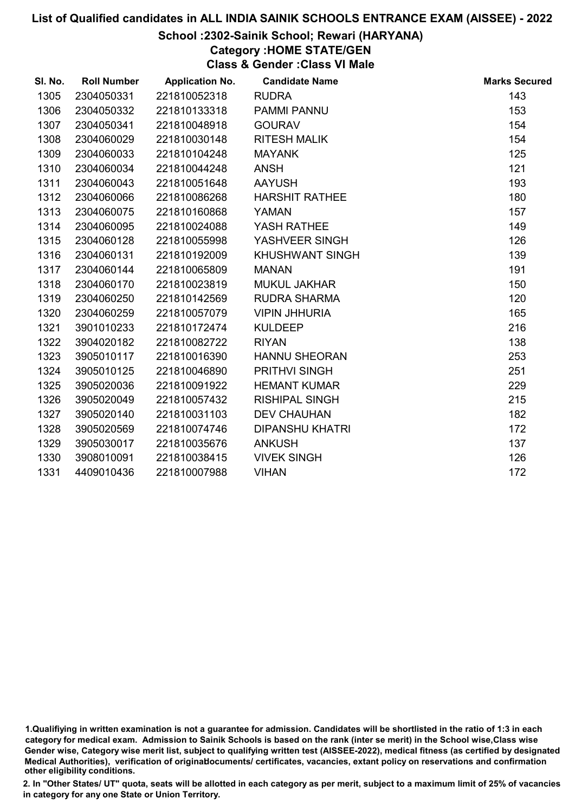#### School :2302-Sainik School; Rewari (HARYANA)

Category :HOME STATE/GEN

Class & Gender :Class VI Male

| SI. No. | <b>Roll Number</b> | <b>Application No.</b> | <b>Candidate Name</b>  | <b>Marks Secured</b> |
|---------|--------------------|------------------------|------------------------|----------------------|
| 1305    | 2304050331         | 221810052318           | <b>RUDRA</b>           | 143                  |
| 1306    | 2304050332         | 221810133318           | PAMMI PANNU            | 153                  |
| 1307    | 2304050341         | 221810048918           | <b>GOURAV</b>          | 154                  |
| 1308    | 2304060029         | 221810030148           | <b>RITESH MALIK</b>    | 154                  |
| 1309    | 2304060033         | 221810104248           | <b>MAYANK</b>          | 125                  |
| 1310    | 2304060034         | 221810044248           | <b>ANSH</b>            | 121                  |
| 1311    | 2304060043         | 221810051648           | <b>AAYUSH</b>          | 193                  |
| 1312    | 2304060066         | 221810086268           | <b>HARSHIT RATHEE</b>  | 180                  |
| 1313    | 2304060075         | 221810160868           | <b>YAMAN</b>           | 157                  |
| 1314    | 2304060095         | 221810024088           | YASH RATHEE            | 149                  |
| 1315    | 2304060128         | 221810055998           | YASHVEER SINGH         | 126                  |
| 1316    | 2304060131         | 221810192009           | <b>KHUSHWANT SINGH</b> | 139                  |
| 1317    | 2304060144         | 221810065809           | <b>MANAN</b>           | 191                  |
| 1318    | 2304060170         | 221810023819           | <b>MUKUL JAKHAR</b>    | 150                  |
| 1319    | 2304060250         | 221810142569           | <b>RUDRA SHARMA</b>    | 120                  |
| 1320    | 2304060259         | 221810057079           | <b>VIPIN JHHURIA</b>   | 165                  |
| 1321    | 3901010233         | 221810172474           | <b>KULDEEP</b>         | 216                  |
| 1322    | 3904020182         | 221810082722           | <b>RIYAN</b>           | 138                  |
| 1323    | 3905010117         | 221810016390           | <b>HANNU SHEORAN</b>   | 253                  |
| 1324    | 3905010125         | 221810046890           | <b>PRITHVI SINGH</b>   | 251                  |
| 1325    | 3905020036         | 221810091922           | <b>HEMANT KUMAR</b>    | 229                  |
| 1326    | 3905020049         | 221810057432           | <b>RISHIPAL SINGH</b>  | 215                  |
| 1327    | 3905020140         | 221810031103           | <b>DEV CHAUHAN</b>     | 182                  |
| 1328    | 3905020569         | 221810074746           | <b>DIPANSHU KHATRI</b> | 172                  |
| 1329    | 3905030017         | 221810035676           | <b>ANKUSH</b>          | 137                  |
| 1330    | 3908010091         | 221810038415           | <b>VIVEK SINGH</b>     | 126                  |
| 1331    | 4409010436         | 221810007988           | <b>VIHAN</b>           | 172                  |

<sup>1.</sup>Qualifiying in written examination is not a guarantee for admission. Candidates will be shortlisted in the ratio of 1:3 in each category for medical exam. Admission to Sainik Schools is based on the rank (inter se merit) in the School wise,Class wise Gender wise, Category wise merit list, subject to qualifying written test (AISSEE-2022), medical fitness (as certified by designated Medical Authorities), verification of originablocuments/ certificates, vacancies, extant policy on reservations and confirmation other eligibility conditions.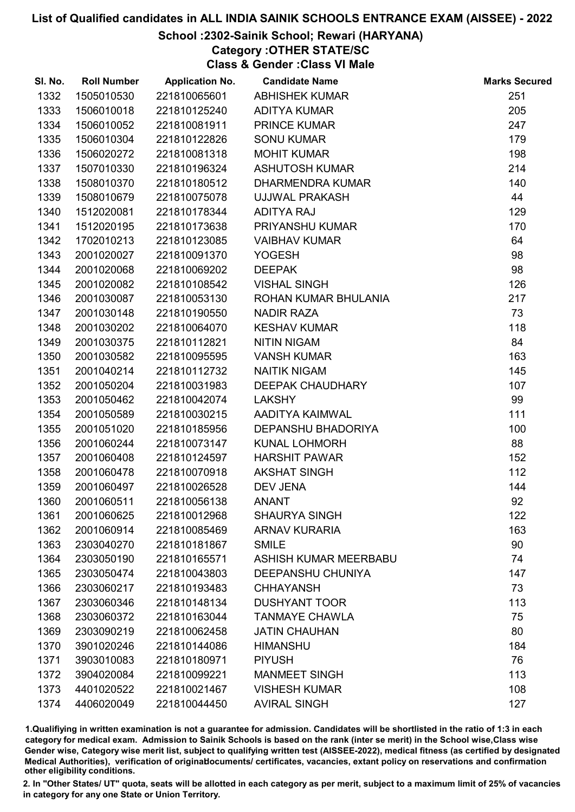# School :2302-Sainik School; Rewari (HARYANA)

Category :OTHER STATE/SC

Class & Gender :Class VI Male

| SI. No. | <b>Roll Number</b> | <b>Application No.</b> | <b>Candidate Name</b>        | <b>Marks Secured</b> |
|---------|--------------------|------------------------|------------------------------|----------------------|
| 1332    | 1505010530         | 221810065601           | <b>ABHISHEK KUMAR</b>        | 251                  |
| 1333    | 1506010018         | 221810125240           | <b>ADITYA KUMAR</b>          | 205                  |
| 1334    | 1506010052         | 221810081911           | <b>PRINCE KUMAR</b>          | 247                  |
| 1335    | 1506010304         | 221810122826           | <b>SONU KUMAR</b>            | 179                  |
| 1336    | 1506020272         | 221810081318           | <b>MOHIT KUMAR</b>           | 198                  |
| 1337    | 1507010330         | 221810196324           | <b>ASHUTOSH KUMAR</b>        | 214                  |
| 1338    | 1508010370         | 221810180512           | <b>DHARMENDRA KUMAR</b>      | 140                  |
| 1339    | 1508010679         | 221810075078           | <b>UJJWAL PRAKASH</b>        | 44                   |
| 1340    | 1512020081         | 221810178344           | <b>ADITYA RAJ</b>            | 129                  |
| 1341    | 1512020195         | 221810173638           | PRIYANSHU KUMAR              | 170                  |
| 1342    | 1702010213         | 221810123085           | <b>VAIBHAV KUMAR</b>         | 64                   |
| 1343    | 2001020027         | 221810091370           | <b>YOGESH</b>                | 98                   |
| 1344    | 2001020068         | 221810069202           | <b>DEEPAK</b>                | 98                   |
| 1345    | 2001020082         | 221810108542           | <b>VISHAL SINGH</b>          | 126                  |
| 1346    | 2001030087         | 221810053130           | ROHAN KUMAR BHULANIA         | 217                  |
| 1347    | 2001030148         | 221810190550           | <b>NADIR RAZA</b>            | 73                   |
| 1348    | 2001030202         | 221810064070           | <b>KESHAV KUMAR</b>          | 118                  |
| 1349    | 2001030375         | 221810112821           | <b>NITIN NIGAM</b>           | 84                   |
| 1350    | 2001030582         | 221810095595           | <b>VANSH KUMAR</b>           | 163                  |
| 1351    | 2001040214         | 221810112732           | <b>NAITIK NIGAM</b>          | 145                  |
| 1352    | 2001050204         | 221810031983           | <b>DEEPAK CHAUDHARY</b>      | 107                  |
| 1353    | 2001050462         | 221810042074           | <b>LAKSHY</b>                | 99                   |
| 1354    | 2001050589         | 221810030215           | AADITYA KAIMWAL              | 111                  |
| 1355    | 2001051020         | 221810185956           | DEPANSHU BHADORIYA           | 100                  |
| 1356    | 2001060244         | 221810073147           | <b>KUNAL LOHMORH</b>         | 88                   |
| 1357    | 2001060408         | 221810124597           | <b>HARSHIT PAWAR</b>         | 152                  |
| 1358    | 2001060478         | 221810070918           | <b>AKSHAT SINGH</b>          | 112                  |
| 1359    | 2001060497         | 221810026528           | <b>DEV JENA</b>              | 144                  |
| 1360    | 2001060511         | 221810056138           | <b>ANANT</b>                 | 92                   |
| 1361    | 2001060625         | 221810012968           | <b>SHAURYA SINGH</b>         | 122                  |
| 1362    | 2001060914         | 221810085469           | <b>ARNAV KURARIA</b>         | 163                  |
| 1363    | 2303040270         | 221810181867           | <b>SMILE</b>                 | 90                   |
| 1364    | 2303050190         | 221810165571           | <b>ASHISH KUMAR MEERBABU</b> | 74                   |
| 1365    | 2303050474         | 221810043803           | <b>DEEPANSHU CHUNIYA</b>     | 147                  |
| 1366    | 2303060217         | 221810193483           | <b>CHHAYANSH</b>             | 73                   |
| 1367    | 2303060346         | 221810148134           | <b>DUSHYANT TOOR</b>         | 113                  |
| 1368    | 2303060372         | 221810163044           | <b>TANMAYE CHAWLA</b>        | 75                   |
| 1369    | 2303090219         | 221810062458           | <b>JATIN CHAUHAN</b>         | 80                   |
| 1370    | 3901020246         | 221810144086           | <b>HIMANSHU</b>              | 184                  |
| 1371    | 3903010083         | 221810180971           | <b>PIYUSH</b>                | 76                   |
| 1372    | 3904020084         | 221810099221           | <b>MANMEET SINGH</b>         | 113                  |
| 1373    | 4401020522         | 221810021467           | <b>VISHESH KUMAR</b>         | 108                  |
| 1374    | 4406020049         | 221810044450           | <b>AVIRAL SINGH</b>          | 127                  |

1.Qualifiying in written examination is not a guarantee for admission. Candidates will be shortlisted in the ratio of 1:3 in each category for medical exam. Admission to Sainik Schools is based on the rank (inter se merit) in the School wise,Class wise Gender wise, Category wise merit list, subject to qualifying written test (AISSEE-2022), medical fitness (as certified by designated Medical Authorities), verification of originablocuments/ certificates, vacancies, extant policy on reservations and confirmation other eligibility conditions.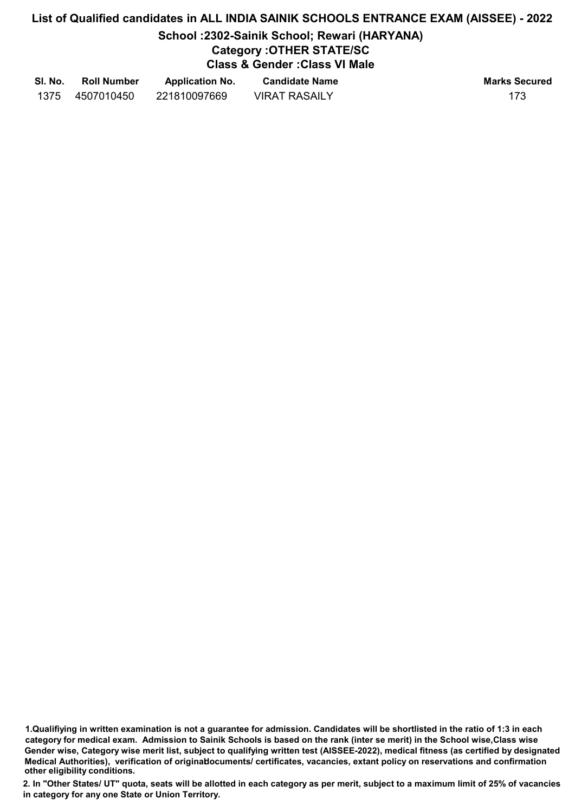# School :2302-Sainik School; Rewari (HARYANA)

# Category :OTHER STATE/SC

Class & Gender :Class VI Male

| SI. No. | <b>Roll Number</b> | <b>Application No.</b> | <b>Candidate Name</b> | <b>Marks Secured</b> |
|---------|--------------------|------------------------|-----------------------|----------------------|
| 1375    | 4507010450         | 221810097669           | <b>VIRAT RASAILY</b>  |                      |

1.Qualifiying in written examination is not a guarantee for admission. Candidates will be shortlisted in the ratio of 1:3 in each category for medical exam. Admission to Sainik Schools is based on the rank (inter se merit) in the School wise,Class wise Gender wise, Category wise merit list, subject to qualifying written test (AISSEE-2022), medical fitness (as certified by designated Medical Authorities), verification of originablocuments/ certificates, vacancies, extant policy on reservations and confirmation other eligibility conditions.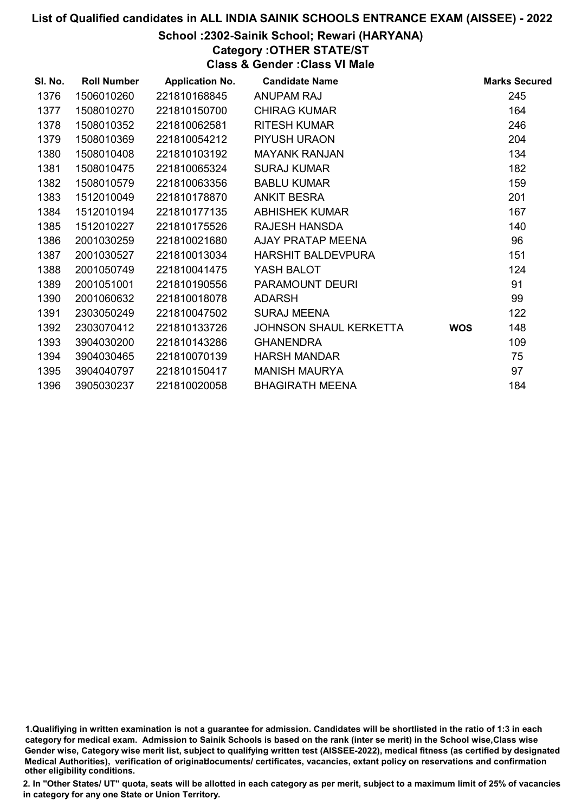# School :2302-Sainik School; Rewari (HARYANA)

Category :OTHER STATE/ST

Class & Gender :Class VI Male

| SI. No. | <b>Roll Number</b> | <b>Application No.</b> | <b>Candidate Name</b>     |            | <b>Marks Secured</b> |
|---------|--------------------|------------------------|---------------------------|------------|----------------------|
| 1376    | 1506010260         | 221810168845           | ANUPAM RAJ                |            | 245                  |
| 1377    | 1508010270         | 221810150700           | <b>CHIRAG KUMAR</b>       |            | 164                  |
| 1378    | 1508010352         | 221810062581           | <b>RITESH KUMAR</b>       |            | 246                  |
| 1379    | 1508010369         | 221810054212           | PIYUSH URAON              |            | 204                  |
| 1380    | 1508010408         | 221810103192           | <b>MAYANK RANJAN</b>      |            | 134                  |
| 1381    | 1508010475         | 221810065324           | <b>SURAJ KUMAR</b>        |            | 182                  |
| 1382    | 1508010579         | 221810063356           | <b>BABLU KUMAR</b>        |            | 159                  |
| 1383    | 1512010049         | 221810178870           | <b>ANKIT BESRA</b>        |            | 201                  |
| 1384    | 1512010194         | 221810177135           | <b>ABHISHEK KUMAR</b>     |            | 167                  |
| 1385    | 1512010227         | 221810175526           | <b>RAJESH HANSDA</b>      |            | 140                  |
| 1386    | 2001030259         | 221810021680           | AJAY PRATAP MEENA         |            | 96                   |
| 1387    | 2001030527         | 221810013034           | <b>HARSHIT BALDEVPURA</b> |            | 151                  |
| 1388    | 2001050749         | 221810041475           | YASH BALOT                |            | 124                  |
| 1389    | 2001051001         | 221810190556           | PARAMOUNT DEURI           |            | 91                   |
| 1390    | 2001060632         | 221810018078           | <b>ADARSH</b>             |            | 99                   |
| 1391    | 2303050249         | 221810047502           | <b>SURAJ MEENA</b>        |            | 122                  |
| 1392    | 2303070412         | 221810133726           | JOHNSON SHAUL KERKETTA    | <b>WOS</b> | 148                  |
| 1393    | 3904030200         | 221810143286           | <b>GHANENDRA</b>          |            | 109                  |
| 1394    | 3904030465         | 221810070139           | <b>HARSH MANDAR</b>       |            | 75                   |
| 1395    | 3904040797         | 221810150417           | <b>MANISH MAURYA</b>      |            | 97                   |
| 1396    | 3905030237         | 221810020058           | <b>BHAGIRATH MEENA</b>    |            | 184                  |

<sup>1.</sup>Qualifiying in written examination is not a guarantee for admission. Candidates will be shortlisted in the ratio of 1:3 in each category for medical exam. Admission to Sainik Schools is based on the rank (inter se merit) in the School wise,Class wise Gender wise, Category wise merit list, subject to qualifying written test (AISSEE-2022), medical fitness (as certified by designated Medical Authorities), verification of originablocuments/ certificates, vacancies, extant policy on reservations and confirmation other eligibility conditions.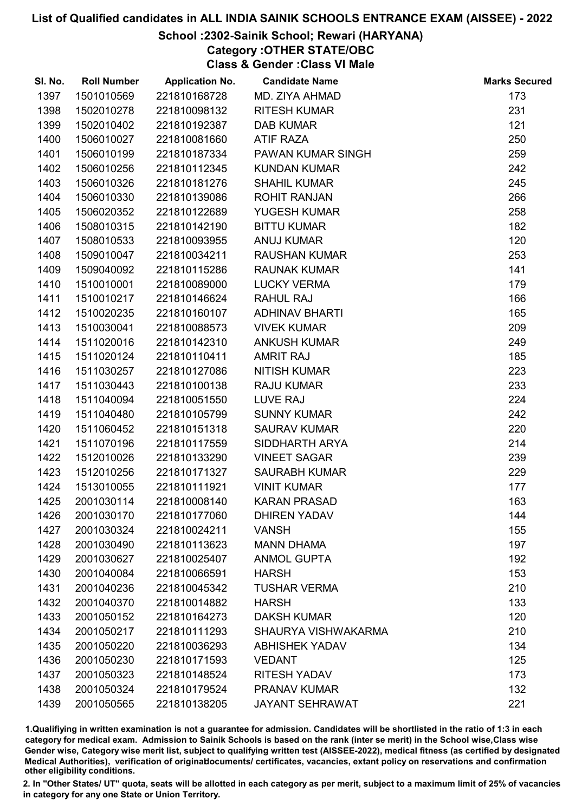# School :2302-Sainik School; Rewari (HARYANA)

Category :OTHER STATE/OBC

Class & Gender :Class VI Male

| SI. No. | <b>Roll Number</b> | <b>Application No.</b> | <b>Candidate Name</b>  | <b>Marks Secured</b> |
|---------|--------------------|------------------------|------------------------|----------------------|
| 1397    | 1501010569         | 221810168728           | MD. ZIYA AHMAD         | 173                  |
| 1398    | 1502010278         | 221810098132           | <b>RITESH KUMAR</b>    | 231                  |
| 1399    | 1502010402         | 221810192387           | <b>DAB KUMAR</b>       | 121                  |
| 1400    | 1506010027         | 221810081660           | <b>ATIF RAZA</b>       | 250                  |
| 1401    | 1506010199         | 221810187334           | PAWAN KUMAR SINGH      | 259                  |
| 1402    | 1506010256         | 221810112345           | <b>KUNDAN KUMAR</b>    | 242                  |
| 1403    | 1506010326         | 221810181276           | <b>SHAHIL KUMAR</b>    | 245                  |
| 1404    | 1506010330         | 221810139086           | <b>ROHIT RANJAN</b>    | 266                  |
| 1405    | 1506020352         | 221810122689           | YUGESH KUMAR           | 258                  |
| 1406    | 1508010315         | 221810142190           | <b>BITTU KUMAR</b>     | 182                  |
| 1407    | 1508010533         | 221810093955           | <b>ANUJ KUMAR</b>      | 120                  |
| 1408    | 1509010047         | 221810034211           | <b>RAUSHAN KUMAR</b>   | 253                  |
| 1409    | 1509040092         | 221810115286           | <b>RAUNAK KUMAR</b>    | 141                  |
| 1410    | 1510010001         | 221810089000           | <b>LUCKY VERMA</b>     | 179                  |
| 1411    | 1510010217         | 221810146624           | <b>RAHUL RAJ</b>       | 166                  |
| 1412    | 1510020235         | 221810160107           | <b>ADHINAV BHARTI</b>  | 165                  |
| 1413    | 1510030041         | 221810088573           | <b>VIVEK KUMAR</b>     | 209                  |
| 1414    | 1511020016         | 221810142310           | <b>ANKUSH KUMAR</b>    | 249                  |
| 1415    | 1511020124         | 221810110411           | <b>AMRIT RAJ</b>       | 185                  |
| 1416    | 1511030257         | 221810127086           | <b>NITISH KUMAR</b>    | 223                  |
| 1417    | 1511030443         | 221810100138           | <b>RAJU KUMAR</b>      | 233                  |
| 1418    | 1511040094         | 221810051550           | LUVE RAJ               | 224                  |
| 1419    | 1511040480         | 221810105799           | <b>SUNNY KUMAR</b>     | 242                  |
| 1420    | 1511060452         | 221810151318           | <b>SAURAV KUMAR</b>    | 220                  |
| 1421    | 1511070196         | 221810117559           | SIDDHARTH ARYA         | 214                  |
| 1422    | 1512010026         | 221810133290           | <b>VINEET SAGAR</b>    | 239                  |
| 1423    | 1512010256         | 221810171327           | <b>SAURABH KUMAR</b>   | 229                  |
| 1424    | 1513010055         | 221810111921           | <b>VINIT KUMAR</b>     | 177                  |
| 1425    | 2001030114         | 221810008140           | <b>KARAN PRASAD</b>    | 163                  |
| 1426    | 2001030170         | 221810177060           | <b>DHIREN YADAV</b>    | 144                  |
| 1427    | 2001030324         | 221810024211           | <b>VANSH</b>           | 155                  |
| 1428    | 2001030490         | 221810113623           | <b>MANN DHAMA</b>      | 197                  |
| 1429    | 2001030627         | 221810025407           | <b>ANMOL GUPTA</b>     | 192                  |
| 1430    | 2001040084         | 221810066591           | <b>HARSH</b>           | 153                  |
| 1431    | 2001040236         | 221810045342           | <b>TUSHAR VERMA</b>    | 210                  |
| 1432    | 2001040370         | 221810014882           | <b>HARSH</b>           | 133                  |
| 1433    | 2001050152         | 221810164273           | <b>DAKSH KUMAR</b>     | 120                  |
| 1434    | 2001050217         | 221810111293           | SHAURYA VISHWAKARMA    | 210                  |
| 1435    | 2001050220         | 221810036293           | <b>ABHISHEK YADAV</b>  | 134                  |
| 1436    | 2001050230         | 221810171593           | <b>VEDANT</b>          | 125                  |
| 1437    | 2001050323         | 221810148524           | <b>RITESH YADAV</b>    | 173                  |
| 1438    | 2001050324         | 221810179524           | <b>PRANAV KUMAR</b>    | 132                  |
| 1439    | 2001050565         | 221810138205           | <b>JAYANT SEHRAWAT</b> | 221                  |

1.Qualifiying in written examination is not a guarantee for admission. Candidates will be shortlisted in the ratio of 1:3 in each category for medical exam. Admission to Sainik Schools is based on the rank (inter se merit) in the School wise,Class wise Gender wise, Category wise merit list, subject to qualifying written test (AISSEE-2022), medical fitness (as certified by designated Medical Authorities), verification of originablocuments/ certificates, vacancies, extant policy on reservations and confirmation other eligibility conditions.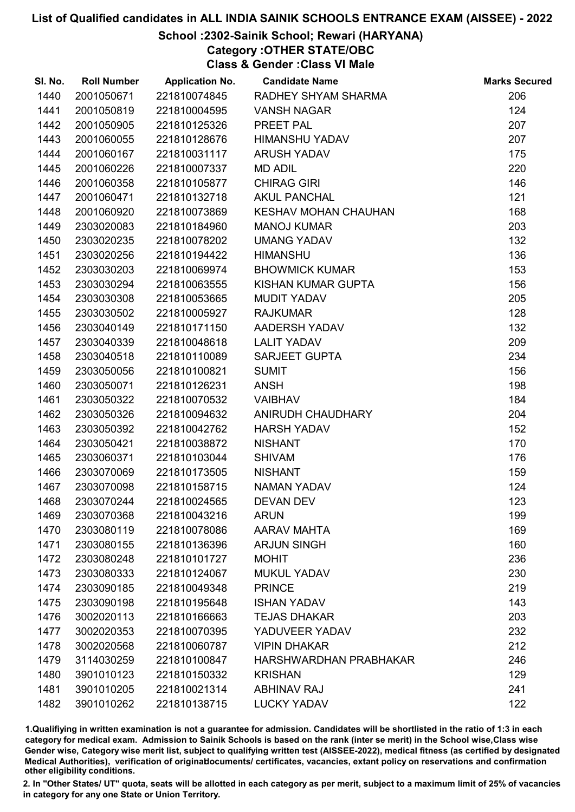# School :2302-Sainik School; Rewari (HARYANA)

Category :OTHER STATE/OBC

Class & Gender :Class VI Male

| SI. No. | <b>Roll Number</b> | <b>Application No.</b> | <b>Candidate Name</b>       | <b>Marks Secured</b> |
|---------|--------------------|------------------------|-----------------------------|----------------------|
| 1440    | 2001050671         | 221810074845           | RADHEY SHYAM SHARMA         | 206                  |
| 1441    | 2001050819         | 221810004595           | <b>VANSH NAGAR</b>          | 124                  |
| 1442    | 2001050905         | 221810125326           | PREET PAL                   | 207                  |
| 1443    | 2001060055         | 221810128676           | HIMANSHU YADAV              | 207                  |
| 1444    | 2001060167         | 221810031117           | <b>ARUSH YADAV</b>          | 175                  |
| 1445    | 2001060226         | 221810007337           | <b>MD ADIL</b>              | 220                  |
| 1446    | 2001060358         | 221810105877           | <b>CHIRAG GIRI</b>          | 146                  |
| 1447    | 2001060471         | 221810132718           | <b>AKUL PANCHAL</b>         | 121                  |
| 1448    | 2001060920         | 221810073869           | <b>KESHAV MOHAN CHAUHAN</b> | 168                  |
| 1449    | 2303020083         | 221810184960           | <b>MANOJ KUMAR</b>          | 203                  |
| 1450    | 2303020235         | 221810078202           | <b>UMANG YADAV</b>          | 132                  |
| 1451    | 2303020256         | 221810194422           | <b>HIMANSHU</b>             | 136                  |
| 1452    | 2303030203         | 221810069974           | <b>BHOWMICK KUMAR</b>       | 153                  |
| 1453    | 2303030294         | 221810063555           | KISHAN KUMAR GUPTA          | 156                  |
| 1454    | 2303030308         | 221810053665           | <b>MUDIT YADAV</b>          | 205                  |
| 1455    | 2303030502         | 221810005927           | <b>RAJKUMAR</b>             | 128                  |
| 1456    | 2303040149         | 221810171150           | AADERSH YADAV               | 132                  |
| 1457    | 2303040339         | 221810048618           | <b>LALIT YADAV</b>          | 209                  |
| 1458    | 2303040518         | 221810110089           | <b>SARJEET GUPTA</b>        | 234                  |
| 1459    | 2303050056         | 221810100821           | <b>SUMIT</b>                | 156                  |
| 1460    | 2303050071         | 221810126231           | <b>ANSH</b>                 | 198                  |
| 1461    | 2303050322         | 221810070532           | <b>VAIBHAV</b>              | 184                  |
| 1462    | 2303050326         | 221810094632           | ANIRUDH CHAUDHARY           | 204                  |
| 1463    | 2303050392         | 221810042762           | <b>HARSH YADAV</b>          | 152                  |
| 1464    | 2303050421         | 221810038872           | <b>NISHANT</b>              | 170                  |
| 1465    | 2303060371         | 221810103044           | <b>SHIVAM</b>               | 176                  |
| 1466    | 2303070069         | 221810173505           | <b>NISHANT</b>              | 159                  |
| 1467    | 2303070098         | 221810158715           | <b>NAMAN YADAV</b>          | 124                  |
| 1468    | 2303070244         | 221810024565           | <b>DEVAN DEV</b>            | 123                  |
| 1469    | 2303070368         | 221810043216           | <b>ARUN</b>                 | 199                  |
| 1470    | 2303080119         | 221810078086           | <b>AARAV MAHTA</b>          | 169                  |
| 1471    | 2303080155         | 221810136396           | <b>ARJUN SINGH</b>          | 160                  |
| 1472    | 2303080248         | 221810101727           | <b>MOHIT</b>                | 236                  |
| 1473    | 2303080333         | 221810124067           | <b>MUKUL YADAV</b>          | 230                  |
| 1474    | 2303090185         | 221810049348           | <b>PRINCE</b>               | 219                  |
| 1475    | 2303090198         | 221810195648           | <b>ISHAN YADAV</b>          | 143                  |
| 1476    | 3002020113         | 221810166663           | <b>TEJAS DHAKAR</b>         | 203                  |
| 1477    | 3002020353         | 221810070395           | YADUVEER YADAV              | 232                  |
| 1478    | 3002020568         | 221810060787           | <b>VIPIN DHAKAR</b>         | 212                  |
| 1479    | 3114030259         | 221810100847           | HARSHWARDHAN PRABHAKAR      | 246                  |
| 1480    | 3901010123         | 221810150332           | <b>KRISHAN</b>              | 129                  |
| 1481    | 3901010205         | 221810021314           | <b>ABHINAV RAJ</b>          | 241                  |
| 1482    | 3901010262         | 221810138715           | <b>LUCKY YADAV</b>          | 122                  |

1.Qualifiying in written examination is not a guarantee for admission. Candidates will be shortlisted in the ratio of 1:3 in each category for medical exam. Admission to Sainik Schools is based on the rank (inter se merit) in the School wise,Class wise Gender wise, Category wise merit list, subject to qualifying written test (AISSEE-2022), medical fitness (as certified by designated Medical Authorities), verification of originablocuments/ certificates, vacancies, extant policy on reservations and confirmation other eligibility conditions.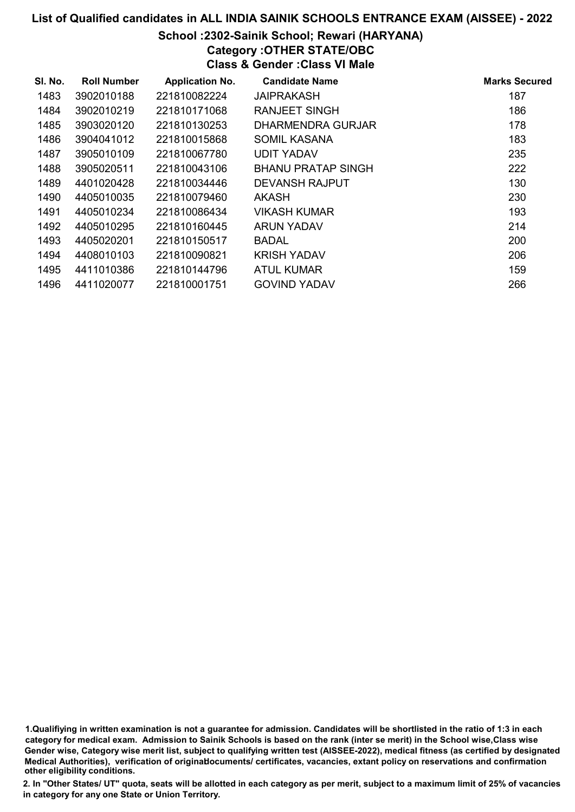# School :2302-Sainik School; Rewari (HARYANA)

Category :OTHER STATE/OBC

Class & Gender :Class VI Male

| SI. No. | <b>Roll Number</b> | <b>Application No.</b> | <b>Candidate Name</b>     | <b>Marks Secured</b> |
|---------|--------------------|------------------------|---------------------------|----------------------|
| 1483    | 3902010188         | 221810082224           | JAIPRAKASH                | 187                  |
| 1484    | 3902010219         | 221810171068           | <b>RANJEET SINGH</b>      | 186                  |
| 1485    | 3903020120         | 221810130253           | DHARMENDRA GURJAR         | 178                  |
| 1486    | 3904041012         | 221810015868           | <b>SOMIL KASANA</b>       | 183                  |
| 1487    | 3905010109         | 221810067780           | <b>UDIT YADAV</b>         | 235                  |
| 1488    | 3905020511         | 221810043106           | <b>BHANU PRATAP SINGH</b> | 222                  |
| 1489    | 4401020428         | 221810034446           | DEVANSH RAJPUT            | 130                  |
| 1490    | 4405010035         | 221810079460           | <b>AKASH</b>              | 230                  |
| 1491    | 4405010234         | 221810086434           | <b>VIKASH KUMAR</b>       | 193                  |
| 1492    | 4405010295         | 221810160445           | <b>ARUN YADAV</b>         | 214                  |
| 1493    | 4405020201         | 221810150517           | <b>BADAL</b>              | 200                  |
| 1494    | 4408010103         | 221810090821           | <b>KRISH YADAV</b>        | 206                  |
| 1495    | 4411010386         | 221810144796           | <b>ATUL KUMAR</b>         | 159                  |
| 1496    | 4411020077         | 221810001751           | <b>GOVIND YADAV</b>       | 266                  |

1.Qualifiying in written examination is not a guarantee for admission. Candidates will be shortlisted in the ratio of 1:3 in each category for medical exam. Admission to Sainik Schools is based on the rank (inter se merit) in the School wise,Class wise Gender wise, Category wise merit list, subject to qualifying written test (AISSEE-2022), medical fitness (as certified by designated Medical Authorities), verification of originablocuments/ certificates, vacancies, extant policy on reservations and confirmation other eligibility conditions.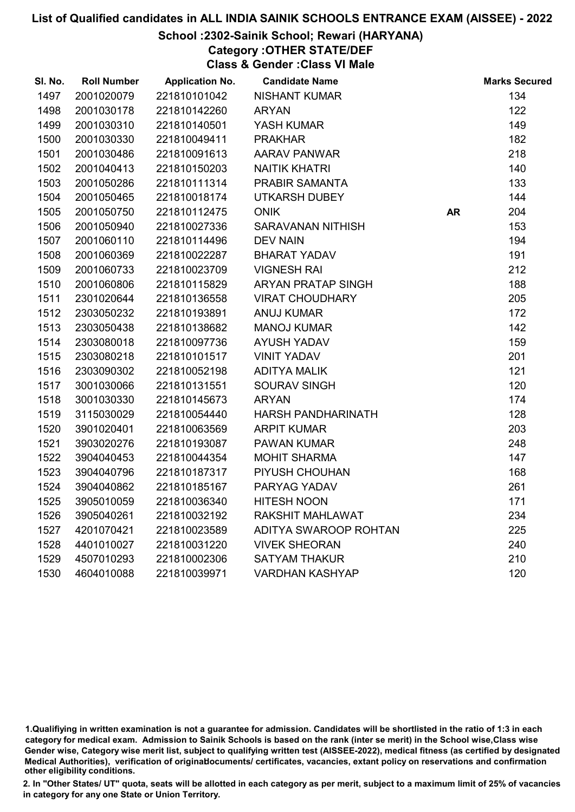#### School :2302-Sainik School; Rewari (HARYANA)

Category :OTHER STATE/DEF

Class & Gender :Class VI Male

| SI. No. | <b>Roll Number</b> | <b>Application No.</b> | <b>Candidate Name</b>        |           | <b>Marks Secured</b> |
|---------|--------------------|------------------------|------------------------------|-----------|----------------------|
| 1497    | 2001020079         | 221810101042           | <b>NISHANT KUMAR</b>         |           | 134                  |
| 1498    | 2001030178         | 221810142260           | <b>ARYAN</b>                 |           | 122                  |
| 1499    | 2001030310         | 221810140501           | YASH KUMAR                   |           | 149                  |
| 1500    | 2001030330         | 221810049411           | <b>PRAKHAR</b>               |           | 182                  |
| 1501    | 2001030486         | 221810091613           | <b>AARAV PANWAR</b>          |           | 218                  |
| 1502    | 2001040413         | 221810150203           | <b>NAITIK KHATRI</b>         |           | 140                  |
| 1503    | 2001050286         | 221810111314           | PRABIR SAMANTA               |           | 133                  |
| 1504    | 2001050465         | 221810018174           | <b>UTKARSH DUBEY</b>         |           | 144                  |
| 1505    | 2001050750         | 221810112475           | <b>ONIK</b>                  | <b>AR</b> | 204                  |
| 1506    | 2001050940         | 221810027336           | SARAVANAN NITHISH            |           | 153                  |
| 1507    | 2001060110         | 221810114496           | <b>DEV NAIN</b>              |           | 194                  |
| 1508    | 2001060369         | 221810022287           | <b>BHARAT YADAV</b>          |           | 191                  |
| 1509    | 2001060733         | 221810023709           | <b>VIGNESH RAI</b>           |           | 212                  |
| 1510    | 2001060806         | 221810115829           | ARYAN PRATAP SINGH           |           | 188                  |
| 1511    | 2301020644         | 221810136558           | <b>VIRAT CHOUDHARY</b>       |           | 205                  |
| 1512    | 2303050232         | 221810193891           | <b>ANUJ KUMAR</b>            |           | 172                  |
| 1513    | 2303050438         | 221810138682           | <b>MANOJ KUMAR</b>           |           | 142                  |
| 1514    | 2303080018         | 221810097736           | <b>AYUSH YADAV</b>           |           | 159                  |
| 1515    | 2303080218         | 221810101517           | <b>VINIT YADAV</b>           |           | 201                  |
| 1516    | 2303090302         | 221810052198           | <b>ADITYA MALIK</b>          |           | 121                  |
| 1517    | 3001030066         | 221810131551           | <b>SOURAV SINGH</b>          |           | 120                  |
| 1518    | 3001030330         | 221810145673           | <b>ARYAN</b>                 |           | 174                  |
| 1519    | 3115030029         | 221810054440           | <b>HARSH PANDHARINATH</b>    |           | 128                  |
| 1520    | 3901020401         | 221810063569           | <b>ARPIT KUMAR</b>           |           | 203                  |
| 1521    | 3903020276         | 221810193087           | <b>PAWAN KUMAR</b>           |           | 248                  |
| 1522    | 3904040453         | 221810044354           | <b>MOHIT SHARMA</b>          |           | 147                  |
| 1523    | 3904040796         | 221810187317           | PIYUSH CHOUHAN               |           | 168                  |
| 1524    | 3904040862         | 221810185167           | PARYAG YADAV                 |           | 261                  |
| 1525    | 3905010059         | 221810036340           | <b>HITESH NOON</b>           |           | 171                  |
| 1526    | 3905040261         | 221810032192           | <b>RAKSHIT MAHLAWAT</b>      |           | 234                  |
| 1527    | 4201070421         | 221810023589           | <b>ADITYA SWAROOP ROHTAN</b> |           | 225                  |
| 1528    | 4401010027         | 221810031220           | <b>VIVEK SHEORAN</b>         |           | 240                  |
| 1529    | 4507010293         | 221810002306           | <b>SATYAM THAKUR</b>         |           | 210                  |
| 1530    | 4604010088         | 221810039971           | <b>VARDHAN KASHYAP</b>       |           | 120                  |

<sup>1.</sup>Qualifiying in written examination is not a guarantee for admission. Candidates will be shortlisted in the ratio of 1:3 in each category for medical exam. Admission to Sainik Schools is based on the rank (inter se merit) in the School wise,Class wise Gender wise, Category wise merit list, subject to qualifying written test (AISSEE-2022), medical fitness (as certified by designated Medical Authorities), verification of originablocuments/ certificates, vacancies, extant policy on reservations and confirmation other eligibility conditions.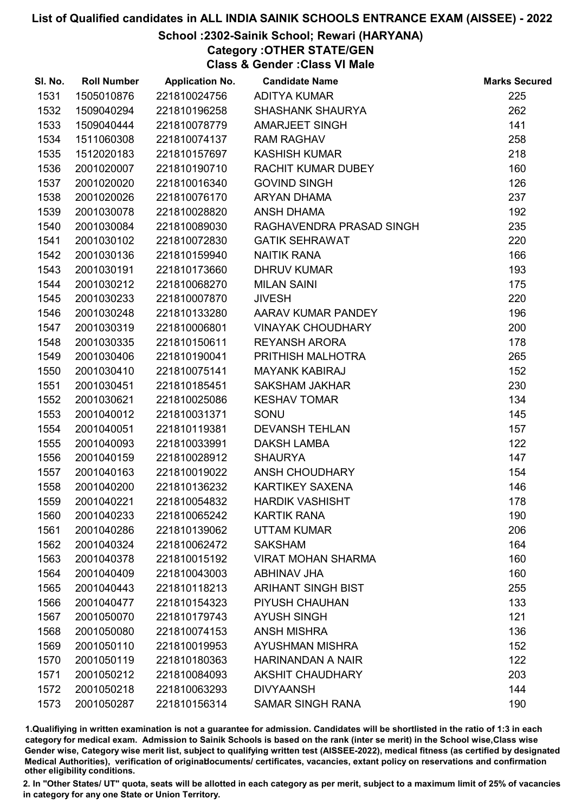# School :2302-Sainik School; Rewari (HARYANA)

Category :OTHER STATE/GEN

Class & Gender :Class VI Male

| SI. No. | <b>Roll Number</b> | <b>Application No.</b> | <b>Candidate Name</b>     | <b>Marks Secured</b> |
|---------|--------------------|------------------------|---------------------------|----------------------|
| 1531    | 1505010876         | 221810024756           | <b>ADITYA KUMAR</b>       | 225                  |
| 1532    | 1509040294         | 221810196258           | <b>SHASHANK SHAURYA</b>   | 262                  |
| 1533    | 1509040444         | 221810078779           | <b>AMARJEET SINGH</b>     | 141                  |
| 1534    | 1511060308         | 221810074137           | <b>RAM RAGHAV</b>         | 258                  |
| 1535    | 1512020183         | 221810157697           | <b>KASHISH KUMAR</b>      | 218                  |
| 1536    | 2001020007         | 221810190710           | RACHIT KUMAR DUBEY        | 160                  |
| 1537    | 2001020020         | 221810016340           | <b>GOVIND SINGH</b>       | 126                  |
| 1538    | 2001020026         | 221810076170           | <b>ARYAN DHAMA</b>        | 237                  |
| 1539    | 2001030078         | 221810028820           | <b>ANSH DHAMA</b>         | 192                  |
| 1540    | 2001030084         | 221810089030           | RAGHAVENDRA PRASAD SINGH  | 235                  |
| 1541    | 2001030102         | 221810072830           | <b>GATIK SEHRAWAT</b>     | 220                  |
| 1542    | 2001030136         | 221810159940           | <b>NAITIK RANA</b>        | 166                  |
| 1543    | 2001030191         | 221810173660           | <b>DHRUV KUMAR</b>        | 193                  |
| 1544    | 2001030212         | 221810068270           | <b>MILAN SAINI</b>        | 175                  |
| 1545    | 2001030233         | 221810007870           | <b>JIVESH</b>             | 220                  |
| 1546    | 2001030248         | 221810133280           | AARAV KUMAR PANDEY        | 196                  |
| 1547    | 2001030319         | 221810006801           | <b>VINAYAK CHOUDHARY</b>  | 200                  |
| 1548    | 2001030335         | 221810150611           | <b>REYANSH ARORA</b>      | 178                  |
| 1549    | 2001030406         | 221810190041           | PRITHISH MALHOTRA         | 265                  |
| 1550    | 2001030410         | 221810075141           | <b>MAYANK KABIRAJ</b>     | 152                  |
| 1551    | 2001030451         | 221810185451           | <b>SAKSHAM JAKHAR</b>     | 230                  |
| 1552    | 2001030621         | 221810025086           | <b>KESHAV TOMAR</b>       | 134                  |
| 1553    | 2001040012         | 221810031371           | SONU                      | 145                  |
| 1554    | 2001040051         | 221810119381           | <b>DEVANSH TEHLAN</b>     | 157                  |
| 1555    | 2001040093         | 221810033991           | <b>DAKSH LAMBA</b>        | 122                  |
| 1556    | 2001040159         | 221810028912           | <b>SHAURYA</b>            | 147                  |
| 1557    | 2001040163         | 221810019022           | ANSH CHOUDHARY            | 154                  |
| 1558    | 2001040200         | 221810136232           | KARTIKEY SAXENA           | 146                  |
| 1559    | 2001040221         | 221810054832           | <b>HARDIK VASHISHT</b>    | 178                  |
| 1560    | 2001040233         | 221810065242           | <b>KARTIK RANA</b>        | 190                  |
| 1561    | 2001040286         | 221810139062           | <b>UTTAM KUMAR</b>        | 206                  |
| 1562    | 2001040324         | 221810062472           | <b>SAKSHAM</b>            | 164                  |
| 1563    | 2001040378         | 221810015192           | <b>VIRAT MOHAN SHARMA</b> | 160                  |
| 1564    | 2001040409         | 221810043003           | <b>ABHINAV JHA</b>        | 160                  |
| 1565    | 2001040443         | 221810118213           | <b>ARIHANT SINGH BIST</b> | 255                  |
| 1566    | 2001040477         | 221810154323           | PIYUSH CHAUHAN            | 133                  |
| 1567    | 2001050070         | 221810179743           | <b>AYUSH SINGH</b>        | 121                  |
| 1568    | 2001050080         | 221810074153           | <b>ANSH MISHRA</b>        | 136                  |
| 1569    | 2001050110         | 221810019953           | <b>AYUSHMAN MISHRA</b>    | 152                  |
| 1570    | 2001050119         | 221810180363           | <b>HARINANDAN A NAIR</b>  | 122                  |
| 1571    | 2001050212         | 221810084093           | <b>AKSHIT CHAUDHARY</b>   | 203                  |
| 1572    | 2001050218         | 221810063293           | <b>DIVYAANSH</b>          | 144                  |
| 1573    | 2001050287         | 221810156314           | <b>SAMAR SINGH RANA</b>   | 190                  |

1.Qualifiying in written examination is not a guarantee for admission. Candidates will be shortlisted in the ratio of 1:3 in each category for medical exam. Admission to Sainik Schools is based on the rank (inter se merit) in the School wise,Class wise Gender wise, Category wise merit list, subject to qualifying written test (AISSEE-2022), medical fitness (as certified by designated Medical Authorities), verification of originablocuments/ certificates, vacancies, extant policy on reservations and confirmation other eligibility conditions.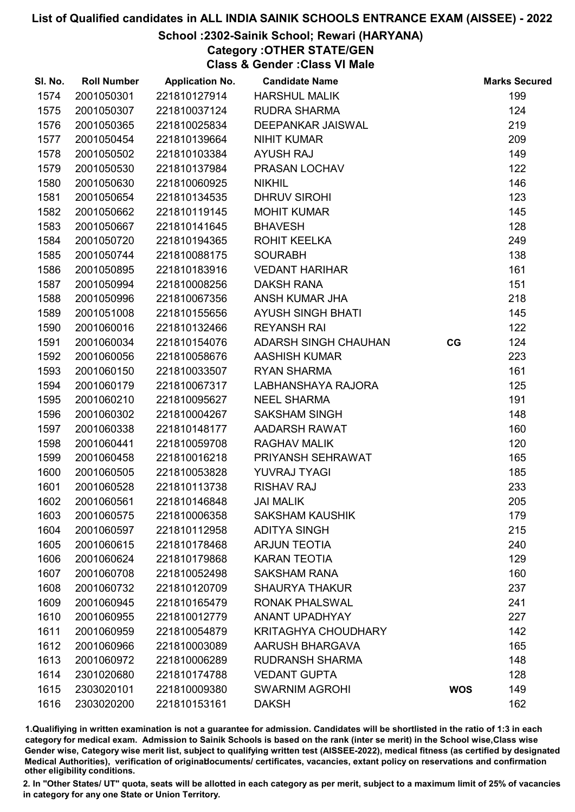# School :2302-Sainik School; Rewari (HARYANA)

Category :OTHER STATE/GEN

Class & Gender :Class VI Male

| SI. No. | <b>Roll Number</b> | <b>Application No.</b> | <b>Candidate Name</b>       |            | <b>Marks Secured</b> |
|---------|--------------------|------------------------|-----------------------------|------------|----------------------|
| 1574    | 2001050301         | 221810127914           | <b>HARSHUL MALIK</b>        |            | 199                  |
| 1575    | 2001050307         | 221810037124           | <b>RUDRA SHARMA</b>         |            | 124                  |
| 1576    | 2001050365         | 221810025834           | DEEPANKAR JAISWAL           |            | 219                  |
| 1577    | 2001050454         | 221810139664           | <b>NIHIT KUMAR</b>          |            | 209                  |
| 1578    | 2001050502         | 221810103384           | <b>AYUSH RAJ</b>            |            | 149                  |
| 1579    | 2001050530         | 221810137984           | PRASAN LOCHAV               |            | 122                  |
| 1580    | 2001050630         | 221810060925           | <b>NIKHIL</b>               |            | 146                  |
| 1581    | 2001050654         | 221810134535           | <b>DHRUV SIROHI</b>         |            | 123                  |
| 1582    | 2001050662         | 221810119145           | <b>MOHIT KUMAR</b>          |            | 145                  |
| 1583    | 2001050667         | 221810141645           | <b>BHAVESH</b>              |            | 128                  |
| 1584    | 2001050720         | 221810194365           | ROHIT KEELKA                |            | 249                  |
| 1585    | 2001050744         | 221810088175           | <b>SOURABH</b>              |            | 138                  |
| 1586    | 2001050895         | 221810183916           | <b>VEDANT HARIHAR</b>       |            | 161                  |
| 1587    | 2001050994         | 221810008256           | <b>DAKSH RANA</b>           |            | 151                  |
| 1588    | 2001050996         | 221810067356           | ANSH KUMAR JHA              |            | 218                  |
| 1589    | 2001051008         | 221810155656           | <b>AYUSH SINGH BHATI</b>    |            | 145                  |
| 1590    | 2001060016         | 221810132466           | <b>REYANSH RAI</b>          |            | 122                  |
| 1591    | 2001060034         | 221810154076           | <b>ADARSH SINGH CHAUHAN</b> | CG         | 124                  |
| 1592    | 2001060056         | 221810058676           | <b>AASHISH KUMAR</b>        |            | 223                  |
| 1593    | 2001060150         | 221810033507           | <b>RYAN SHARMA</b>          |            | 161                  |
| 1594    | 2001060179         | 221810067317           | LABHANSHAYA RAJORA          |            | 125                  |
| 1595    | 2001060210         | 221810095627           | <b>NEEL SHARMA</b>          |            | 191                  |
| 1596    | 2001060302         | 221810004267           | <b>SAKSHAM SINGH</b>        |            | 148                  |
| 1597    | 2001060338         | 221810148177           | AADARSH RAWAT               |            | 160                  |
| 1598    | 2001060441         | 221810059708           | <b>RAGHAV MALIK</b>         |            | 120                  |
| 1599    | 2001060458         | 221810016218           | PRIYANSH SEHRAWAT           |            | 165                  |
| 1600    | 2001060505         | 221810053828           | YUVRAJ TYAGI                |            | 185                  |
| 1601    | 2001060528         | 221810113738           | <b>RISHAV RAJ</b>           |            | 233                  |
| 1602    | 2001060561         | 221810146848           | <b>JAI MALIK</b>            |            | 205                  |
| 1603    | 2001060575         | 221810006358           | <b>SAKSHAM KAUSHIK</b>      |            | 179                  |
| 1604    | 2001060597         | 221810112958           | <b>ADITYA SINGH</b>         |            | 215                  |
| 1605    | 2001060615         | 221810178468           | <b>ARJUN TEOTIA</b>         |            | 240                  |
| 1606    | 2001060624         | 221810179868           | <b>KARAN TEOTIA</b>         |            | 129                  |
| 1607    | 2001060708         | 221810052498           | <b>SAKSHAM RANA</b>         |            | 160                  |
| 1608    | 2001060732         | 221810120709           | <b>SHAURYA THAKUR</b>       |            | 237                  |
| 1609    | 2001060945         | 221810165479           | <b>RONAK PHALSWAL</b>       |            | 241                  |
| 1610    | 2001060955         | 221810012779           | <b>ANANT UPADHYAY</b>       |            | 227                  |
| 1611    | 2001060959         | 221810054879           | <b>KRITAGHYA CHOUDHARY</b>  |            | 142                  |
| 1612    | 2001060966         | 221810003089           | <b>AARUSH BHARGAVA</b>      |            | 165                  |
| 1613    | 2001060972         | 221810006289           | <b>RUDRANSH SHARMA</b>      |            | 148                  |
| 1614    | 2301020680         | 221810174788           | <b>VEDANT GUPTA</b>         |            | 128                  |
| 1615    | 2303020101         | 221810009380           | <b>SWARNIM AGROHI</b>       | <b>WOS</b> | 149                  |
| 1616    | 2303020200         | 221810153161           | <b>DAKSH</b>                |            | 162                  |

1.Qualifiying in written examination is not a guarantee for admission. Candidates will be shortlisted in the ratio of 1:3 in each category for medical exam. Admission to Sainik Schools is based on the rank (inter se merit) in the School wise,Class wise Gender wise, Category wise merit list, subject to qualifying written test (AISSEE-2022), medical fitness (as certified by designated Medical Authorities), verification of originablocuments/ certificates, vacancies, extant policy on reservations and confirmation other eligibility conditions.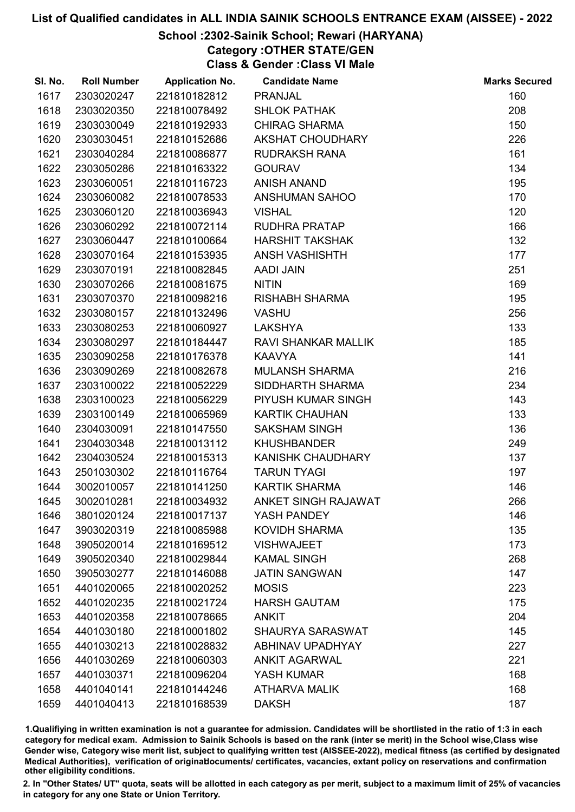# School :2302-Sainik School; Rewari (HARYANA)

Category :OTHER STATE/GEN

Class & Gender :Class VI Male

| SI. No. | <b>Roll Number</b> | <b>Application No.</b> | <b>Candidate Name</b>      | <b>Marks Secured</b> |
|---------|--------------------|------------------------|----------------------------|----------------------|
| 1617    | 2303020247         | 221810182812           | <b>PRANJAL</b>             | 160                  |
| 1618    | 2303020350         | 221810078492           | <b>SHLOK PATHAK</b>        | 208                  |
| 1619    | 2303030049         | 221810192933           | <b>CHIRAG SHARMA</b>       | 150                  |
| 1620    | 2303030451         | 221810152686           | AKSHAT CHOUDHARY           | 226                  |
| 1621    | 2303040284         | 221810086877           | <b>RUDRAKSH RANA</b>       | 161                  |
| 1622    | 2303050286         | 221810163322           | <b>GOURAV</b>              | 134                  |
| 1623    | 2303060051         | 221810116723           | <b>ANISH ANAND</b>         | 195                  |
| 1624    | 2303060082         | 221810078533           | ANSHUMAN SAHOO             | 170                  |
| 1625    | 2303060120         | 221810036943           | <b>VISHAL</b>              | 120                  |
| 1626    | 2303060292         | 221810072114           | RUDHRA PRATAP              | 166                  |
| 1627    | 2303060447         | 221810100664           | <b>HARSHIT TAKSHAK</b>     | 132                  |
| 1628    | 2303070164         | 221810153935           | <b>ANSH VASHISHTH</b>      | 177                  |
| 1629    | 2303070191         | 221810082845           | <b>AADI JAIN</b>           | 251                  |
| 1630    | 2303070266         | 221810081675           | <b>NITIN</b>               | 169                  |
| 1631    | 2303070370         | 221810098216           | <b>RISHABH SHARMA</b>      | 195                  |
| 1632    | 2303080157         | 221810132496           | <b>VASHU</b>               | 256                  |
| 1633    | 2303080253         | 221810060927           | <b>LAKSHYA</b>             | 133                  |
| 1634    | 2303080297         | 221810184447           | <b>RAVI SHANKAR MALLIK</b> | 185                  |
| 1635    | 2303090258         | 221810176378           | <b>KAAVYA</b>              | 141                  |
| 1636    | 2303090269         | 221810082678           | <b>MULANSH SHARMA</b>      | 216                  |
| 1637    | 2303100022         | 221810052229           | SIDDHARTH SHARMA           | 234                  |
| 1638    | 2303100023         | 221810056229           | PIYUSH KUMAR SINGH         | 143                  |
| 1639    | 2303100149         | 221810065969           | <b>KARTIK CHAUHAN</b>      | 133                  |
| 1640    | 2304030091         | 221810147550           | <b>SAKSHAM SINGH</b>       | 136                  |
| 1641    | 2304030348         | 221810013112           | <b>KHUSHBANDER</b>         | 249                  |
| 1642    | 2304030524         | 221810015313           | <b>KANISHK CHAUDHARY</b>   | 137                  |
| 1643    | 2501030302         | 221810116764           | <b>TARUN TYAGI</b>         | 197                  |
| 1644    | 3002010057         | 221810141250           | <b>KARTIK SHARMA</b>       | 146                  |
| 1645    | 3002010281         | 221810034932           | ANKET SINGH RAJAWAT        | 266                  |
| 1646    | 3801020124         | 221810017137           | YASH PANDEY                | 146                  |
| 1647    | 3903020319         | 221810085988           | <b>KOVIDH SHARMA</b>       | 135                  |
| 1648    | 3905020014         | 221810169512           | <b>VISHWAJEET</b>          | 173                  |
| 1649    | 3905020340         | 221810029844           | <b>KAMAL SINGH</b>         | 268                  |
| 1650    | 3905030277         | 221810146088           | <b>JATIN SANGWAN</b>       | 147                  |
| 1651    | 4401020065         | 221810020252           | <b>MOSIS</b>               | 223                  |
| 1652    | 4401020235         | 221810021724           | <b>HARSH GAUTAM</b>        | 175                  |
| 1653    | 4401020358         | 221810078665           | <b>ANKIT</b>               | 204                  |
| 1654    | 4401030180         | 221810001802           | SHAURYA SARASWAT           | 145                  |
| 1655    | 4401030213         | 221810028832           | ABHINAV UPADHYAY           | 227                  |
| 1656    | 4401030269         | 221810060303           | <b>ANKIT AGARWAL</b>       | 221                  |
| 1657    | 4401030371         | 221810096204           | YASH KUMAR                 | 168                  |
| 1658    | 4401040141         | 221810144246           | <b>ATHARVA MALIK</b>       | 168                  |
| 1659    | 4401040413         | 221810168539           | <b>DAKSH</b>               | 187                  |

1.Qualifiying in written examination is not a guarantee for admission. Candidates will be shortlisted in the ratio of 1:3 in each category for medical exam. Admission to Sainik Schools is based on the rank (inter se merit) in the School wise,Class wise Gender wise, Category wise merit list, subject to qualifying written test (AISSEE-2022), medical fitness (as certified by designated Medical Authorities), verification of originablocuments/ certificates, vacancies, extant policy on reservations and confirmation other eligibility conditions.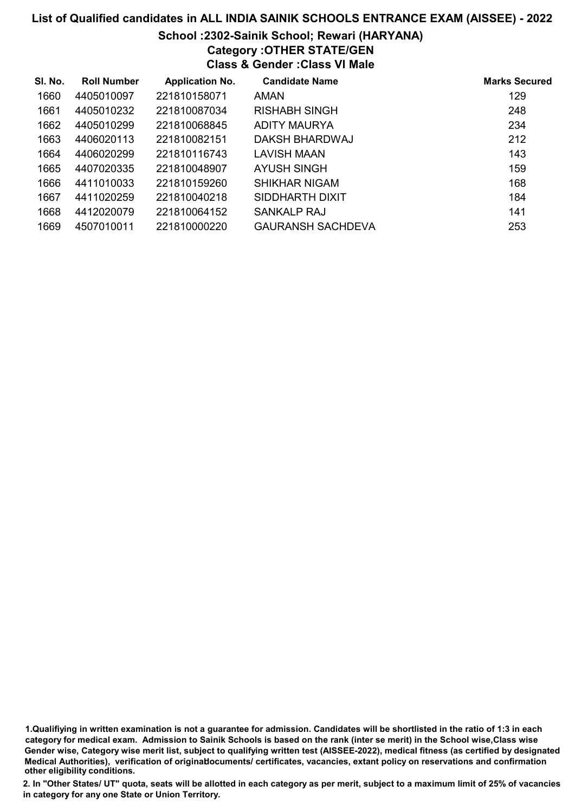# School :2302-Sainik School; Rewari (HARYANA)

Category :OTHER STATE/GEN

Class & Gender :Class VI Male

| SI. No. | <b>Roll Number</b> | <b>Application No.</b> | <b>Candidate Name</b> | <b>Marks Secured</b> |
|---------|--------------------|------------------------|-----------------------|----------------------|
| 1660    | 4405010097         | 221810158071           | AMAN                  | 129                  |
| 1661    | 4405010232         | 221810087034           | RISHABH SINGH         | 248                  |
| 1662    | 4405010299         | 221810068845           | ADITY MAURYA          | 234                  |
| 1663    | 4406020113         | 221810082151           | DAKSH BHARDWAJ        | 212                  |
| 1664    | 4406020299         | 221810116743           | LAVISH MAAN           | 143                  |
| 1665    | 4407020335         | 221810048907           | AYUSH SINGH           | 159                  |
| 1666    | 4411010033         | 221810159260           | SHIKHAR NIGAM         | 168                  |
| 1667    | 4411020259         | 221810040218           | SIDDHARTH DIXIT       | 184                  |
| 1668    | 4412020079         | 221810064152           | SANKALP RAJ           | 141                  |
| 1669    | 4507010011         | 221810000220           | GAURANSH SACHDEVA     | 253                  |

1.Qualifiying in written examination is not a guarantee for admission. Candidates will be shortlisted in the ratio of 1:3 in each category for medical exam. Admission to Sainik Schools is based on the rank (inter se merit) in the School wise,Class wise Gender wise, Category wise merit list, subject to qualifying written test (AISSEE-2022), medical fitness (as certified by designated Medical Authorities), verification of originablocuments/ certificates, vacancies, extant policy on reservations and confirmation other eligibility conditions.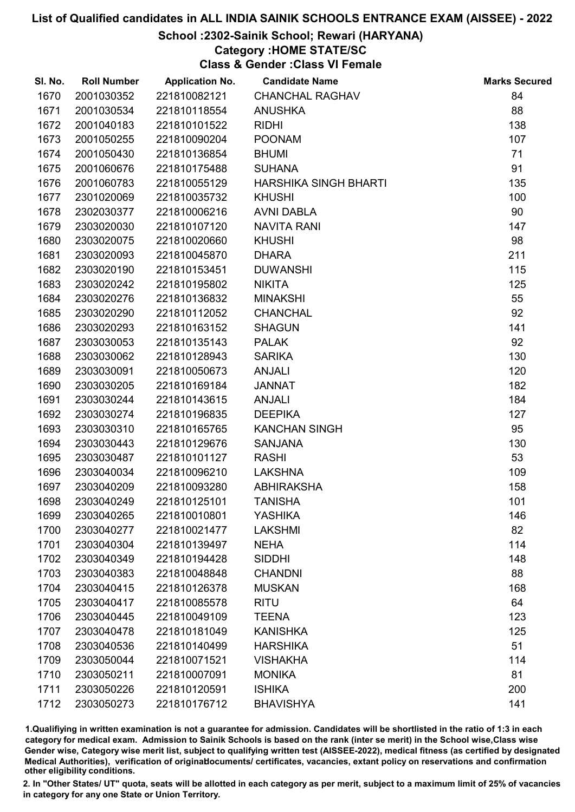#### School :2302-Sainik School; Rewari (HARYANA)

#### Category :HOME STATE/SC

Class & Gender :Class VI Female

| SI. No. | <b>Roll Number</b> | <b>Application No.</b> | <b>Candidate Name</b>  | <b>Marks Secured</b> |
|---------|--------------------|------------------------|------------------------|----------------------|
| 1670    | 2001030352         | 221810082121           | <b>CHANCHAL RAGHAV</b> | 84                   |
| 1671    | 2001030534         | 221810118554           | <b>ANUSHKA</b>         | 88                   |
| 1672    | 2001040183         | 221810101522           | <b>RIDHI</b>           | 138                  |
| 1673    | 2001050255         | 221810090204           | <b>POONAM</b>          | 107                  |
| 1674    | 2001050430         | 221810136854           | <b>BHUMI</b>           | 71                   |
| 1675    | 2001060676         | 221810175488           | <b>SUHANA</b>          | 91                   |
| 1676    | 2001060783         | 221810055129           | HARSHIKA SINGH BHARTI  | 135                  |
| 1677    | 2301020069         | 221810035732           | <b>KHUSHI</b>          | 100                  |
| 1678    | 2302030377         | 221810006216           | <b>AVNI DABLA</b>      | 90                   |
| 1679    | 2303020030         | 221810107120           | <b>NAVITA RANI</b>     | 147                  |
| 1680    | 2303020075         | 221810020660           | <b>KHUSHI</b>          | 98                   |
| 1681    | 2303020093         | 221810045870           | <b>DHARA</b>           | 211                  |
| 1682    | 2303020190         | 221810153451           | <b>DUWANSHI</b>        | 115                  |
| 1683    | 2303020242         | 221810195802           | <b>NIKITA</b>          | 125                  |
| 1684    | 2303020276         | 221810136832           | <b>MINAKSHI</b>        | 55                   |
| 1685    | 2303020290         | 221810112052           | <b>CHANCHAL</b>        | 92                   |
| 1686    | 2303020293         | 221810163152           | <b>SHAGUN</b>          | 141                  |
| 1687    | 2303030053         | 221810135143           | <b>PALAK</b>           | 92                   |
| 1688    | 2303030062         | 221810128943           | <b>SARIKA</b>          | 130                  |
| 1689    | 2303030091         | 221810050673           | <b>ANJALI</b>          | 120                  |
| 1690    | 2303030205         | 221810169184           | <b>JANNAT</b>          | 182                  |
| 1691    | 2303030244         | 221810143615           | <b>ANJALI</b>          | 184                  |
| 1692    | 2303030274         | 221810196835           | <b>DEEPIKA</b>         | 127                  |
| 1693    | 2303030310         | 221810165765           | <b>KANCHAN SINGH</b>   | 95                   |
| 1694    | 2303030443         | 221810129676           | <b>SANJANA</b>         | 130                  |
| 1695    | 2303030487         | 221810101127           | <b>RASHI</b>           | 53                   |
| 1696    | 2303040034         | 221810096210           | <b>LAKSHNA</b>         | 109                  |
| 1697    | 2303040209         | 221810093280           | <b>ABHIRAKSHA</b>      | 158                  |
| 1698    | 2303040249         | 221810125101           | <b>TANISHA</b>         | 101                  |
| 1699    | 2303040265         | 221810010801           | <b>YASHIKA</b>         | 146                  |
| 1700    | 2303040277         | 221810021477           | <b>LAKSHMI</b>         | 82                   |
| 1701    | 2303040304         | 221810139497           | <b>NEHA</b>            | 114                  |
| 1702    | 2303040349         | 221810194428           | <b>SIDDHI</b>          | 148                  |
| 1703    | 2303040383         | 221810048848           | <b>CHANDNI</b>         | 88                   |
| 1704    | 2303040415         | 221810126378           | <b>MUSKAN</b>          | 168                  |
| 1705    | 2303040417         | 221810085578           | <b>RITU</b>            | 64                   |
| 1706    | 2303040445         | 221810049109           | <b>TEENA</b>           | 123                  |
| 1707    | 2303040478         | 221810181049           | <b>KANISHKA</b>        | 125                  |
| 1708    | 2303040536         | 221810140499           | <b>HARSHIKA</b>        | 51                   |
| 1709    | 2303050044         | 221810071521           | <b>VISHAKHA</b>        | 114                  |
| 1710    | 2303050211         | 221810007091           | <b>MONIKA</b>          | 81                   |
| 1711    | 2303050226         | 221810120591           | <b>ISHIKA</b>          | 200                  |
| 1712    | 2303050273         | 221810176712           | <b>BHAVISHYA</b>       | 141                  |

1.Qualifiying in written examination is not a guarantee for admission. Candidates will be shortlisted in the ratio of 1:3 in each category for medical exam. Admission to Sainik Schools is based on the rank (inter se merit) in the School wise,Class wise Gender wise, Category wise merit list, subject to qualifying written test (AISSEE-2022), medical fitness (as certified by designated Medical Authorities), verification of originablocuments/ certificates, vacancies, extant policy on reservations and confirmation other eligibility conditions.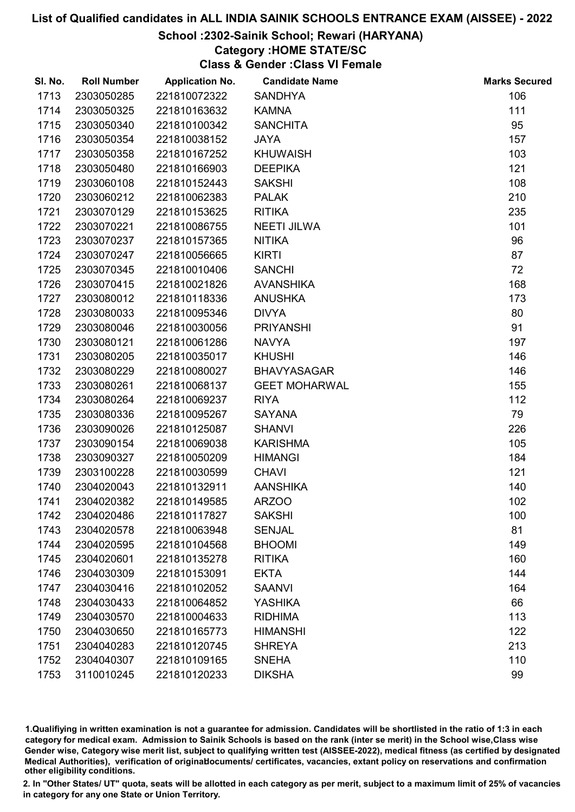## School :2302-Sainik School; Rewari (HARYANA)

#### Category :HOME STATE/SC

Class & Gender :Class VI Female

| SI. No. | <b>Roll Number</b> | <b>Application No.</b> | <b>Candidate Name</b> | <b>Marks Secured</b> |
|---------|--------------------|------------------------|-----------------------|----------------------|
| 1713    | 2303050285         | 221810072322           | <b>SANDHYA</b>        | 106                  |
| 1714    | 2303050325         | 221810163632           | <b>KAMNA</b>          | 111                  |
| 1715    | 2303050340         | 221810100342           | <b>SANCHITA</b>       | 95                   |
| 1716    | 2303050354         | 221810038152           | <b>JAYA</b>           | 157                  |
| 1717    | 2303050358         | 221810167252           | <b>KHUWAISH</b>       | 103                  |
| 1718    | 2303050480         | 221810166903           | <b>DEEPIKA</b>        | 121                  |
| 1719    | 2303060108         | 221810152443           | <b>SAKSHI</b>         | 108                  |
| 1720    | 2303060212         | 221810062383           | <b>PALAK</b>          | 210                  |
| 1721    | 2303070129         | 221810153625           | <b>RITIKA</b>         | 235                  |
| 1722    | 2303070221         | 221810086755           | <b>NEETI JILWA</b>    | 101                  |
| 1723    | 2303070237         | 221810157365           | <b>NITIKA</b>         | 96                   |
| 1724    | 2303070247         | 221810056665           | <b>KIRTI</b>          | 87                   |
| 1725    | 2303070345         | 221810010406           | <b>SANCHI</b>         | 72                   |
| 1726    | 2303070415         | 221810021826           | <b>AVANSHIKA</b>      | 168                  |
| 1727    | 2303080012         | 221810118336           | <b>ANUSHKA</b>        | 173                  |
| 1728    | 2303080033         | 221810095346           | <b>DIVYA</b>          | 80                   |
| 1729    | 2303080046         | 221810030056           | <b>PRIYANSHI</b>      | 91                   |
| 1730    | 2303080121         | 221810061286           | <b>NAVYA</b>          | 197                  |
| 1731    | 2303080205         | 221810035017           | <b>KHUSHI</b>         | 146                  |
| 1732    | 2303080229         | 221810080027           | <b>BHAVYASAGAR</b>    | 146                  |
| 1733    | 2303080261         | 221810068137           | <b>GEET MOHARWAL</b>  | 155                  |
| 1734    | 2303080264         | 221810069237           | <b>RIYA</b>           | 112                  |
| 1735    | 2303080336         | 221810095267           | <b>SAYANA</b>         | 79                   |
| 1736    | 2303090026         | 221810125087           | <b>SHANVI</b>         | 226                  |
| 1737    | 2303090154         | 221810069038           | <b>KARISHMA</b>       | 105                  |
| 1738    | 2303090327         | 221810050209           | <b>HIMANGI</b>        | 184                  |
| 1739    | 2303100228         | 221810030599           | <b>CHAVI</b>          | 121                  |
| 1740    | 2304020043         | 221810132911           | <b>AANSHIKA</b>       | 140                  |
| 1741    | 2304020382         | 221810149585           | <b>ARZOO</b>          | 102                  |
| 1742    | 2304020486         | 221810117827           | <b>SAKSHI</b>         | 100                  |
| 1743    | 2304020578         | 221810063948           | <b>SENJAL</b>         | 81                   |
| 1744    | 2304020595         | 221810104568           | <b>BHOOMI</b>         | 149                  |
| 1745    | 2304020601         | 221810135278           | <b>RITIKA</b>         | 160                  |
| 1746    | 2304030309         | 221810153091           | <b>EKTA</b>           | 144                  |
| 1747    | 2304030416         | 221810102052           | <b>SAANVI</b>         | 164                  |
| 1748    | 2304030433         | 221810064852           | <b>YASHIKA</b>        | 66                   |
| 1749    | 2304030570         | 221810004633           | <b>RIDHIMA</b>        | 113                  |
| 1750    | 2304030650         | 221810165773           | <b>HIMANSHI</b>       | 122                  |
| 1751    | 2304040283         | 221810120745           | <b>SHREYA</b>         | 213                  |
| 1752    | 2304040307         | 221810109165           | <b>SNEHA</b>          | 110                  |
| 1753    | 3110010245         | 221810120233           | <b>DIKSHA</b>         | 99                   |

1.Qualifiying in written examination is not a guarantee for admission. Candidates will be shortlisted in the ratio of 1:3 in each category for medical exam. Admission to Sainik Schools is based on the rank (inter se merit) in the School wise,Class wise Gender wise, Category wise merit list, subject to qualifying written test (AISSEE-2022), medical fitness (as certified by designated Medical Authorities), verification of originablocuments/ certificates, vacancies, extant policy on reservations and confirmation other eligibility conditions.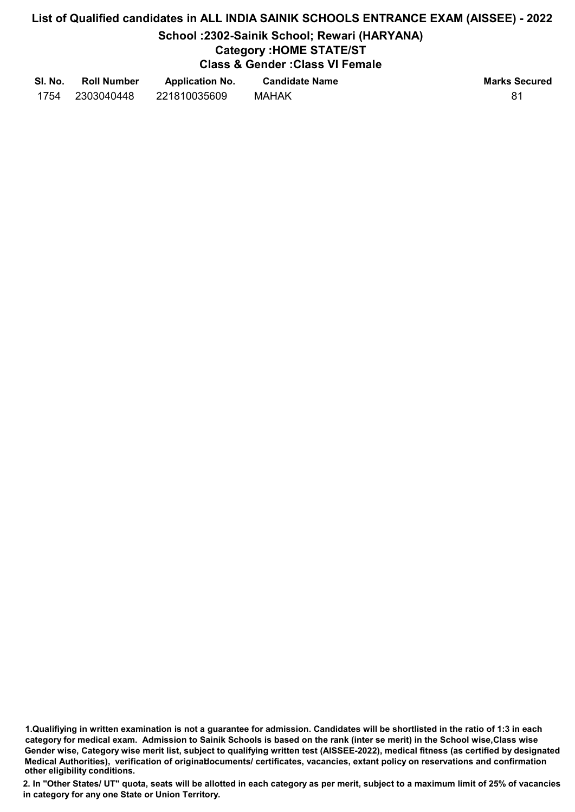#### School :2302-Sainik School; Rewari (HARYANA)

# Category :HOME STATE/ST

Class & Gender :Class VI Female

| SI. No. | <b>Roll Number</b> | <b>Application No.</b> | <b>Candidate Name</b> | <b>Marks Secured</b> |
|---------|--------------------|------------------------|-----------------------|----------------------|
| 1754    | 2303040448         | 221810035609           | <b>MAHAK</b>          | 81                   |

1.Qualifiying in written examination is not a guarantee for admission. Candidates will be shortlisted in the ratio of 1:3 in each category for medical exam. Admission to Sainik Schools is based on the rank (inter se merit) in the School wise,Class wise Gender wise, Category wise merit list, subject to qualifying written test (AISSEE-2022), medical fitness (as certified by designated Medical Authorities), verification of originablocuments/ certificates, vacancies, extant policy on reservations and confirmation other eligibility conditions.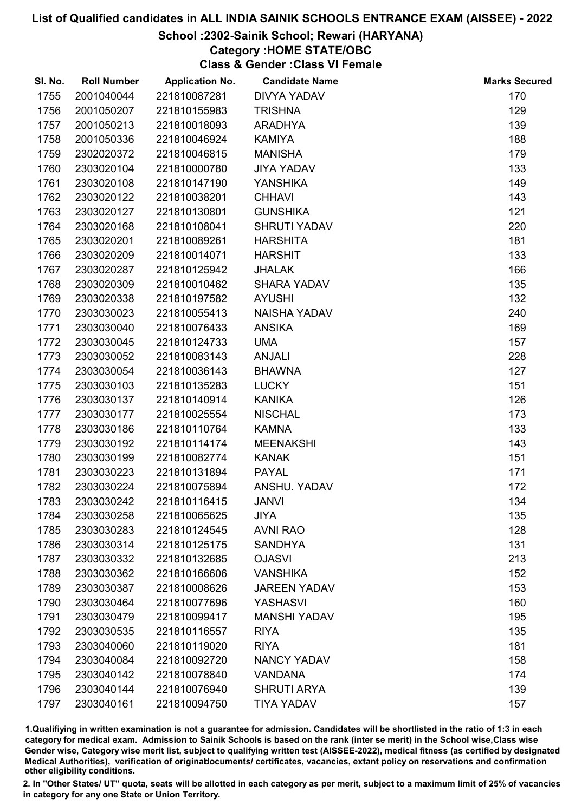# School :2302-Sainik School; Rewari (HARYANA)

### Category :HOME STATE/OBC

Class & Gender :Class VI Female

| SI. No. | <b>Roll Number</b> | <b>Application No.</b> | <b>Candidate Name</b> | <b>Marks Secured</b> |
|---------|--------------------|------------------------|-----------------------|----------------------|
| 1755    | 2001040044         | 221810087281           | <b>DIVYA YADAV</b>    | 170                  |
| 1756    | 2001050207         | 221810155983           | <b>TRISHNA</b>        | 129                  |
| 1757    | 2001050213         | 221810018093           | <b>ARADHYA</b>        | 139                  |
| 1758    | 2001050336         | 221810046924           | <b>KAMIYA</b>         | 188                  |
| 1759    | 2302020372         | 221810046815           | <b>MANISHA</b>        | 179                  |
| 1760    | 2303020104         | 221810000780           | <b>JIYA YADAV</b>     | 133                  |
| 1761    | 2303020108         | 221810147190           | <b>YANSHIKA</b>       | 149                  |
| 1762    | 2303020122         | 221810038201           | <b>CHHAVI</b>         | 143                  |
| 1763    | 2303020127         | 221810130801           | <b>GUNSHIKA</b>       | 121                  |
| 1764    | 2303020168         | 221810108041           | <b>SHRUTI YADAV</b>   | 220                  |
| 1765    | 2303020201         | 221810089261           | <b>HARSHITA</b>       | 181                  |
| 1766    | 2303020209         | 221810014071           | <b>HARSHIT</b>        | 133                  |
| 1767    | 2303020287         | 221810125942           | <b>JHALAK</b>         | 166                  |
| 1768    | 2303020309         | 221810010462           | <b>SHARA YADAV</b>    | 135                  |
| 1769    | 2303020338         | 221810197582           | <b>AYUSHI</b>         | 132                  |
| 1770    | 2303030023         | 221810055413           | <b>NAISHA YADAV</b>   | 240                  |
| 1771    | 2303030040         | 221810076433           | <b>ANSIKA</b>         | 169                  |
| 1772    | 2303030045         | 221810124733           | <b>UMA</b>            | 157                  |
| 1773    | 2303030052         | 221810083143           | <b>ANJALI</b>         | 228                  |
| 1774    | 2303030054         | 221810036143           | <b>BHAWNA</b>         | 127                  |
| 1775    | 2303030103         | 221810135283           | <b>LUCKY</b>          | 151                  |
| 1776    | 2303030137         | 221810140914           | <b>KANIKA</b>         | 126                  |
| 1777    | 2303030177         | 221810025554           | <b>NISCHAL</b>        | 173                  |
| 1778    | 2303030186         | 221810110764           | <b>KAMNA</b>          | 133                  |
| 1779    | 2303030192         | 221810114174           | <b>MEENAKSHI</b>      | 143                  |
| 1780    | 2303030199         | 221810082774           | <b>KANAK</b>          | 151                  |
| 1781    | 2303030223         | 221810131894           | <b>PAYAL</b>          | 171                  |
| 1782    | 2303030224         | 221810075894           | ANSHU. YADAV          | 172                  |
| 1783    | 2303030242         | 221810116415           | <b>JANVI</b>          | 134                  |
| 1784    | 2303030258         | 221810065625           | <b>JIYA</b>           | 135                  |
| 1785    | 2303030283         | 221810124545           | <b>AVNI RAO</b>       | 128                  |
| 1786    | 2303030314         | 221810125175           | <b>SANDHYA</b>        | 131                  |
| 1787    | 2303030332         | 221810132685           | <b>OJASVI</b>         | 213                  |
| 1788    | 2303030362         | 221810166606           | <b>VANSHIKA</b>       | 152                  |
| 1789    | 2303030387         | 221810008626           | <b>JAREEN YADAV</b>   | 153                  |
| 1790    | 2303030464         | 221810077696           | <b>YASHASVI</b>       | 160                  |
| 1791    | 2303030479         | 221810099417           | <b>MANSHI YADAV</b>   | 195                  |
| 1792    | 2303030535         | 221810116557           | <b>RIYA</b>           | 135                  |
| 1793    | 2303040060         | 221810119020           | <b>RIYA</b>           | 181                  |
| 1794    | 2303040084         | 221810092720           | <b>NANCY YADAV</b>    | 158                  |
| 1795    | 2303040142         | 221810078840           | <b>VANDANA</b>        | 174                  |
| 1796    | 2303040144         | 221810076940           | <b>SHRUTI ARYA</b>    | 139                  |
| 1797    | 2303040161         | 221810094750           | <b>TIYA YADAV</b>     | 157                  |

1.Qualifiying in written examination is not a guarantee for admission. Candidates will be shortlisted in the ratio of 1:3 in each category for medical exam. Admission to Sainik Schools is based on the rank (inter se merit) in the School wise,Class wise Gender wise, Category wise merit list, subject to qualifying written test (AISSEE-2022), medical fitness (as certified by designated Medical Authorities), verification of originablocuments/ certificates, vacancies, extant policy on reservations and confirmation other eligibility conditions.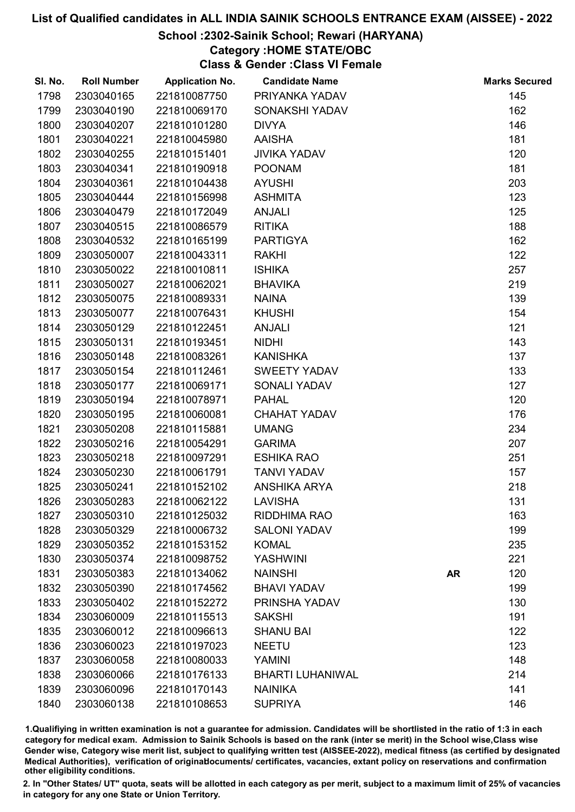# School :2302-Sainik School; Rewari (HARYANA)

# Category :HOME STATE/OBC

Class & Gender :Class VI Female

| SI. No. | <b>Roll Number</b> | <b>Application No.</b> | <b>Candidate Name</b>   |           | <b>Marks Secured</b> |
|---------|--------------------|------------------------|-------------------------|-----------|----------------------|
| 1798    | 2303040165         | 221810087750           | PRIYANKA YADAV          |           | 145                  |
| 1799    | 2303040190         | 221810069170           | SONAKSHI YADAV          |           | 162                  |
| 1800    | 2303040207         | 221810101280           | <b>DIVYA</b>            |           | 146                  |
| 1801    | 2303040221         | 221810045980           | <b>AAISHA</b>           |           | 181                  |
| 1802    | 2303040255         | 221810151401           | <b>JIVIKA YADAV</b>     |           | 120                  |
| 1803    | 2303040341         | 221810190918           | <b>POONAM</b>           |           | 181                  |
| 1804    | 2303040361         | 221810104438           | <b>AYUSHI</b>           |           | 203                  |
| 1805    | 2303040444         | 221810156998           | <b>ASHMITA</b>          |           | 123                  |
| 1806    | 2303040479         | 221810172049           | <b>ANJALI</b>           |           | 125                  |
| 1807    | 2303040515         | 221810086579           | <b>RITIKA</b>           |           | 188                  |
| 1808    | 2303040532         | 221810165199           | <b>PARTIGYA</b>         |           | 162                  |
| 1809    | 2303050007         | 221810043311           | <b>RAKHI</b>            |           | 122                  |
| 1810    | 2303050022         | 221810010811           | <b>ISHIKA</b>           |           | 257                  |
| 1811    | 2303050027         | 221810062021           | <b>BHAVIKA</b>          |           | 219                  |
| 1812    | 2303050075         | 221810089331           | <b>NAINA</b>            |           | 139                  |
| 1813    | 2303050077         | 221810076431           | <b>KHUSHI</b>           |           | 154                  |
| 1814    | 2303050129         | 221810122451           | <b>ANJALI</b>           |           | 121                  |
| 1815    | 2303050131         | 221810193451           | <b>NIDHI</b>            |           | 143                  |
| 1816    | 2303050148         | 221810083261           | <b>KANISHKA</b>         |           | 137                  |
| 1817    | 2303050154         | 221810112461           | <b>SWEETY YADAV</b>     |           | 133                  |
| 1818    | 2303050177         | 221810069171           | <b>SONALI YADAV</b>     |           | 127                  |
| 1819    | 2303050194         | 221810078971           | <b>PAHAL</b>            |           | 120                  |
| 1820    | 2303050195         | 221810060081           | <b>CHAHAT YADAV</b>     |           | 176                  |
| 1821    | 2303050208         | 221810115881           | <b>UMANG</b>            |           | 234                  |
| 1822    | 2303050216         | 221810054291           | <b>GARIMA</b>           |           | 207                  |
| 1823    | 2303050218         | 221810097291           | <b>ESHIKA RAO</b>       |           | 251                  |
| 1824    | 2303050230         | 221810061791           | <b>TANVI YADAV</b>      |           | 157                  |
| 1825    | 2303050241         | 221810152102           | <b>ANSHIKA ARYA</b>     |           | 218                  |
| 1826    | 2303050283         | 221810062122           | <b>LAVISHA</b>          |           | 131                  |
| 1827    | 2303050310         | 221810125032           | RIDDHIMA RAO            |           | 163                  |
| 1828    | 2303050329         | 221810006732           | <b>SALONI YADAV</b>     |           | 199                  |
| 1829    | 2303050352         | 221810153152           | <b>KOMAL</b>            |           | 235                  |
| 1830    | 2303050374         | 221810098752           | <b>YASHWINI</b>         |           | 221                  |
| 1831    | 2303050383         | 221810134062           | <b>NAINSHI</b>          | <b>AR</b> | 120                  |
| 1832    | 2303050390         | 221810174562           | <b>BHAVI YADAV</b>      |           | 199                  |
| 1833    | 2303050402         | 221810152272           | PRINSHA YADAV           |           | 130                  |
| 1834    | 2303060009         | 221810115513           | <b>SAKSHI</b>           |           | 191                  |
| 1835    | 2303060012         | 221810096613           | <b>SHANU BAI</b>        |           | 122                  |
| 1836    | 2303060023         | 221810197023           | <b>NEETU</b>            |           | 123                  |
| 1837    | 2303060058         | 221810080033           | <b>YAMINI</b>           |           | 148                  |
| 1838    | 2303060066         | 221810176133           | <b>BHARTI LUHANIWAL</b> |           | 214                  |
| 1839    | 2303060096         | 221810170143           | <b>NAINIKA</b>          |           | 141                  |
| 1840    | 2303060138         | 221810108653           | <b>SUPRIYA</b>          |           | 146                  |

1.Qualifiying in written examination is not a guarantee for admission. Candidates will be shortlisted in the ratio of 1:3 in each category for medical exam. Admission to Sainik Schools is based on the rank (inter se merit) in the School wise,Class wise Gender wise, Category wise merit list, subject to qualifying written test (AISSEE-2022), medical fitness (as certified by designated Medical Authorities), verification of originablocuments/ certificates, vacancies, extant policy on reservations and confirmation other eligibility conditions.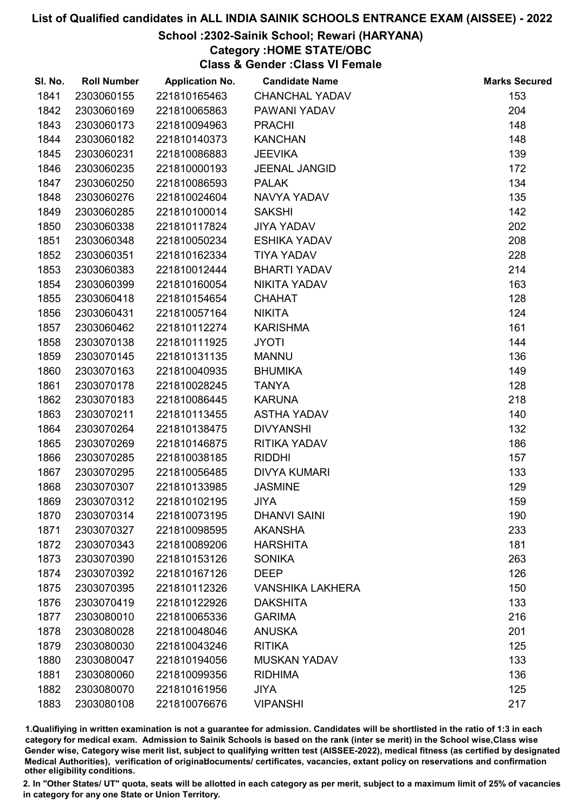# School :2302-Sainik School; Rewari (HARYANA)

#### Category :HOME STATE/OBC

Class & Gender :Class VI Female

| SI. No. | <b>Roll Number</b> | <b>Application No.</b> | <b>Candidate Name</b>   | <b>Marks Secured</b> |
|---------|--------------------|------------------------|-------------------------|----------------------|
| 1841    | 2303060155         | 221810165463           | <b>CHANCHAL YADAV</b>   | 153                  |
| 1842    | 2303060169         | 221810065863           | PAWANI YADAV            | 204                  |
| 1843    | 2303060173         | 221810094963           | <b>PRACHI</b>           | 148                  |
| 1844    | 2303060182         | 221810140373           | <b>KANCHAN</b>          | 148                  |
| 1845    | 2303060231         | 221810086883           | <b>JEEVIKA</b>          | 139                  |
| 1846    | 2303060235         | 221810000193           | <b>JEENAL JANGID</b>    | 172                  |
| 1847    | 2303060250         | 221810086593           | <b>PALAK</b>            | 134                  |
| 1848    | 2303060276         | 221810024604           | NAVYA YADAV             | 135                  |
| 1849    | 2303060285         | 221810100014           | <b>SAKSHI</b>           | 142                  |
| 1850    | 2303060338         | 221810117824           | <b>JIYA YADAV</b>       | 202                  |
| 1851    | 2303060348         | 221810050234           | <b>ESHIKA YADAV</b>     | 208                  |
| 1852    | 2303060351         | 221810162334           | <b>TIYA YADAV</b>       | 228                  |
| 1853    | 2303060383         | 221810012444           | <b>BHARTI YADAV</b>     | 214                  |
| 1854    | 2303060399         | 221810160054           | NIKITA YADAV            | 163                  |
| 1855    | 2303060418         | 221810154654           | <b>CHAHAT</b>           | 128                  |
| 1856    | 2303060431         | 221810057164           | <b>NIKITA</b>           | 124                  |
| 1857    | 2303060462         | 221810112274           | <b>KARISHMA</b>         | 161                  |
| 1858    | 2303070138         | 221810111925           | <b>JYOTI</b>            | 144                  |
| 1859    | 2303070145         | 221810131135           | <b>MANNU</b>            | 136                  |
| 1860    | 2303070163         | 221810040935           | <b>BHUMIKA</b>          | 149                  |
| 1861    | 2303070178         | 221810028245           | <b>TANYA</b>            | 128                  |
| 1862    | 2303070183         | 221810086445           | <b>KARUNA</b>           | 218                  |
| 1863    | 2303070211         | 221810113455           | <b>ASTHA YADAV</b>      | 140                  |
| 1864    | 2303070264         | 221810138475           | <b>DIVYANSHI</b>        | 132                  |
| 1865    | 2303070269         | 221810146875           | RITIKA YADAV            | 186                  |
| 1866    | 2303070285         | 221810038185           | <b>RIDDHI</b>           | 157                  |
| 1867    | 2303070295         | 221810056485           | <b>DIVYA KUMARI</b>     | 133                  |
| 1868    | 2303070307         | 221810133985           | <b>JASMINE</b>          | 129                  |
| 1869    | 2303070312         | 221810102195           | <b>JIYA</b>             | 159                  |
| 1870    | 2303070314         | 221810073195           | <b>DHANVI SAINI</b>     | 190                  |
| 1871    | 2303070327         | 221810098595           | <b>AKANSHA</b>          | 233                  |
| 1872    | 2303070343         | 221810089206           | <b>HARSHITA</b>         | 181                  |
| 1873    | 2303070390         | 221810153126           | <b>SONIKA</b>           | 263                  |
| 1874    | 2303070392         | 221810167126           | <b>DEEP</b>             | 126                  |
| 1875    | 2303070395         | 221810112326           | <b>VANSHIKA LAKHERA</b> | 150                  |
| 1876    | 2303070419         | 221810122926           | <b>DAKSHITA</b>         | 133                  |
| 1877    | 2303080010         | 221810065336           | <b>GARIMA</b>           | 216                  |
| 1878    | 2303080028         | 221810048046           | <b>ANUSKA</b>           | 201                  |
| 1879    | 2303080030         | 221810043246           | <b>RITIKA</b>           | 125                  |
| 1880    | 2303080047         | 221810194056           | <b>MUSKAN YADAV</b>     | 133                  |
| 1881    | 2303080060         | 221810099356           | <b>RIDHIMA</b>          | 136                  |
| 1882    | 2303080070         | 221810161956           | <b>JIYA</b>             | 125                  |
| 1883    | 2303080108         | 221810076676           | <b>VIPANSHI</b>         | 217                  |

1.Qualifiying in written examination is not a guarantee for admission. Candidates will be shortlisted in the ratio of 1:3 in each category for medical exam. Admission to Sainik Schools is based on the rank (inter se merit) in the School wise,Class wise Gender wise, Category wise merit list, subject to qualifying written test (AISSEE-2022), medical fitness (as certified by designated Medical Authorities), verification of originablocuments/ certificates, vacancies, extant policy on reservations and confirmation other eligibility conditions.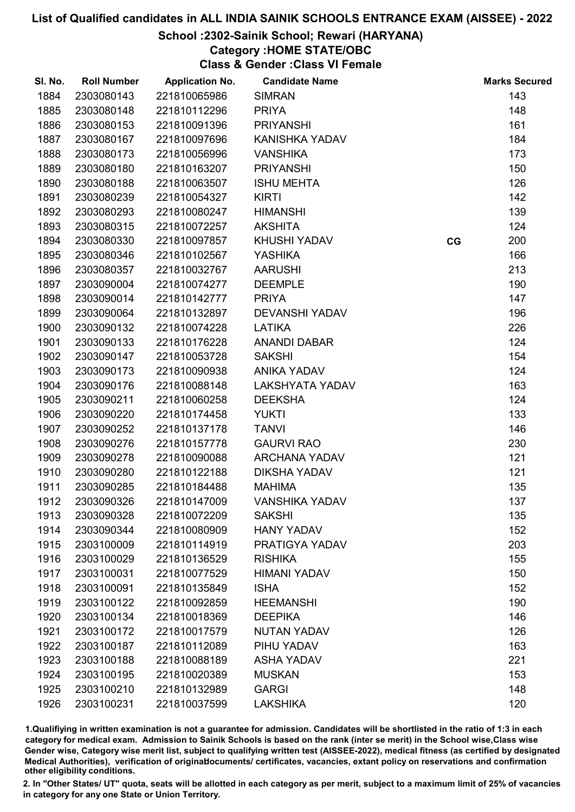# School :2302-Sainik School; Rewari (HARYANA)

# Category :HOME STATE/OBC

Class & Gender :Class VI Female

| SI. No. | <b>Roll Number</b> | <b>Application No.</b> | <b>Candidate Name</b>  |    | <b>Marks Secured</b> |
|---------|--------------------|------------------------|------------------------|----|----------------------|
| 1884    | 2303080143         | 221810065986           | <b>SIMRAN</b>          |    | 143                  |
| 1885    | 2303080148         | 221810112296           | <b>PRIYA</b>           |    | 148                  |
| 1886    | 2303080153         | 221810091396           | <b>PRIYANSHI</b>       |    | 161                  |
| 1887    | 2303080167         | 221810097696           | KANISHKA YADAV         |    | 184                  |
| 1888    | 2303080173         | 221810056996           | <b>VANSHIKA</b>        |    | 173                  |
| 1889    | 2303080180         | 221810163207           | <b>PRIYANSHI</b>       |    | 150                  |
| 1890    | 2303080188         | 221810063507           | <b>ISHU MEHTA</b>      |    | 126                  |
| 1891    | 2303080239         | 221810054327           | <b>KIRTI</b>           |    | 142                  |
| 1892    | 2303080293         | 221810080247           | <b>HIMANSHI</b>        |    | 139                  |
| 1893    | 2303080315         | 221810072257           | <b>AKSHITA</b>         |    | 124                  |
| 1894    | 2303080330         | 221810097857           | KHUSHI YADAV           | CG | 200                  |
| 1895    | 2303080346         | 221810102567           | <b>YASHIKA</b>         |    | 166                  |
| 1896    | 2303080357         | 221810032767           | <b>AARUSHI</b>         |    | 213                  |
| 1897    | 2303090004         | 221810074277           | <b>DEEMPLE</b>         |    | 190                  |
| 1898    | 2303090014         | 221810142777           | <b>PRIYA</b>           |    | 147                  |
| 1899    | 2303090064         | 221810132897           | <b>DEVANSHI YADAV</b>  |    | 196                  |
| 1900    | 2303090132         | 221810074228           | LATIKA                 |    | 226                  |
| 1901    | 2303090133         | 221810176228           | <b>ANANDI DABAR</b>    |    | 124                  |
| 1902    | 2303090147         | 221810053728           | <b>SAKSHI</b>          |    | 154                  |
| 1903    | 2303090173         | 221810090938           | <b>ANIKA YADAV</b>     |    | 124                  |
| 1904    | 2303090176         | 221810088148           | <b>LAKSHYATA YADAV</b> |    | 163                  |
| 1905    | 2303090211         | 221810060258           | <b>DEEKSHA</b>         |    | 124                  |
| 1906    | 2303090220         | 221810174458           | <b>YUKTI</b>           |    | 133                  |
| 1907    | 2303090252         | 221810137178           | <b>TANVI</b>           |    | 146                  |
| 1908    | 2303090276         | 221810157778           | <b>GAURVI RAO</b>      |    | 230                  |
| 1909    | 2303090278         | 221810090088           | <b>ARCHANA YADAV</b>   |    | 121                  |
| 1910    | 2303090280         | 221810122188           | <b>DIKSHA YADAV</b>    |    | 121                  |
| 1911    | 2303090285         | 221810184488           | <b>MAHIMA</b>          |    | 135                  |
| 1912    | 2303090326         | 221810147009           | <b>VANSHIKA YADAV</b>  |    | 137                  |
| 1913    | 2303090328         | 221810072209           | <b>SAKSHI</b>          |    | 135                  |
| 1914    | 2303090344         | 221810080909           | <b>HANY YADAV</b>      |    | 152                  |
| 1915    | 2303100009         | 221810114919           | PRATIGYA YADAV         |    | 203                  |
| 1916    | 2303100029         | 221810136529           | <b>RISHIKA</b>         |    | 155                  |
| 1917    | 2303100031         | 221810077529           | <b>HIMANI YADAV</b>    |    | 150                  |
| 1918    | 2303100091         | 221810135849           | <b>ISHA</b>            |    | 152                  |
| 1919    | 2303100122         | 221810092859           | <b>HEEMANSHI</b>       |    | 190                  |
| 1920    | 2303100134         | 221810018369           | <b>DEEPIKA</b>         |    | 146                  |
| 1921    | 2303100172         | 221810017579           | <b>NUTAN YADAV</b>     |    | 126                  |
| 1922    | 2303100187         | 221810112089           | PIHU YADAV             |    | 163                  |
| 1923    | 2303100188         | 221810088189           | <b>ASHA YADAV</b>      |    | 221                  |
| 1924    | 2303100195         | 221810020389           | <b>MUSKAN</b>          |    | 153                  |
| 1925    | 2303100210         | 221810132989           | <b>GARGI</b>           |    | 148                  |
| 1926    | 2303100231         | 221810037599           | <b>LAKSHIKA</b>        |    | 120                  |

1.Qualifiying in written examination is not a guarantee for admission. Candidates will be shortlisted in the ratio of 1:3 in each category for medical exam. Admission to Sainik Schools is based on the rank (inter se merit) in the School wise,Class wise Gender wise, Category wise merit list, subject to qualifying written test (AISSEE-2022), medical fitness (as certified by designated Medical Authorities), verification of originablocuments/ certificates, vacancies, extant policy on reservations and confirmation other eligibility conditions.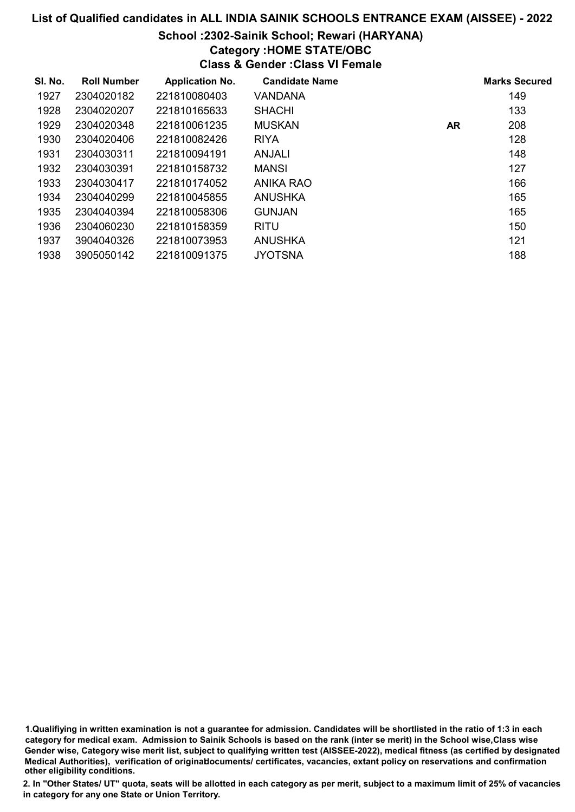# School :2302-Sainik School; Rewari (HARYANA)

# Category :HOME STATE/OBC

Class & Gender :Class VI Female

| SI. No. | <b>Roll Number</b> | <b>Application No.</b> | <b>Candidate Name</b> |           | <b>Marks Secured</b> |
|---------|--------------------|------------------------|-----------------------|-----------|----------------------|
| 1927    | 2304020182         | 221810080403           | VANDANA               |           | 149                  |
| 1928    | 2304020207         | 221810165633           | <b>SHACHI</b>         |           | 133                  |
| 1929    | 2304020348         | 221810061235           | <b>MUSKAN</b>         | <b>AR</b> | 208                  |
| 1930    | 2304020406         | 221810082426           | <b>RIYA</b>           |           | 128                  |
| 1931    | 2304030311         | 221810094191           | <b>ANJALI</b>         |           | 148                  |
| 1932    | 2304030391         | 221810158732           | <b>MANSI</b>          |           | 127                  |
| 1933    | 2304030417         | 221810174052           | ANIKA RAO             |           | 166                  |
| 1934    | 2304040299         | 221810045855           | ANUSHKA               |           | 165                  |
| 1935    | 2304040394         | 221810058306           | <b>GUNJAN</b>         |           | 165                  |
| 1936    | 2304060230         | 221810158359           | <b>RITU</b>           |           | 150                  |
| 1937    | 3904040326         | 221810073953           | <b>ANUSHKA</b>        |           | 121                  |
| 1938    | 3905050142         | 221810091375           | <b>JYOTSNA</b>        |           | 188                  |

1.Qualifiying in written examination is not a guarantee for admission. Candidates will be shortlisted in the ratio of 1:3 in each category for medical exam. Admission to Sainik Schools is based on the rank (inter se merit) in the School wise,Class wise Gender wise, Category wise merit list, subject to qualifying written test (AISSEE-2022), medical fitness (as certified by designated Medical Authorities), verification of originablocuments/ certificates, vacancies, extant policy on reservations and confirmation other eligibility conditions.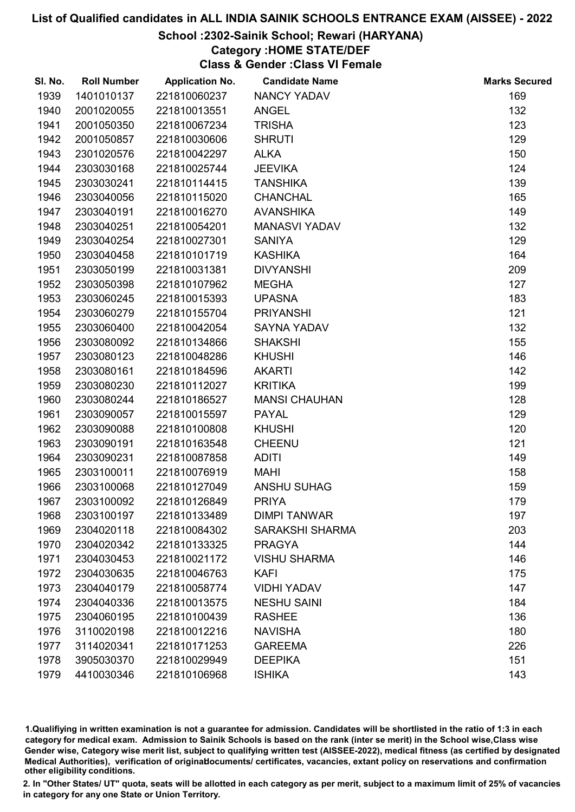## School :2302-Sainik School; Rewari (HARYANA)

#### Category :HOME STATE/DEF

Class & Gender :Class VI Female

| SI. No. | <b>Roll Number</b> | <b>Application No.</b> | <b>Candidate Name</b>  | <b>Marks Secured</b> |
|---------|--------------------|------------------------|------------------------|----------------------|
| 1939    | 1401010137         | 221810060237           | <b>NANCY YADAV</b>     | 169                  |
| 1940    | 2001020055         | 221810013551           | <b>ANGEL</b>           | 132                  |
| 1941    | 2001050350         | 221810067234           | <b>TRISHA</b>          | 123                  |
| 1942    | 2001050857         | 221810030606           | <b>SHRUTI</b>          | 129                  |
| 1943    | 2301020576         | 221810042297           | <b>ALKA</b>            | 150                  |
| 1944    | 2303030168         | 221810025744           | <b>JEEVIKA</b>         | 124                  |
| 1945    | 2303030241         | 221810114415           | <b>TANSHIKA</b>        | 139                  |
| 1946    | 2303040056         | 221810115020           | <b>CHANCHAL</b>        | 165                  |
| 1947    | 2303040191         | 221810016270           | <b>AVANSHIKA</b>       | 149                  |
| 1948    | 2303040251         | 221810054201           | <b>MANASVI YADAV</b>   | 132                  |
| 1949    | 2303040254         | 221810027301           | <b>SANIYA</b>          | 129                  |
| 1950    | 2303040458         | 221810101719           | <b>KASHIKA</b>         | 164                  |
| 1951    | 2303050199         | 221810031381           | <b>DIVYANSHI</b>       | 209                  |
| 1952    | 2303050398         | 221810107962           | <b>MEGHA</b>           | 127                  |
| 1953    | 2303060245         | 221810015393           | <b>UPASNA</b>          | 183                  |
| 1954    | 2303060279         | 221810155704           | <b>PRIYANSHI</b>       | 121                  |
| 1955    | 2303060400         | 221810042054           | SAYNA YADAV            | 132                  |
| 1956    | 2303080092         | 221810134866           | <b>SHAKSHI</b>         | 155                  |
| 1957    | 2303080123         | 221810048286           | <b>KHUSHI</b>          | 146                  |
| 1958    | 2303080161         | 221810184596           | <b>AKARTI</b>          | 142                  |
| 1959    | 2303080230         | 221810112027           | <b>KRITIKA</b>         | 199                  |
| 1960    | 2303080244         | 221810186527           | <b>MANSI CHAUHAN</b>   | 128                  |
| 1961    | 2303090057         | 221810015597           | <b>PAYAL</b>           | 129                  |
| 1962    | 2303090088         | 221810100808           | <b>KHUSHI</b>          | 120                  |
| 1963    | 2303090191         | 221810163548           | <b>CHEENU</b>          | 121                  |
| 1964    | 2303090231         | 221810087858           | <b>ADITI</b>           | 149                  |
| 1965    | 2303100011         | 221810076919           | <b>MAHI</b>            | 158                  |
| 1966    | 2303100068         | 221810127049           | <b>ANSHU SUHAG</b>     | 159                  |
| 1967    | 2303100092         | 221810126849           | <b>PRIYA</b>           | 179                  |
| 1968    | 2303100197         | 221810133489           | <b>DIMPI TANWAR</b>    | 197                  |
| 1969    | 2304020118         | 221810084302           | <b>SARAKSHI SHARMA</b> | 203                  |
| 1970    | 2304020342         | 221810133325           | <b>PRAGYA</b>          | 144                  |
| 1971    | 2304030453         | 221810021172           | <b>VISHU SHARMA</b>    | 146                  |
| 1972    | 2304030635         | 221810046763           | <b>KAFI</b>            | 175                  |
| 1973    | 2304040179         | 221810058774           | <b>VIDHI YADAV</b>     | 147                  |
| 1974    | 2304040336         | 221810013575           | <b>NESHU SAINI</b>     | 184                  |
| 1975    | 2304060195         | 221810100439           | <b>RASHEE</b>          | 136                  |
| 1976    | 3110020198         | 221810012216           | <b>NAVISHA</b>         | 180                  |
| 1977    | 3114020341         | 221810171253           | <b>GAREEMA</b>         | 226                  |
| 1978    | 3905030370         | 221810029949           | <b>DEEPIKA</b>         | 151                  |
| 1979    | 4410030346         | 221810106968           | <b>ISHIKA</b>          | 143                  |

1.Qualifiying in written examination is not a guarantee for admission. Candidates will be shortlisted in the ratio of 1:3 in each category for medical exam. Admission to Sainik Schools is based on the rank (inter se merit) in the School wise,Class wise Gender wise, Category wise merit list, subject to qualifying written test (AISSEE-2022), medical fitness (as certified by designated Medical Authorities), verification of originablocuments/ certificates, vacancies, extant policy on reservations and confirmation other eligibility conditions.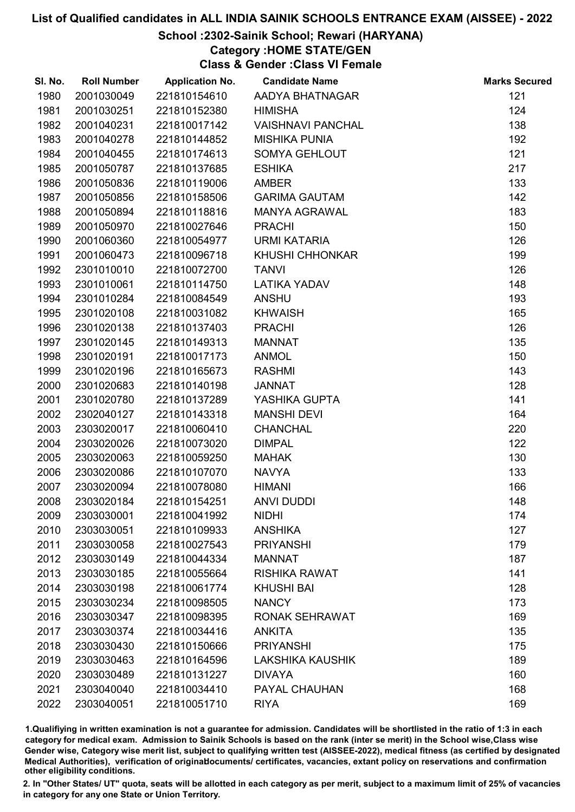# School :2302-Sainik School; Rewari (HARYANA)

# Category :HOME STATE/GEN

Class & Gender :Class VI Female

| SI. No. | <b>Roll Number</b> | <b>Application No.</b> | <b>Candidate Name</b>    | <b>Marks Secured</b> |
|---------|--------------------|------------------------|--------------------------|----------------------|
| 1980    | 2001030049         | 221810154610           | AADYA BHATNAGAR          | 121                  |
| 1981    | 2001030251         | 221810152380           | <b>HIMISHA</b>           | 124                  |
| 1982    | 2001040231         | 221810017142           | <b>VAISHNAVI PANCHAL</b> | 138                  |
| 1983    | 2001040278         | 221810144852           | <b>MISHIKA PUNIA</b>     | 192                  |
| 1984    | 2001040455         | 221810174613           | <b>SOMYA GEHLOUT</b>     | 121                  |
| 1985    | 2001050787         | 221810137685           | <b>ESHIKA</b>            | 217                  |
| 1986    | 2001050836         | 221810119006           | <b>AMBER</b>             | 133                  |
| 1987    | 2001050856         | 221810158506           | <b>GARIMA GAUTAM</b>     | 142                  |
| 1988    | 2001050894         | 221810118816           | <b>MANYA AGRAWAL</b>     | 183                  |
| 1989    | 2001050970         | 221810027646           | <b>PRACHI</b>            | 150                  |
| 1990    | 2001060360         | 221810054977           | <b>URMI KATARIA</b>      | 126                  |
| 1991    | 2001060473         | 221810096718           | <b>KHUSHI CHHONKAR</b>   | 199                  |
| 1992    | 2301010010         | 221810072700           | <b>TANVI</b>             | 126                  |
| 1993    | 2301010061         | 221810114750           | <b>LATIKA YADAV</b>      | 148                  |
| 1994    | 2301010284         | 221810084549           | <b>ANSHU</b>             | 193                  |
| 1995    | 2301020108         | 221810031082           | <b>KHWAISH</b>           | 165                  |
| 1996    | 2301020138         | 221810137403           | <b>PRACHI</b>            | 126                  |
| 1997    | 2301020145         | 221810149313           | <b>MANNAT</b>            | 135                  |
| 1998    | 2301020191         | 221810017173           | <b>ANMOL</b>             | 150                  |
| 1999    | 2301020196         | 221810165673           | <b>RASHMI</b>            | 143                  |
| 2000    | 2301020683         | 221810140198           | <b>JANNAT</b>            | 128                  |
| 2001    | 2301020780         | 221810137289           | YASHIKA GUPTA            | 141                  |
| 2002    | 2302040127         | 221810143318           | <b>MANSHI DEVI</b>       | 164                  |
| 2003    | 2303020017         | 221810060410           | <b>CHANCHAL</b>          | 220                  |
| 2004    | 2303020026         | 221810073020           | <b>DIMPAL</b>            | 122                  |
| 2005    | 2303020063         | 221810059250           | <b>MAHAK</b>             | 130                  |
| 2006    | 2303020086         | 221810107070           | <b>NAVYA</b>             | 133                  |
| 2007    | 2303020094         | 221810078080           | <b>HIMANI</b>            | 166                  |
| 2008    | 2303020184         | 221810154251           | <b>ANVI DUDDI</b>        | 148                  |
| 2009    | 2303030001         | 221810041992           | <b>NIDHI</b>             | 174                  |
| 2010    | 2303030051         | 221810109933           | <b>ANSHIKA</b>           | 127                  |
| 2011    | 2303030058         | 221810027543           | <b>PRIYANSHI</b>         | 179                  |
| 2012    | 2303030149         | 221810044334           | <b>MANNAT</b>            | 187                  |
| 2013    | 2303030185         | 221810055664           | <b>RISHIKA RAWAT</b>     | 141                  |
| 2014    | 2303030198         | 221810061774           | <b>KHUSHI BAI</b>        | 128                  |
| 2015    | 2303030234         | 221810098505           | <b>NANCY</b>             | 173                  |
| 2016    | 2303030347         | 221810098395           | RONAK SEHRAWAT           | 169                  |
| 2017    | 2303030374         | 221810034416           | <b>ANKITA</b>            | 135                  |
| 2018    | 2303030430         | 221810150666           | <b>PRIYANSHI</b>         | 175                  |
| 2019    | 2303030463         | 221810164596           | <b>LAKSHIKA KAUSHIK</b>  | 189                  |
| 2020    | 2303030489         | 221810131227           | <b>DIVAYA</b>            | 160                  |
| 2021    | 2303040040         | 221810034410           | PAYAL CHAUHAN            | 168                  |
| 2022    | 2303040051         | 221810051710           | <b>RIYA</b>              | 169                  |

1.Qualifiying in written examination is not a guarantee for admission. Candidates will be shortlisted in the ratio of 1:3 in each category for medical exam. Admission to Sainik Schools is based on the rank (inter se merit) in the School wise,Class wise Gender wise, Category wise merit list, subject to qualifying written test (AISSEE-2022), medical fitness (as certified by designated Medical Authorities), verification of originablocuments/ certificates, vacancies, extant policy on reservations and confirmation other eligibility conditions.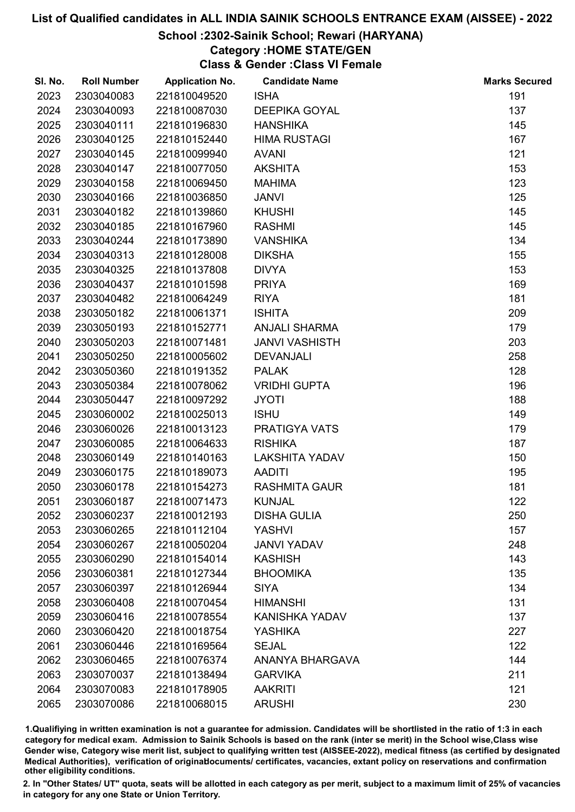## School :2302-Sainik School; Rewari (HARYANA)

# Category :HOME STATE/GEN

Class & Gender :Class VI Female

| SI. No. | <b>Roll Number</b> | <b>Application No.</b> | <b>Candidate Name</b> | <b>Marks Secured</b> |
|---------|--------------------|------------------------|-----------------------|----------------------|
| 2023    | 2303040083         | 221810049520           | <b>ISHA</b>           | 191                  |
| 2024    | 2303040093         | 221810087030           | <b>DEEPIKA GOYAL</b>  | 137                  |
| 2025    | 2303040111         | 221810196830           | <b>HANSHIKA</b>       | 145                  |
| 2026    | 2303040125         | 221810152440           | <b>HIMA RUSTAGI</b>   | 167                  |
| 2027    | 2303040145         | 221810099940           | <b>AVANI</b>          | 121                  |
| 2028    | 2303040147         | 221810077050           | <b>AKSHITA</b>        | 153                  |
| 2029    | 2303040158         | 221810069450           | <b>MAHIMA</b>         | 123                  |
| 2030    | 2303040166         | 221810036850           | <b>JANVI</b>          | 125                  |
| 2031    | 2303040182         | 221810139860           | <b>KHUSHI</b>         | 145                  |
| 2032    | 2303040185         | 221810167960           | <b>RASHMI</b>         | 145                  |
| 2033    | 2303040244         | 221810173890           | <b>VANSHIKA</b>       | 134                  |
| 2034    | 2303040313         | 221810128008           | <b>DIKSHA</b>         | 155                  |
| 2035    | 2303040325         | 221810137808           | <b>DIVYA</b>          | 153                  |
| 2036    | 2303040437         | 221810101598           | <b>PRIYA</b>          | 169                  |
| 2037    | 2303040482         | 221810064249           | <b>RIYA</b>           | 181                  |
| 2038    | 2303050182         | 221810061371           | <b>ISHITA</b>         | 209                  |
| 2039    | 2303050193         | 221810152771           | <b>ANJALI SHARMA</b>  | 179                  |
| 2040    | 2303050203         | 221810071481           | <b>JANVI VASHISTH</b> | 203                  |
| 2041    | 2303050250         | 221810005602           | <b>DEVANJALI</b>      | 258                  |
| 2042    | 2303050360         | 221810191352           | <b>PALAK</b>          | 128                  |
| 2043    | 2303050384         | 221810078062           | <b>VRIDHI GUPTA</b>   | 196                  |
| 2044    | 2303050447         | 221810097292           | <b>JYOTI</b>          | 188                  |
| 2045    | 2303060002         | 221810025013           | <b>ISHU</b>           | 149                  |
| 2046    | 2303060026         | 221810013123           | <b>PRATIGYA VATS</b>  | 179                  |
| 2047    | 2303060085         | 221810064633           | <b>RISHIKA</b>        | 187                  |
| 2048    | 2303060149         | 221810140163           | <b>LAKSHITA YADAV</b> | 150                  |
| 2049    | 2303060175         | 221810189073           | <b>AADITI</b>         | 195                  |
| 2050    | 2303060178         | 221810154273           | <b>RASHMITA GAUR</b>  | 181                  |
| 2051    | 2303060187         | 221810071473           | <b>KUNJAL</b>         | 122                  |
| 2052    | 2303060237         | 221810012193           | <b>DISHA GULIA</b>    | 250                  |
| 2053    | 2303060265         | 221810112104           | <b>YASHVI</b>         | 157                  |
| 2054    | 2303060267         | 221810050204           | <b>JANVI YADAV</b>    | 248                  |
| 2055    | 2303060290         | 221810154014           | <b>KASHISH</b>        | 143                  |
| 2056    | 2303060381         | 221810127344           | <b>BHOOMIKA</b>       | 135                  |
| 2057    | 2303060397         | 221810126944           | <b>SIYA</b>           | 134                  |
| 2058    | 2303060408         | 221810070454           | <b>HIMANSHI</b>       | 131                  |
| 2059    | 2303060416         | 221810078554           | <b>KANISHKA YADAV</b> | 137                  |
| 2060    | 2303060420         | 221810018754           | <b>YASHIKA</b>        | 227                  |
| 2061    | 2303060446         | 221810169564           | <b>SEJAL</b>          | 122                  |
| 2062    | 2303060465         | 221810076374           | ANANYA BHARGAVA       | 144                  |
| 2063    | 2303070037         | 221810138494           | <b>GARVIKA</b>        | 211                  |
| 2064    | 2303070083         | 221810178905           | <b>AAKRITI</b>        | 121                  |
| 2065    | 2303070086         | 221810068015           | <b>ARUSHI</b>         | 230                  |

1.Qualifiying in written examination is not a guarantee for admission. Candidates will be shortlisted in the ratio of 1:3 in each category for medical exam. Admission to Sainik Schools is based on the rank (inter se merit) in the School wise,Class wise Gender wise, Category wise merit list, subject to qualifying written test (AISSEE-2022), medical fitness (as certified by designated Medical Authorities), verification of originablocuments/ certificates, vacancies, extant policy on reservations and confirmation other eligibility conditions.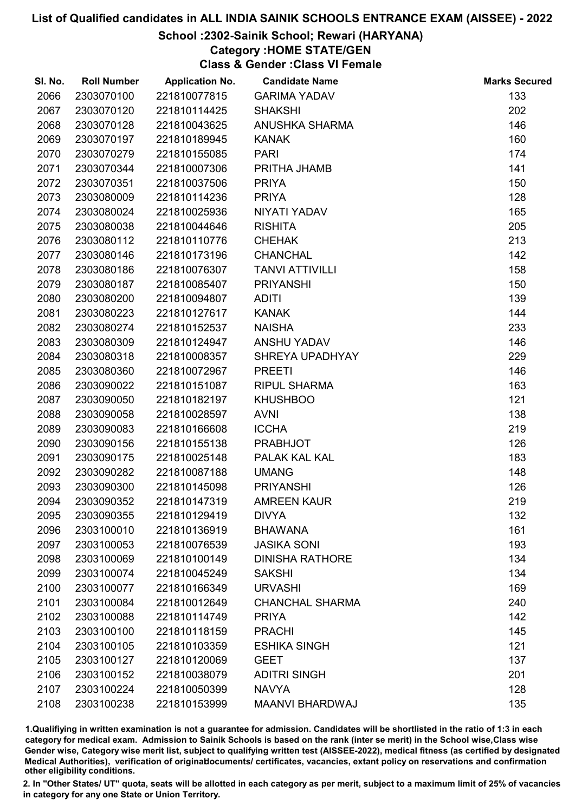# School :2302-Sainik School; Rewari (HARYANA)

# Category :HOME STATE/GEN

Class & Gender :Class VI Female

| SI. No. | <b>Roll Number</b> | <b>Application No.</b> | <b>Candidate Name</b>  | <b>Marks Secured</b> |
|---------|--------------------|------------------------|------------------------|----------------------|
| 2066    | 2303070100         | 221810077815           | <b>GARIMA YADAV</b>    | 133                  |
| 2067    | 2303070120         | 221810114425           | <b>SHAKSHI</b>         | 202                  |
| 2068    | 2303070128         | 221810043625           | ANUSHKA SHARMA         | 146                  |
| 2069    | 2303070197         | 221810189945           | <b>KANAK</b>           | 160                  |
| 2070    | 2303070279         | 221810155085           | <b>PARI</b>            | 174                  |
| 2071    | 2303070344         | 221810007306           | PRITHA JHAMB           | 141                  |
| 2072    | 2303070351         | 221810037506           | <b>PRIYA</b>           | 150                  |
| 2073    | 2303080009         | 221810114236           | <b>PRIYA</b>           | 128                  |
| 2074    | 2303080024         | 221810025936           | NIYATI YADAV           | 165                  |
| 2075    | 2303080038         | 221810044646           | <b>RISHITA</b>         | 205                  |
| 2076    | 2303080112         | 221810110776           | <b>CHEHAK</b>          | 213                  |
| 2077    | 2303080146         | 221810173196           | <b>CHANCHAL</b>        | 142                  |
| 2078    | 2303080186         | 221810076307           | <b>TANVI ATTIVILLI</b> | 158                  |
| 2079    | 2303080187         | 221810085407           | <b>PRIYANSHI</b>       | 150                  |
| 2080    | 2303080200         | 221810094807           | <b>ADITI</b>           | 139                  |
| 2081    | 2303080223         | 221810127617           | <b>KANAK</b>           | 144                  |
| 2082    | 2303080274         | 221810152537           | <b>NAISHA</b>          | 233                  |
| 2083    | 2303080309         | 221810124947           | <b>ANSHU YADAV</b>     | 146                  |
| 2084    | 2303080318         | 221810008357           | SHREYA UPADHYAY        | 229                  |
| 2085    | 2303080360         | 221810072967           | <b>PREETI</b>          | 146                  |
| 2086    | 2303090022         | 221810151087           | <b>RIPUL SHARMA</b>    | 163                  |
| 2087    | 2303090050         | 221810182197           | <b>KHUSHBOO</b>        | 121                  |
| 2088    | 2303090058         | 221810028597           | <b>AVNI</b>            | 138                  |
| 2089    | 2303090083         | 221810166608           | <b>ICCHA</b>           | 219                  |
| 2090    | 2303090156         | 221810155138           | <b>PRABHJOT</b>        | 126                  |
| 2091    | 2303090175         | 221810025148           | PALAK KAL KAL          | 183                  |
| 2092    | 2303090282         | 221810087188           | <b>UMANG</b>           | 148                  |
| 2093    | 2303090300         | 221810145098           | <b>PRIYANSHI</b>       | 126                  |
| 2094    | 2303090352         | 221810147319           | <b>AMREEN KAUR</b>     | 219                  |
| 2095    | 2303090355         | 221810129419           | <b>DIVYA</b>           | 132                  |
| 2096    | 2303100010         | 221810136919           | <b>BHAWANA</b>         | 161                  |
| 2097    | 2303100053         | 221810076539           | <b>JASIKA SONI</b>     | 193                  |
| 2098    | 2303100069         | 221810100149           | <b>DINISHA RATHORE</b> | 134                  |
| 2099    | 2303100074         | 221810045249           | <b>SAKSHI</b>          | 134                  |
| 2100    | 2303100077         | 221810166349           | <b>URVASHI</b>         | 169                  |
| 2101    | 2303100084         | 221810012649           | <b>CHANCHAL SHARMA</b> | 240                  |
| 2102    | 2303100088         | 221810114749           | <b>PRIYA</b>           | 142                  |
| 2103    | 2303100100         | 221810118159           | <b>PRACHI</b>          | 145                  |
| 2104    | 2303100105         | 221810103359           | <b>ESHIKA SINGH</b>    | 121                  |
| 2105    | 2303100127         | 221810120069           | <b>GEET</b>            | 137                  |
| 2106    | 2303100152         | 221810038079           | <b>ADITRI SINGH</b>    | 201                  |
| 2107    | 2303100224         | 221810050399           | <b>NAVYA</b>           | 128                  |
| 2108    | 2303100238         | 221810153999           | MAANVI BHARDWAJ        | 135                  |

1.Qualifiying in written examination is not a guarantee for admission. Candidates will be shortlisted in the ratio of 1:3 in each category for medical exam. Admission to Sainik Schools is based on the rank (inter se merit) in the School wise,Class wise Gender wise, Category wise merit list, subject to qualifying written test (AISSEE-2022), medical fitness (as certified by designated Medical Authorities), verification of originablocuments/ certificates, vacancies, extant policy on reservations and confirmation other eligibility conditions.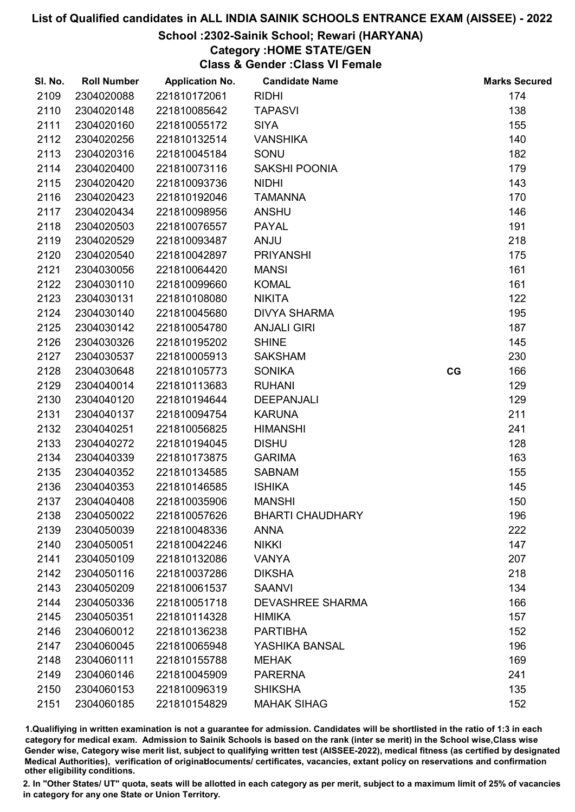# School :2302-Sainik School; Rewari (HARYANA)

# Category :HOME STATE/GEN

Class & Gender :Class VI Female

| SI. No. | <b>Roll Number</b> | <b>Application No.</b> | <b>Candidate Name</b>   |    | <b>Marks Secured</b> |
|---------|--------------------|------------------------|-------------------------|----|----------------------|
| 2109    | 2304020088         | 221810172061           | <b>RIDHI</b>            |    | 174                  |
| 2110    | 2304020148         | 221810085642           | <b>TAPASVI</b>          |    | 138                  |
| 2111    | 2304020160         | 221810055172           | <b>SIYA</b>             |    | 155                  |
| 2112    | 2304020256         | 221810132514           | <b>VANSHIKA</b>         |    | 140                  |
| 2113    | 2304020316         | 221810045184           | SONU                    |    | 182                  |
| 2114    | 2304020400         | 221810073116           | <b>SAKSHI POONIA</b>    |    | 179                  |
| 2115    | 2304020420         | 221810093736           | <b>NIDHI</b>            |    | 143                  |
| 2116    | 2304020423         | 221810192046           | <b>TAMANNA</b>          |    | 170                  |
| 2117    | 2304020434         | 221810098956           | <b>ANSHU</b>            |    | 146                  |
| 2118    | 2304020503         | 221810076557           | <b>PAYAL</b>            |    | 191                  |
| 2119    | 2304020529         | 221810093487           | <b>ANJU</b>             |    | 218                  |
| 2120    | 2304020540         | 221810042897           | <b>PRIYANSHI</b>        |    | 175                  |
| 2121    | 2304030056         | 221810064420           | <b>MANSI</b>            |    | 161                  |
| 2122    | 2304030110         | 221810099660           | <b>KOMAL</b>            |    | 161                  |
| 2123    | 2304030131         | 221810108080           | <b>NIKITA</b>           |    | 122                  |
| 2124    | 2304030140         | 221810045680           | <b>DIVYA SHARMA</b>     |    | 195                  |
| 2125    | 2304030142         | 221810054780           | <b>ANJALI GIRI</b>      |    | 187                  |
| 2126    | 2304030326         | 221810195202           | <b>SHINE</b>            |    | 145                  |
| 2127    | 2304030537         | 221810005913           | <b>SAKSHAM</b>          |    | 230                  |
| 2128    | 2304030648         | 221810105773           | <b>SONIKA</b>           | CG | 166                  |
| 2129    | 2304040014         | 221810113683           | <b>RUHANI</b>           |    | 129                  |
| 2130    | 2304040120         | 221810194644           | <b>DEEPANJALI</b>       |    | 129                  |
| 2131    | 2304040137         | 221810094754           | <b>KARUNA</b>           |    | 211                  |
| 2132    | 2304040251         | 221810056825           | <b>HIMANSHI</b>         |    | 241                  |
| 2133    | 2304040272         | 221810194045           | <b>DISHU</b>            |    | 128                  |
| 2134    | 2304040339         | 221810173875           | <b>GARIMA</b>           |    | 163                  |
| 2135    | 2304040352         | 221810134585           | <b>SABNAM</b>           |    | 155                  |
| 2136    | 2304040353         | 221810146585           | <b>ISHIKA</b>           |    | 145                  |
| 2137    | 2304040408         | 221810035906           | <b>MANSHI</b>           |    | 150                  |
| 2138    | 2304050022         | 221810057626           | <b>BHARTI CHAUDHARY</b> |    | 196                  |
| 2139    | 2304050039         | 221810048336           | <b>ANNA</b>             |    | 222                  |
| 2140    | 2304050051         | 221810042246           | <b>NIKKI</b>            |    | 147                  |
| 2141    | 2304050109         | 221810132086           | <b>VANYA</b>            |    | 207                  |
| 2142    | 2304050116         | 221810037286           | <b>DIKSHA</b>           |    | 218                  |
| 2143    | 2304050209         | 221810061537           | <b>SAANVI</b>           |    | 134                  |
| 2144    | 2304050336         | 221810051718           | <b>DEVASHREE SHARMA</b> |    | 166                  |
| 2145    | 2304050351         | 221810114328           | <b>HIMIKA</b>           |    | 157                  |
| 2146    | 2304060012         | 221810136238           | <b>PARTIBHA</b>         |    | 152                  |
| 2147    | 2304060045         | 221810065948           | YASHIKA BANSAL          |    | 196                  |
| 2148    | 2304060111         | 221810155788           | <b>MEHAK</b>            |    | 169                  |
| 2149    | 2304060146         | 221810045909           | <b>PARERNA</b>          |    | 241                  |
| 2150    | 2304060153         | 221810096319           | <b>SHIKSHA</b>          |    | 135                  |
| 2151    | 2304060185         | 221810154829           | <b>MAHAK SIHAG</b>      |    | 152                  |

1.Qualifiying in written examination is not a guarantee for admission. Candidates will be shortlisted in the ratio of 1:3 in each category for medical exam. Admission to Sainik Schools is based on the rank (inter se merit) in the School wise,Class wise Gender wise, Category wise merit list, subject to qualifying written test (AISSEE-2022), medical fitness (as certified by designated Medical Authorities), verification of originablocuments/ certificates, vacancies, extant policy on reservations and confirmation other eligibility conditions.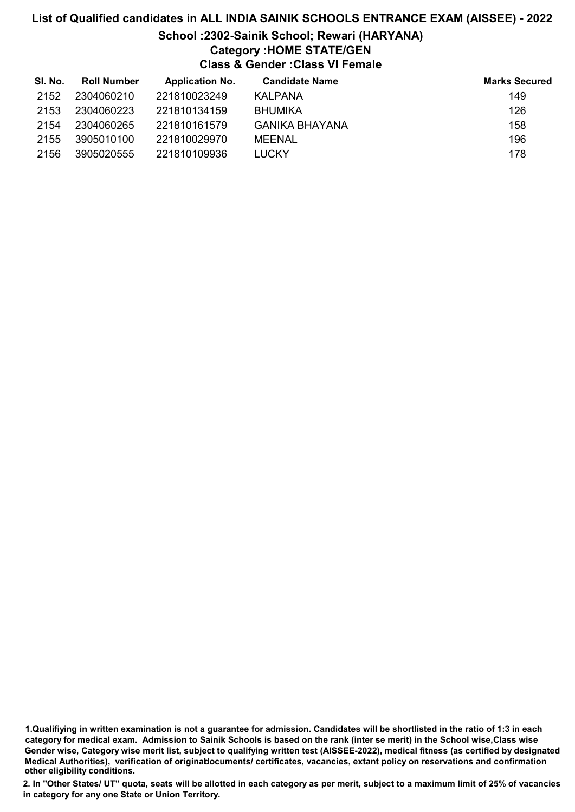# School :2302-Sainik School; Rewari (HARYANA) Category :HOME STATE/GEN

Class & Gender :Class VI Female

| SI. No. | <b>Roll Number</b> | <b>Application No.</b> | <b>Candidate Name</b> | <b>Marks Secured</b> |
|---------|--------------------|------------------------|-----------------------|----------------------|
| 2152    | 2304060210         | 221810023249           | KALPANA               | 149                  |
| 2153    | 2304060223         | 221810134159           | <b>BHUMIKA</b>        | 126                  |
| 2154    | 2304060265         | 221810161579           | GANIKA BHAYANA        | 158                  |
| 2155    | 3905010100         | 221810029970           | MEENAL                | 196                  |
| 2156    | 3905020555         | 221810109936           | <b>LUCKY</b>          | 178                  |

1.Qualifiying in written examination is not a guarantee for admission. Candidates will be shortlisted in the ratio of 1:3 in each category for medical exam. Admission to Sainik Schools is based on the rank (inter se merit) in the School wise,Class wise Gender wise, Category wise merit list, subject to qualifying written test (AISSEE-2022), medical fitness (as certified by designated Medical Authorities), verification of originablocuments/ certificates, vacancies, extant policy on reservations and confirmation other eligibility conditions.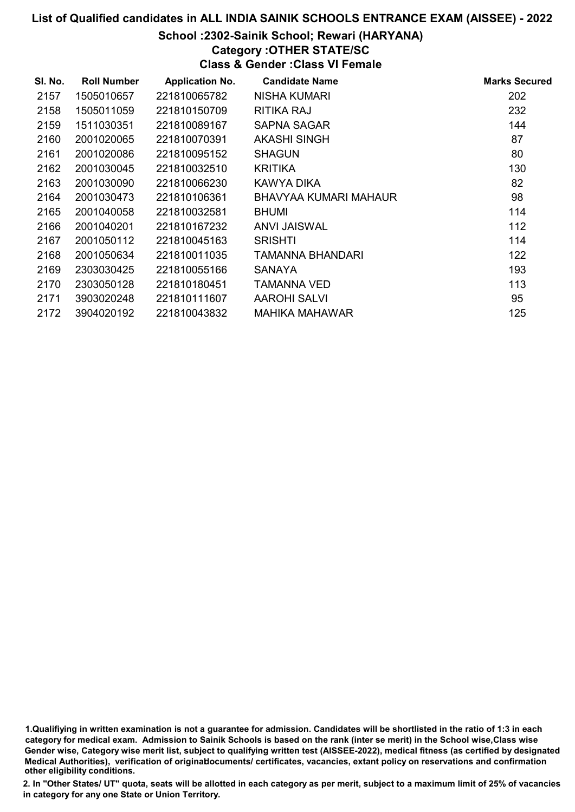## School :2302-Sainik School; Rewari (HARYANA)

### Category :OTHER STATE/SC

Class & Gender :Class VI Female

| SI. No. | <b>Roll Number</b> | <b>Application No.</b> | <b>Candidate Name</b> | <b>Marks Secured</b> |
|---------|--------------------|------------------------|-----------------------|----------------------|
| 2157    | 1505010657         | 221810065782           | <b>NISHA KUMARI</b>   | 202                  |
| 2158    | 1505011059         | 221810150709           | RITIKA RAJ            | 232                  |
| 2159    | 1511030351         | 221810089167           | <b>SAPNA SAGAR</b>    | 144                  |
| 2160    | 2001020065         | 221810070391           | AKASHI SINGH          | 87                   |
| 2161    | 2001020086         | 221810095152           | <b>SHAGUN</b>         | 80                   |
| 2162    | 2001030045         | 221810032510           | <b>KRITIKA</b>        | 130                  |
| 2163    | 2001030090         | 221810066230           | KAWYA DIKA            | 82                   |
| 2164    | 2001030473         | 221810106361           | BHAVYAA KUMARI MAHAUR | 98                   |
| 2165    | 2001040058         | 221810032581           | <b>BHUMI</b>          | 114                  |
| 2166    | 2001040201         | 221810167232           | <b>ANVI JAISWAL</b>   | 112                  |
| 2167    | 2001050112         | 221810045163           | <b>SRISHTI</b>        | 114                  |
| 2168    | 2001050634         | 221810011035           | TAMANNA BHANDARI      | 122                  |
| 2169    | 2303030425         | 221810055166           | <b>SANAYA</b>         | 193                  |
| 2170    | 2303050128         | 221810180451           | TAMANNA VED           | 113                  |
| 2171    | 3903020248         | 221810111607           | <b>AAROHI SALVI</b>   | 95                   |
| 2172    | 3904020192         | 221810043832           | MAHIKA MAHAWAR        | 125                  |

1.Qualifiying in written examination is not a guarantee for admission. Candidates will be shortlisted in the ratio of 1:3 in each category for medical exam. Admission to Sainik Schools is based on the rank (inter se merit) in the School wise,Class wise Gender wise, Category wise merit list, subject to qualifying written test (AISSEE-2022), medical fitness (as certified by designated Medical Authorities), verification of originablocuments/ certificates, vacancies, extant policy on reservations and confirmation other eligibility conditions.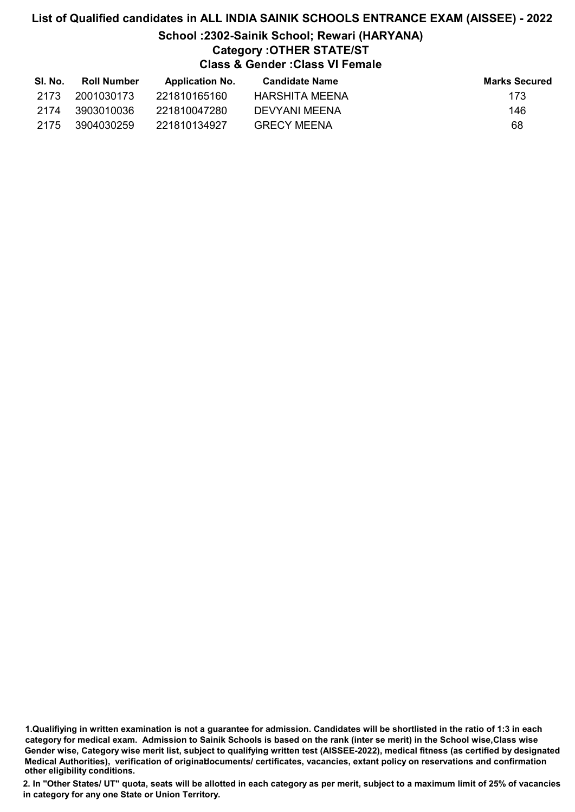# School :2302-Sainik School; Rewari (HARYANA)

# Category :OTHER STATE/ST

Class & Gender :Class VI Female

| SI. No. | Roll Number | <b>Application No.</b> | Candidate Name     | <b>Marks Secured</b> |
|---------|-------------|------------------------|--------------------|----------------------|
| 2173    | 2001030173  | 221810165160           | HARSHITA MEENA     | 173                  |
| 2174    | 3903010036  | 221810047280           | DEVYANI MEENA      | 146                  |
| -2175   | 3904030259  | 221810134927           | <b>GRECY MEENA</b> | 68                   |

1.Qualifiying in written examination is not a guarantee for admission. Candidates will be shortlisted in the ratio of 1:3 in each category for medical exam. Admission to Sainik Schools is based on the rank (inter se merit) in the School wise,Class wise Gender wise, Category wise merit list, subject to qualifying written test (AISSEE-2022), medical fitness (as certified by designated Medical Authorities), verification of originablocuments/ certificates, vacancies, extant policy on reservations and confirmation other eligibility conditions.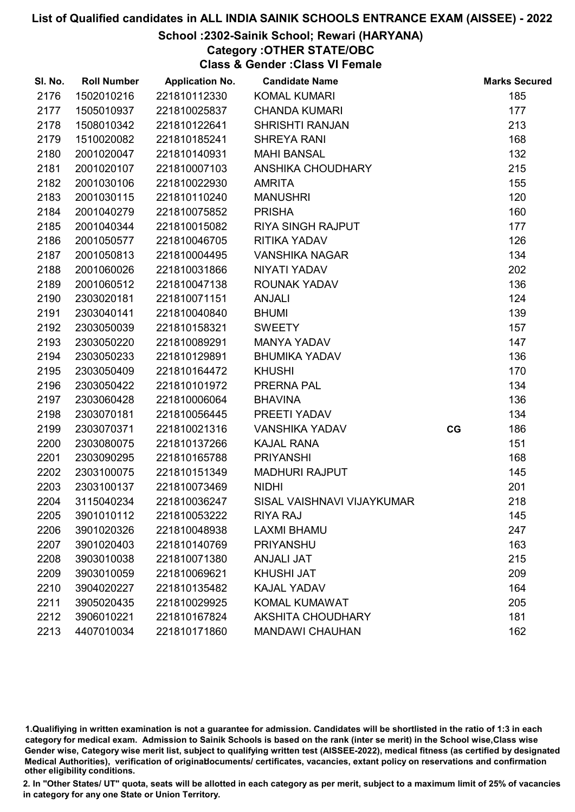# School :2302-Sainik School; Rewari (HARYANA)

Category :OTHER STATE/OBC

Class & Gender :Class VI Female

| SI. No. | <b>Roll Number</b> | <b>Application No.</b> | <b>Candidate Name</b>      |    | <b>Marks Secured</b> |
|---------|--------------------|------------------------|----------------------------|----|----------------------|
| 2176    | 1502010216         | 221810112330           | <b>KOMAL KUMARI</b>        |    | 185                  |
| 2177    | 1505010937         | 221810025837           | <b>CHANDA KUMARI</b>       |    | 177                  |
| 2178    | 1508010342         | 221810122641           | <b>SHRISHTI RANJAN</b>     |    | 213                  |
| 2179    | 1510020082         | 221810185241           | <b>SHREYA RANI</b>         |    | 168                  |
| 2180    | 2001020047         | 221810140931           | <b>MAHI BANSAL</b>         |    | 132                  |
| 2181    | 2001020107         | 221810007103           | <b>ANSHIKA CHOUDHARY</b>   |    | 215                  |
| 2182    | 2001030106         | 221810022930           | <b>AMRITA</b>              |    | 155                  |
| 2183    | 2001030115         | 221810110240           | <b>MANUSHRI</b>            |    | 120                  |
| 2184    | 2001040279         | 221810075852           | <b>PRISHA</b>              |    | 160                  |
| 2185    | 2001040344         | 221810015082           | <b>RIYA SINGH RAJPUT</b>   |    | 177                  |
| 2186    | 2001050577         | 221810046705           | RITIKA YADAV               |    | 126                  |
| 2187    | 2001050813         | 221810004495           | <b>VANSHIKA NAGAR</b>      |    | 134                  |
| 2188    | 2001060026         | 221810031866           | NIYATI YADAV               |    | 202                  |
| 2189    | 2001060512         | 221810047138           | ROUNAK YADAV               |    | 136                  |
| 2190    | 2303020181         | 221810071151           | <b>ANJALI</b>              |    | 124                  |
| 2191    | 2303040141         | 221810040840           | <b>BHUMI</b>               |    | 139                  |
| 2192    | 2303050039         | 221810158321           | <b>SWEETY</b>              |    | 157                  |
| 2193    | 2303050220         | 221810089291           | <b>MANYA YADAV</b>         |    | 147                  |
| 2194    | 2303050233         | 221810129891           | <b>BHUMIKA YADAV</b>       |    | 136                  |
| 2195    | 2303050409         | 221810164472           | <b>KHUSHI</b>              |    | 170                  |
| 2196    | 2303050422         | 221810101972           | PRERNA PAL                 |    | 134                  |
| 2197    | 2303060428         | 221810006064           | <b>BHAVINA</b>             |    | 136                  |
| 2198    | 2303070181         | 221810056445           | PREETI YADAV               |    | 134                  |
| 2199    | 2303070371         | 221810021316           | <b>VANSHIKA YADAV</b>      | CG | 186                  |
| 2200    | 2303080075         | 221810137266           | <b>KAJAL RANA</b>          |    | 151                  |
| 2201    | 2303090295         | 221810165788           | <b>PRIYANSHI</b>           |    | 168                  |
| 2202    | 2303100075         | 221810151349           | <b>MADHURI RAJPUT</b>      |    | 145                  |
| 2203    | 2303100137         | 221810073469           | <b>NIDHI</b>               |    | 201                  |
| 2204    | 3115040234         | 221810036247           | SISAL VAISHNAVI VIJAYKUMAR |    | 218                  |
| 2205    | 3901010112         | 221810053222           | <b>RIYA RAJ</b>            |    | 145                  |
| 2206    | 3901020326         | 221810048938           | <b>LAXMI BHAMU</b>         |    | 247                  |
| 2207    | 3901020403         | 221810140769           | PRIYANSHU                  |    | 163                  |
| 2208    | 3903010038         | 221810071380           | <b>ANJALI JAT</b>          |    | 215                  |
| 2209    | 3903010059         | 221810069621           | <b>KHUSHI JAT</b>          |    | 209                  |
| 2210    | 3904020227         | 221810135482           | <b>KAJAL YADAV</b>         |    | 164                  |
| 2211    | 3905020435         | 221810029925           | <b>KOMAL KUMAWAT</b>       |    | 205                  |
| 2212    | 3906010221         | 221810167824           | <b>AKSHITA CHOUDHARY</b>   |    | 181                  |
| 2213    | 4407010034         | 221810171860           | <b>MANDAWI CHAUHAN</b>     |    | 162                  |

1.Qualifiying in written examination is not a guarantee for admission. Candidates will be shortlisted in the ratio of 1:3 in each category for medical exam. Admission to Sainik Schools is based on the rank (inter se merit) in the School wise,Class wise Gender wise, Category wise merit list, subject to qualifying written test (AISSEE-2022), medical fitness (as certified by designated Medical Authorities), verification of originablocuments/ certificates, vacancies, extant policy on reservations and confirmation other eligibility conditions.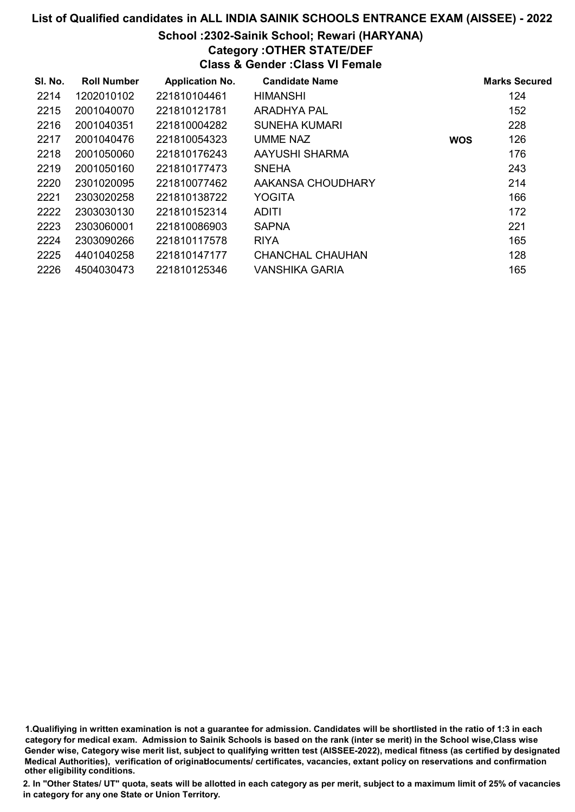# School :2302-Sainik School; Rewari (HARYANA)

# Category :OTHER STATE/DEF

Class & Gender :Class VI Female

| SI. No. | <b>Roll Number</b> | <b>Application No.</b> | <b>Candidate Name</b> |            | <b>Marks Secured</b> |
|---------|--------------------|------------------------|-----------------------|------------|----------------------|
| 2214    | 1202010102         | 221810104461           | <b>HIMANSHI</b>       |            | 124                  |
| 2215    | 2001040070         | 221810121781           | ARADHYA PAL           |            | 152                  |
| 2216    | 2001040351         | 221810004282           | <b>SUNEHA KUMARI</b>  |            | 228                  |
| 2217    | 2001040476         | 221810054323           | UMME NAZ              | <b>WOS</b> | 126                  |
| 2218    | 2001050060         | 221810176243           | AAYUSHI SHARMA        |            | 176                  |
| 2219    | 2001050160         | 221810177473           | <b>SNEHA</b>          |            | 243                  |
| 2220    | 2301020095         | 221810077462           | AAKANSA CHOUDHARY     |            | 214                  |
| 2221    | 2303020258         | 221810138722           | <b>YOGITA</b>         |            | 166                  |
| 2222    | 2303030130         | 221810152314           | ADITI                 |            | 172                  |
| 2223    | 2303060001         | 221810086903           | <b>SAPNA</b>          |            | 221                  |
| 2224    | 2303090266         | 221810117578           | <b>RIYA</b>           |            | 165                  |
| 2225    | 4401040258         | 221810147177           | CHANCHAL CHAUHAN      |            | 128                  |
| 2226    | 4504030473         | 221810125346           | VANSHIKA GARIA        |            | 165                  |

1.Qualifiying in written examination is not a guarantee for admission. Candidates will be shortlisted in the ratio of 1:3 in each category for medical exam. Admission to Sainik Schools is based on the rank (inter se merit) in the School wise,Class wise Gender wise, Category wise merit list, subject to qualifying written test (AISSEE-2022), medical fitness (as certified by designated Medical Authorities), verification of originablocuments/ certificates, vacancies, extant policy on reservations and confirmation other eligibility conditions.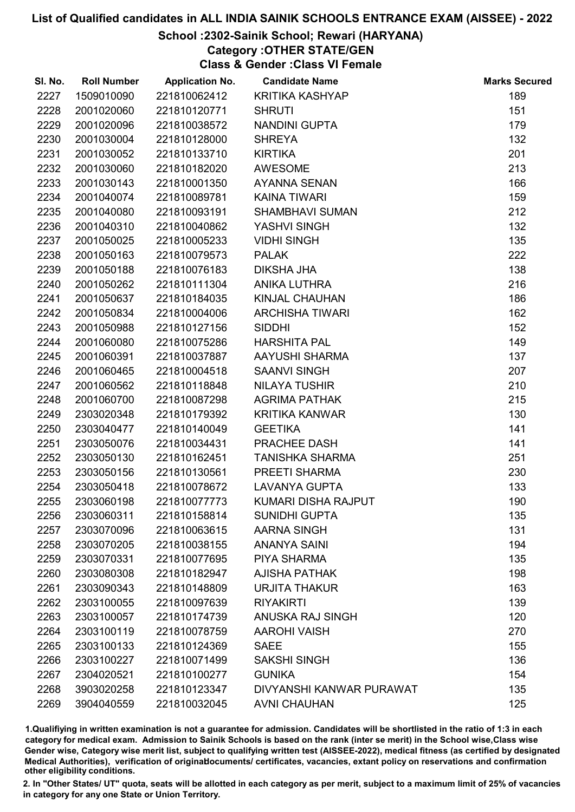# School :2302-Sainik School; Rewari (HARYANA)

Category :OTHER STATE/GEN

Class & Gender :Class VI Female

| SI. No. | <b>Roll Number</b> | <b>Application No.</b> | <b>Candidate Name</b>      | <b>Marks Secured</b> |
|---------|--------------------|------------------------|----------------------------|----------------------|
| 2227    | 1509010090         | 221810062412           | <b>KRITIKA KASHYAP</b>     | 189                  |
| 2228    | 2001020060         | 221810120771           | <b>SHRUTI</b>              | 151                  |
| 2229    | 2001020096         | 221810038572           | NANDINI GUPTA              | 179                  |
| 2230    | 2001030004         | 221810128000           | <b>SHREYA</b>              | 132                  |
| 2231    | 2001030052         | 221810133710           | <b>KIRTIKA</b>             | 201                  |
| 2232    | 2001030060         | 221810182020           | <b>AWESOME</b>             | 213                  |
| 2233    | 2001030143         | 221810001350           | <b>AYANNA SENAN</b>        | 166                  |
| 2234    | 2001040074         | 221810089781           | <b>KAINA TIWARI</b>        | 159                  |
| 2235    | 2001040080         | 221810093191           | <b>SHAMBHAVI SUMAN</b>     | 212                  |
| 2236    | 2001040310         | 221810040862           | YASHVI SINGH               | 132                  |
| 2237    | 2001050025         | 221810005233           | <b>VIDHI SINGH</b>         | 135                  |
| 2238    | 2001050163         | 221810079573           | <b>PALAK</b>               | 222                  |
| 2239    | 2001050188         | 221810076183           | <b>DIKSHA JHA</b>          | 138                  |
| 2240    | 2001050262         | 221810111304           | ANIKA LUTHRA               | 216                  |
| 2241    | 2001050637         | 221810184035           | KINJAL CHAUHAN             | 186                  |
| 2242    | 2001050834         | 221810004006           | <b>ARCHISHA TIWARI</b>     | 162                  |
| 2243    | 2001050988         | 221810127156           | <b>SIDDHI</b>              | 152                  |
| 2244    | 2001060080         | 221810075286           | <b>HARSHITA PAL</b>        | 149                  |
| 2245    | 2001060391         | 221810037887           | AAYUSHI SHARMA             | 137                  |
| 2246    | 2001060465         | 221810004518           | <b>SAANVI SINGH</b>        | 207                  |
| 2247    | 2001060562         | 221810118848           | <b>NILAYA TUSHIR</b>       | 210                  |
| 2248    | 2001060700         | 221810087298           | <b>AGRIMA PATHAK</b>       | 215                  |
| 2249    | 2303020348         | 221810179392           | <b>KRITIKA KANWAR</b>      | 130                  |
| 2250    | 2303040477         | 221810140049           | <b>GEETIKA</b>             | 141                  |
| 2251    | 2303050076         | 221810034431           | PRACHEE DASH               | 141                  |
| 2252    | 2303050130         | 221810162451           | <b>TANISHKA SHARMA</b>     | 251                  |
| 2253    | 2303050156         | 221810130561           | PREETI SHARMA              | 230                  |
| 2254    | 2303050418         | 221810078672           | <b>LAVANYA GUPTA</b>       | 133                  |
| 2255    | 2303060198         | 221810077773           | <b>KUMARI DISHA RAJPUT</b> | 190                  |
| 2256    | 2303060311         | 221810158814           | <b>SUNIDHI GUPTA</b>       | 135                  |
| 2257    | 2303070096         | 221810063615           | <b>AARNA SINGH</b>         | 131                  |
| 2258    | 2303070205         | 221810038155           | <b>ANANYA SAINI</b>        | 194                  |
| 2259    | 2303070331         | 221810077695           | <b>PIYA SHARMA</b>         | 135                  |
| 2260    | 2303080308         | 221810182947           | <b>AJISHA PATHAK</b>       | 198                  |
| 2261    | 2303090343         | 221810148809           | <b>URJITA THAKUR</b>       | 163                  |
| 2262    | 2303100055         | 221810097639           | <b>RIYAKIRTI</b>           | 139                  |
| 2263    | 2303100057         | 221810174739           | ANUSKA RAJ SINGH           | 120                  |
| 2264    | 2303100119         | 221810078759           | <b>AAROHI VAISH</b>        | 270                  |
| 2265    | 2303100133         | 221810124369           | <b>SAEE</b>                | 155                  |
| 2266    | 2303100227         | 221810071499           | <b>SAKSHI SINGH</b>        | 136                  |
| 2267    | 2304020521         | 221810100277           | <b>GUNIKA</b>              | 154                  |
| 2268    | 3903020258         | 221810123347           | DIVYANSHI KANWAR PURAWAT   | 135                  |
| 2269    | 3904040559         | 221810032045           | <b>AVNI CHAUHAN</b>        | 125                  |

1.Qualifiying in written examination is not a guarantee for admission. Candidates will be shortlisted in the ratio of 1:3 in each category for medical exam. Admission to Sainik Schools is based on the rank (inter se merit) in the School wise,Class wise Gender wise, Category wise merit list, subject to qualifying written test (AISSEE-2022), medical fitness (as certified by designated Medical Authorities), verification of originablocuments/ certificates, vacancies, extant policy on reservations and confirmation other eligibility conditions.